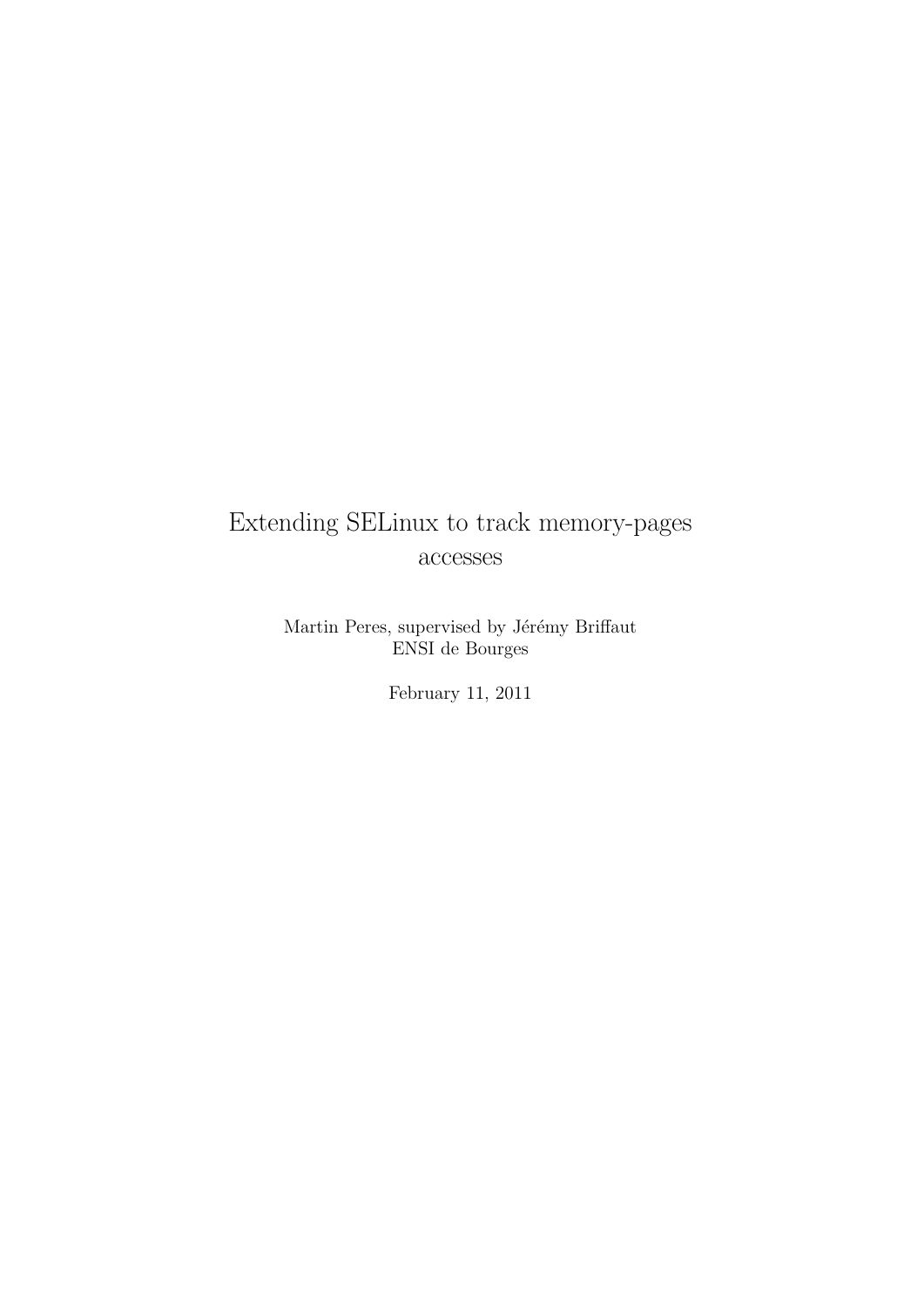# Extending SELinux to track memory-pages accesses

Martin Peres, supervised by Jérémy Briffaut ENSI de Bourges

February 11, 2011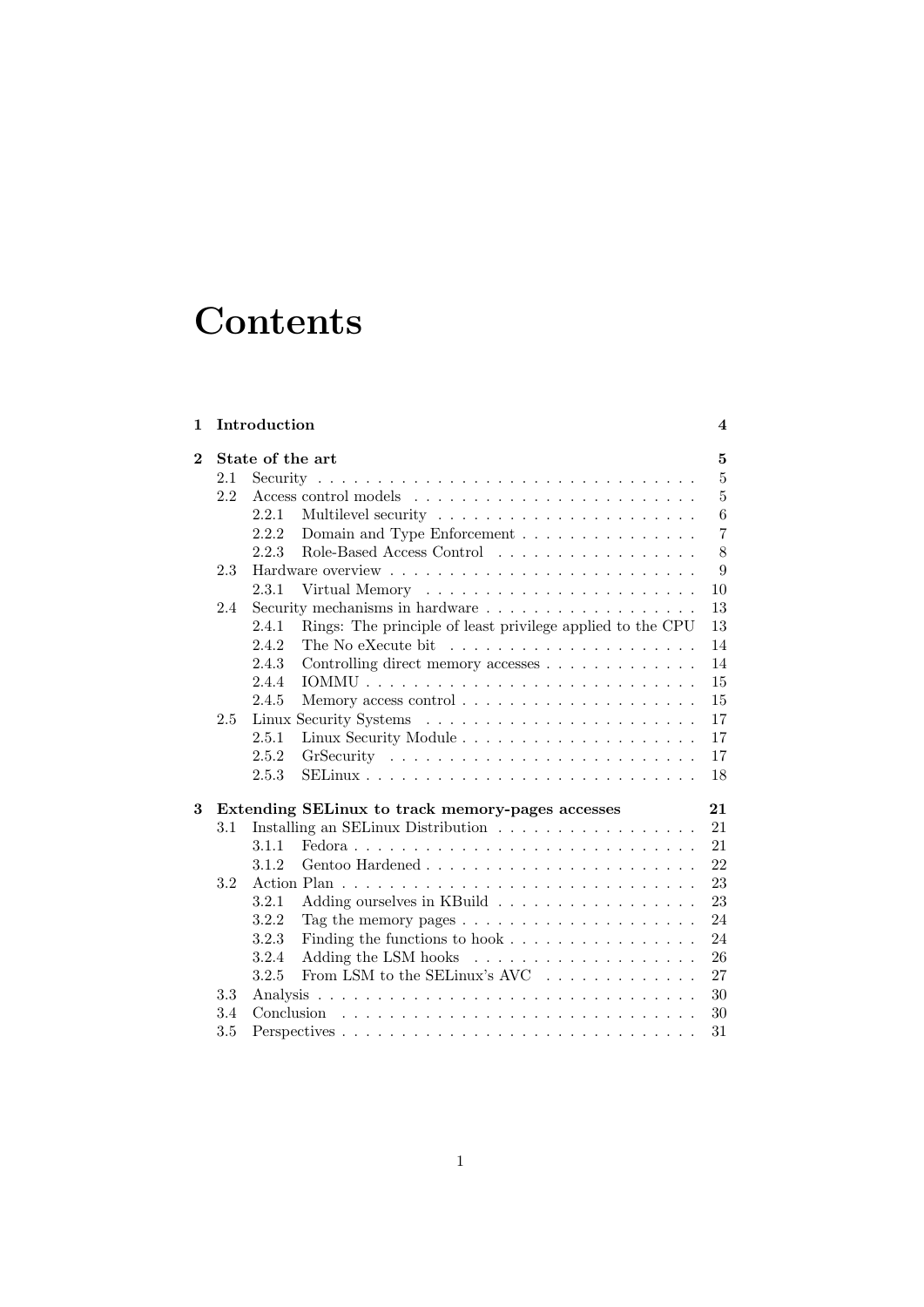# **Contents**

| $\mathbf{1}$   |     | Introduction                                                                     | $\overline{\mathbf{4}}$ |
|----------------|-----|----------------------------------------------------------------------------------|-------------------------|
| $\overline{2}$ |     | State of the art                                                                 | $\overline{5}$          |
|                | 2.1 |                                                                                  | $\overline{5}$          |
|                | 2.2 |                                                                                  | $\overline{5}$          |
|                |     | 2.2.1                                                                            | 6                       |
|                |     | Domain and Type Enforcement<br>2.2.2                                             | $\overline{7}$          |
|                |     | Role-Based Access Control<br>2.2.3                                               | 8                       |
|                | 2.3 |                                                                                  | 9                       |
|                |     | 2.3.1                                                                            | 10                      |
|                | 2.4 |                                                                                  | 13                      |
|                |     | 2.4.1<br>Rings: The principle of least privilege applied to the CPU              | 13                      |
|                |     | 2.4.2                                                                            | 14                      |
|                |     | Controlling direct memory accesses<br>2.4.3                                      | 14                      |
|                |     | 2.4.4                                                                            | 15                      |
|                |     | 2.4.5                                                                            | 15                      |
|                | 2.5 |                                                                                  | 17                      |
|                |     | 2.5.1                                                                            | 17                      |
|                |     | 2.5.2                                                                            | 17                      |
|                |     | 2.5.3                                                                            | 18                      |
| 3              |     | Extending SELinux to track memory-pages accesses                                 | 21                      |
|                | 3.1 | Installing an SELinux Distribution                                               | 21                      |
|                |     | 3.1.1                                                                            | 21                      |
|                |     | 3.1.2                                                                            | 22                      |
|                | 3.2 |                                                                                  | 23                      |
|                |     | Adding ourselves in KBuild<br>3.2.1                                              | 23                      |
|                |     | 3.2.2<br>Tag the memory pages $\ldots \ldots \ldots \ldots \ldots \ldots \ldots$ | 24                      |
|                |     | 3.2.3<br>Finding the functions to hook                                           | 24                      |
|                |     | 3.2.4                                                                            | 26                      |
|                |     | From LSM to the SELinux's AVC $\ldots \ldots \ldots \ldots$<br>3.2.5             | 27                      |
|                | 3.3 |                                                                                  | 30                      |
|                | 3.4 |                                                                                  | 30                      |
|                | 3.5 |                                                                                  | 31                      |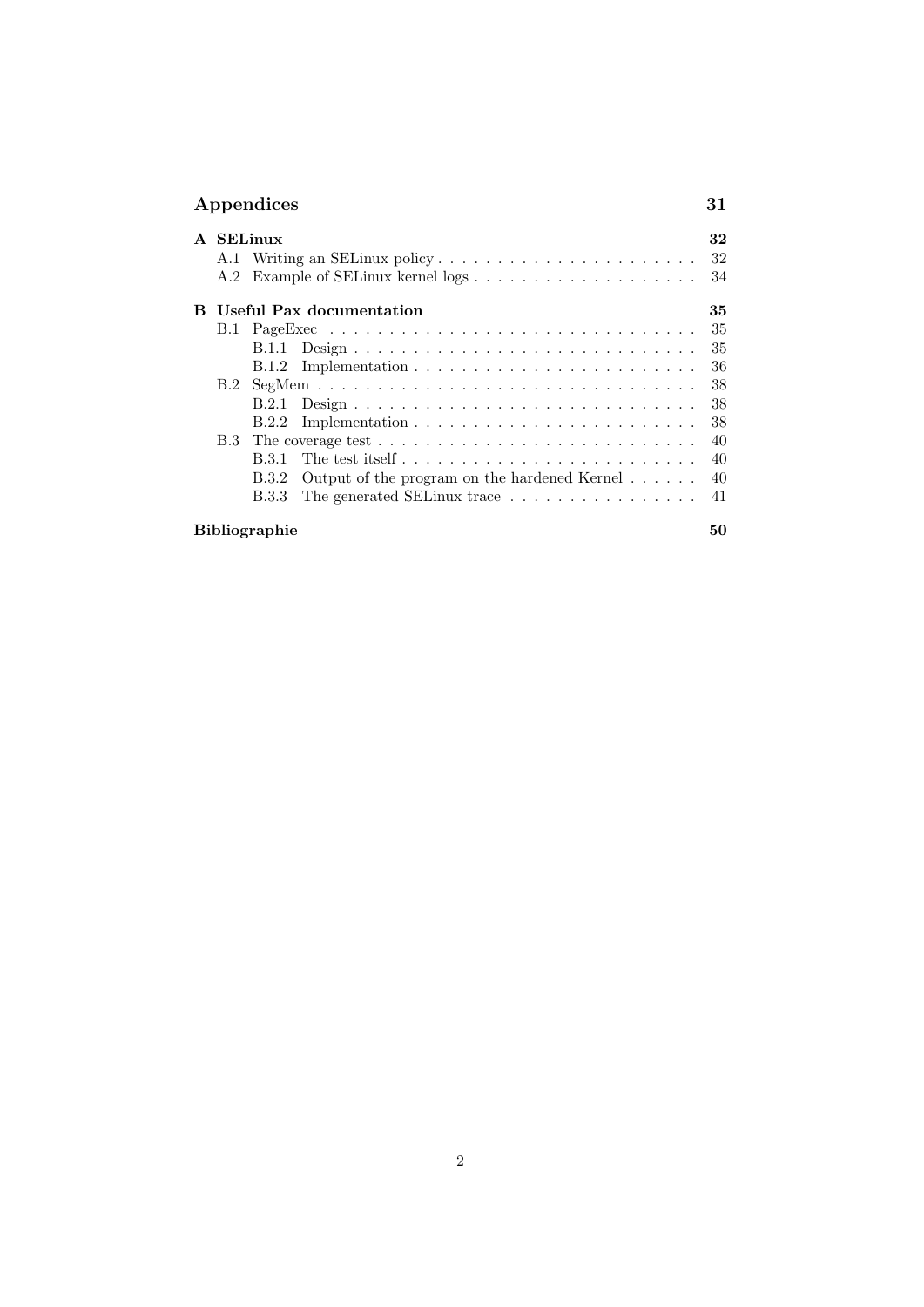|   | Appendices |                      |                                                                          | 31       |
|---|------------|----------------------|--------------------------------------------------------------------------|----------|
| A |            | <b>SELinux</b>       | A.1 Writing an SELinux policy                                            | 32<br>32 |
|   | A.2        |                      |                                                                          | 34       |
| в |            |                      | Useful Pax documentation                                                 | 35       |
|   |            |                      |                                                                          | 35       |
|   |            |                      |                                                                          | 35       |
|   |            |                      |                                                                          | 36       |
|   |            |                      |                                                                          | 38       |
|   |            |                      |                                                                          | 38       |
|   |            | B.2.2                | Implementation $\ldots \ldots \ldots \ldots \ldots \ldots \ldots \ldots$ | 38       |
|   | B.3        |                      |                                                                          | 40       |
|   |            | B.3.1                | The test itself                                                          | 40       |
|   |            | B.3.2                | Output of the program on the hardened Kernel $\dots \dots$               | 40       |
|   |            | B.3.3                | The generated SELinux trace $\ldots \ldots \ldots \ldots \ldots$         | 41       |
|   |            | <b>Bibliographie</b> |                                                                          | 50       |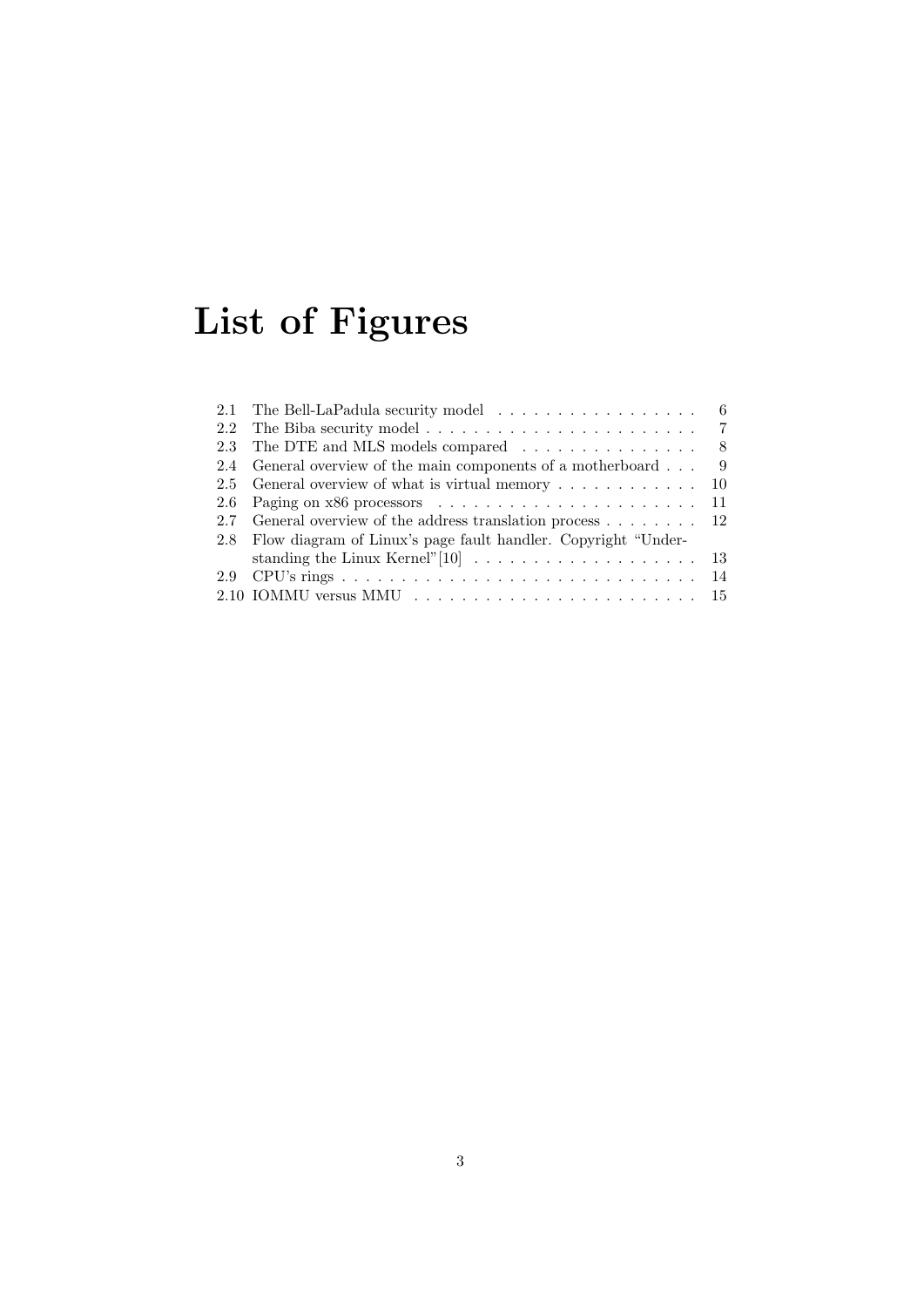# List of Figures

|     | 2.1 The Bell-LaPadula security model $\dots \dots \dots \dots \dots \dots$ 6                |     |
|-----|---------------------------------------------------------------------------------------------|-----|
|     | 2.2 The Biba security model $\ldots \ldots \ldots \ldots \ldots \ldots \ldots$ 7            |     |
|     | 2.3 The DTE and MLS models compared $\dots \dots \dots \dots \dots$ 8                       |     |
| 2.4 | General overview of the main components of a motherboard                                    | - 9 |
|     | 2.5 General overview of what is virtual memory $\dots \dots \dots \dots \dots$ 10           |     |
|     |                                                                                             |     |
|     | 2.7 General overview of the address translation process $\dots \dots \dots$ 12              |     |
|     | 2.8 Flow diagram of Linux's page fault handler. Copyright "Under-                           |     |
|     |                                                                                             |     |
|     |                                                                                             |     |
|     | $2.10$ IOMMU versus MMU $\ldots \ldots \ldots \ldots \ldots \ldots \ldots \ldots \ldots 15$ |     |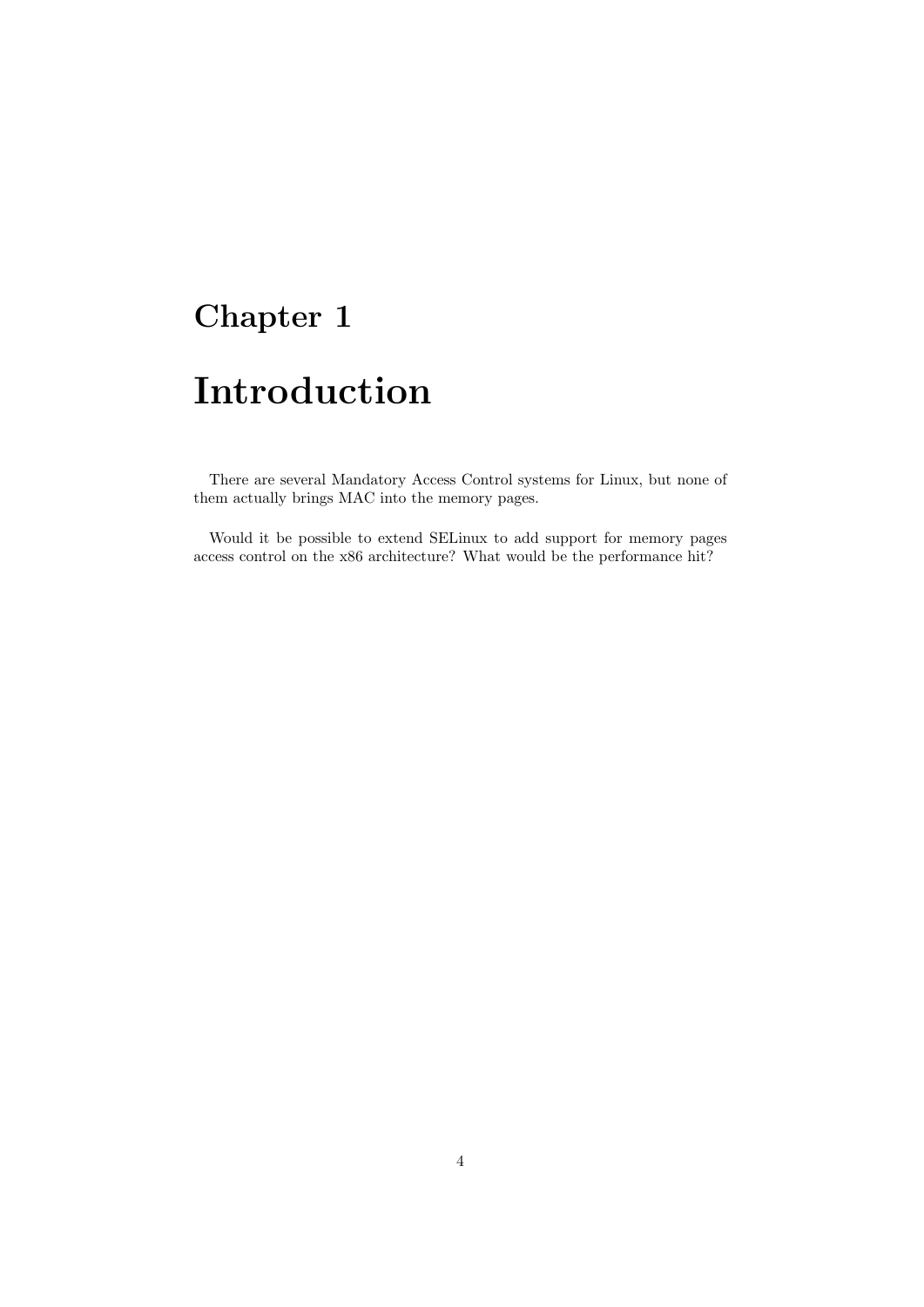# Chapter 1

# Introduction

There are several Mandatory Access Control systems for Linux, but none of them actually brings MAC into the memory pages.

Would it be possible to extend SELinux to add support for memory pages access control on the x86 architecture? What would be the performance hit?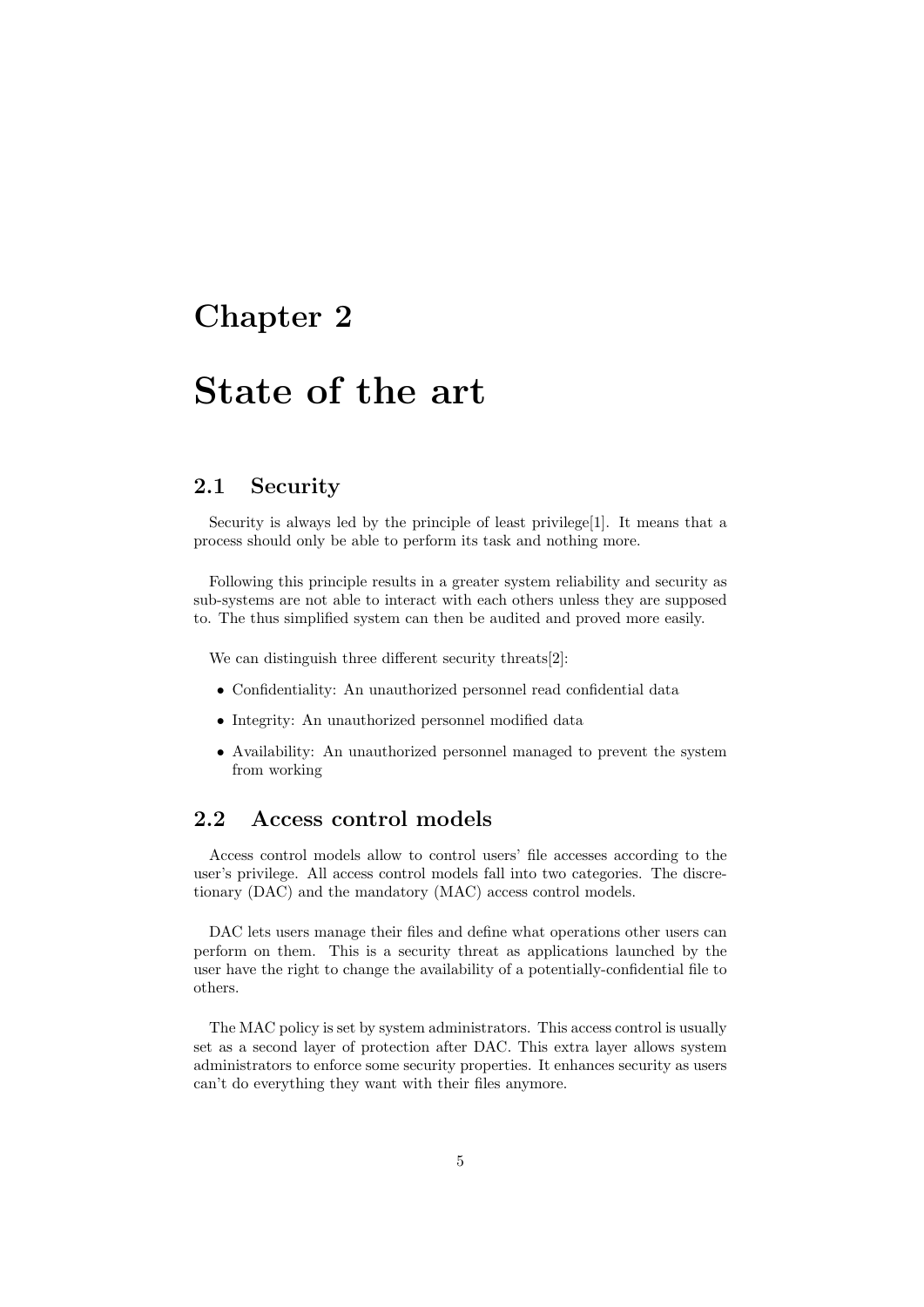# Chapter 2

# State of the art

## 2.1 Security

Security is always led by the principle of least privilege[1]. It means that a process should only be able to perform its task and nothing more.

Following this principle results in a greater system reliability and security as sub-systems are not able to interact with each others unless they are supposed to. The thus simplified system can then be audited and proved more easily.

We can distinguish three different security threats<sup>[2]</sup>:

- Confidentiality: An unauthorized personnel read confidential data
- Integrity: An unauthorized personnel modified data
- Availability: An unauthorized personnel managed to prevent the system from working

## 2.2 Access control models

Access control models allow to control users' file accesses according to the user's privilege. All access control models fall into two categories. The discretionary (DAC) and the mandatory (MAC) access control models.

DAC lets users manage their files and define what operations other users can perform on them. This is a security threat as applications launched by the user have the right to change the availability of a potentially-confidential file to others.

The MAC policy is set by system administrators. This access control is usually set as a second layer of protection after DAC. This extra layer allows system administrators to enforce some security properties. It enhances security as users can't do everything they want with their files anymore.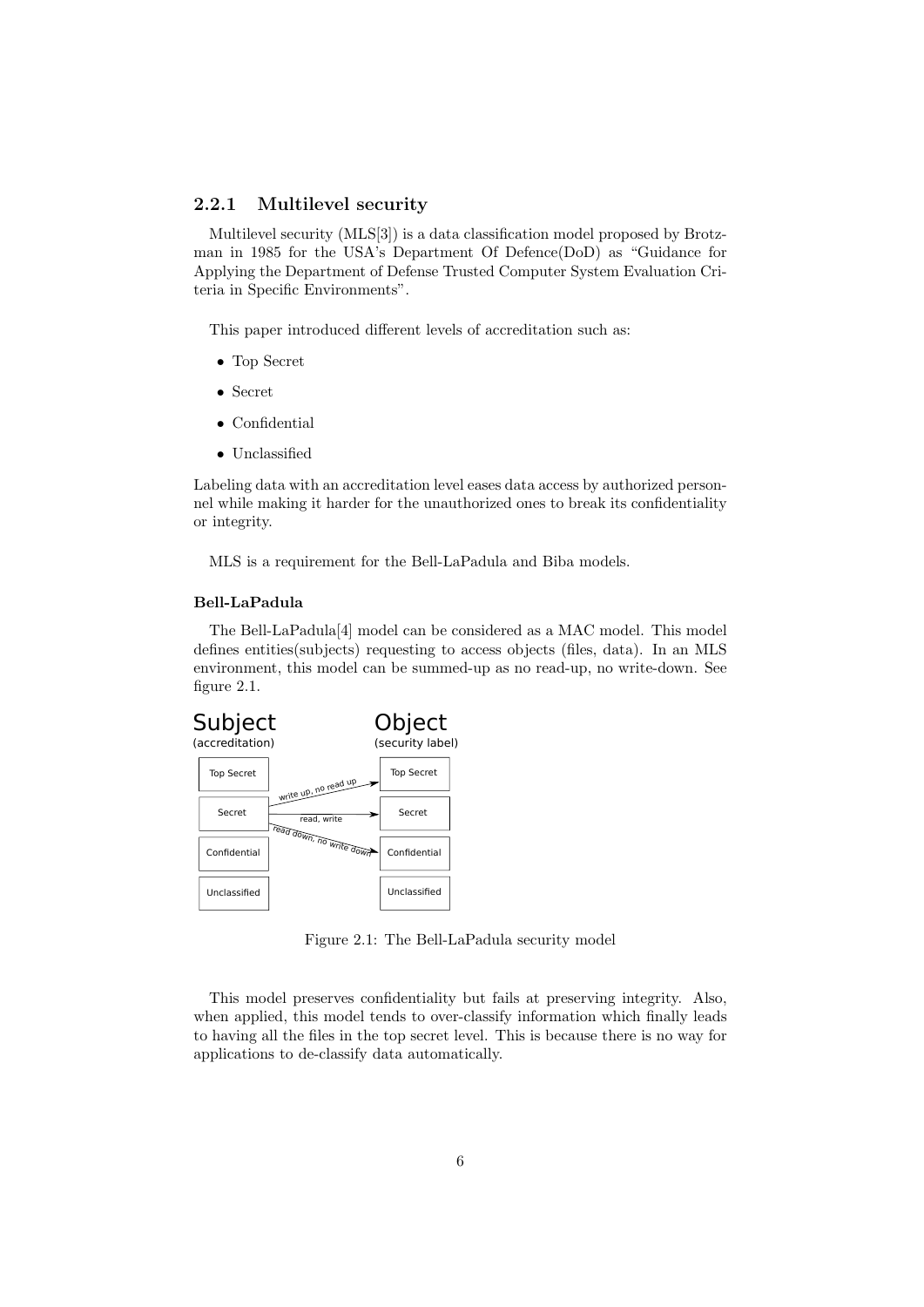#### 2.2.1 Multilevel security

Multilevel security (MLS[3]) is a data classification model proposed by Brotzman in 1985 for the USA's Department Of Defence(DoD) as "Guidance for Applying the Department of Defense Trusted Computer System Evaluation Criteria in Specific Environments".

This paper introduced different levels of accreditation such as:

- Top Secret
- Secret
- Confidential
- Unclassified

Labeling data with an accreditation level eases data access by authorized personnel while making it harder for the unauthorized ones to break its confidentiality or integrity.

MLS is a requirement for the Bell-LaPadula and Biba models.

#### Bell-LaPadula

The Bell-LaPadula[4] model can be considered as a MAC model. This model defines entities(subjects) requesting to access objects (files, data). In an MLS environment, this model can be summed-up as no read-up, no write-down. See figure 2.1.



Figure 2.1: The Bell-LaPadula security model

This model preserves confidentiality but fails at preserving integrity. Also, when applied, this model tends to over-classify information which finally leads to having all the files in the top secret level. This is because there is no way for applications to de-classify data automatically.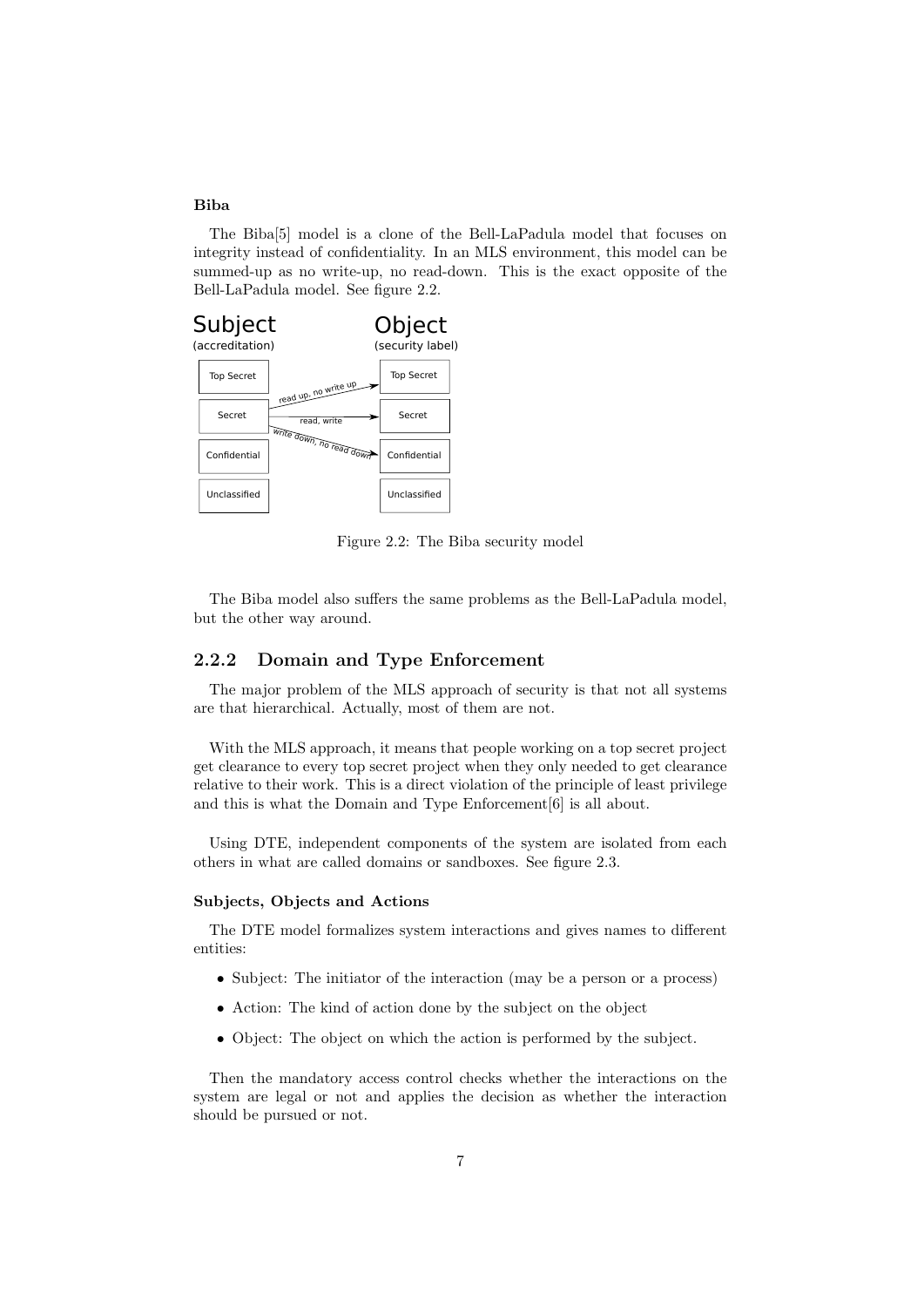#### Biba

The Biba[5] model is a clone of the Bell-LaPadula model that focuses on integrity instead of confidentiality. In an MLS environment, this model can be summed-up as no write-up, no read-down. This is the exact opposite of the Bell-LaPadula model. See figure 2.2.



Figure 2.2: The Biba security model

The Biba model also suffers the same problems as the Bell-LaPadula model, but the other way around.

#### 2.2.2 Domain and Type Enforcement

The major problem of the MLS approach of security is that not all systems are that hierarchical. Actually, most of them are not.

With the MLS approach, it means that people working on a top secret project get clearance to every top secret project when they only needed to get clearance relative to their work. This is a direct violation of the principle of least privilege and this is what the Domain and Type Enforcement[6] is all about.

Using DTE, independent components of the system are isolated from each others in what are called domains or sandboxes. See figure 2.3.

#### Subjects, Objects and Actions

The DTE model formalizes system interactions and gives names to different entities:

- Subject: The initiator of the interaction (may be a person or a process)
- Action: The kind of action done by the subject on the object
- Object: The object on which the action is performed by the subject.

Then the mandatory access control checks whether the interactions on the system are legal or not and applies the decision as whether the interaction should be pursued or not.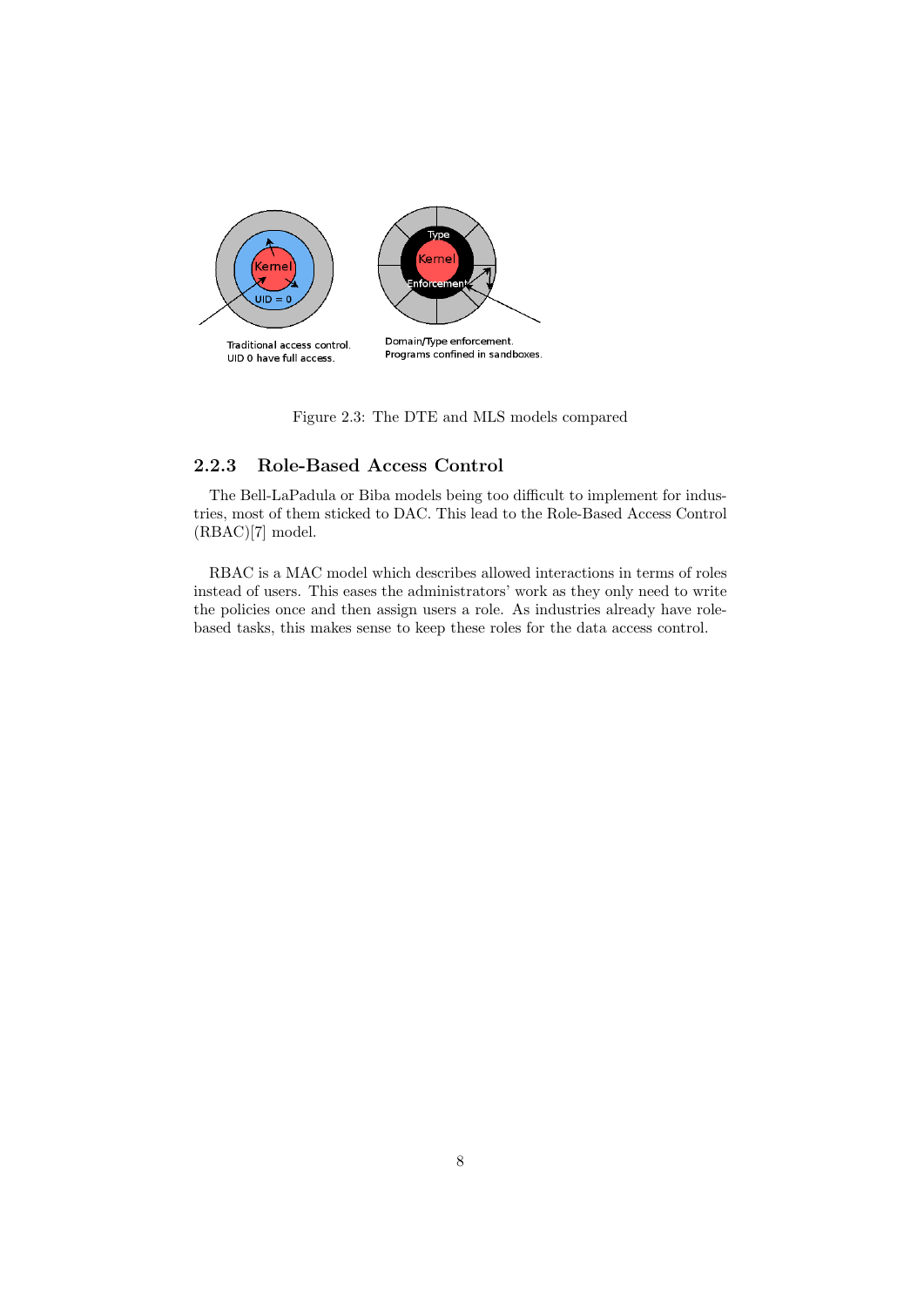

Figure 2.3: The DTE and MLS models compared

### 2.2.3 Role-Based Access Control

The Bell-LaPadula or Biba models being too difficult to implement for industries, most of them sticked to DAC. This lead to the Role-Based Access Control (RBAC)[7] model.

RBAC is a MAC model which describes allowed interactions in terms of roles instead of users. This eases the administrators' work as they only need to write the policies once and then assign users a role. As industries already have rolebased tasks, this makes sense to keep these roles for the data access control.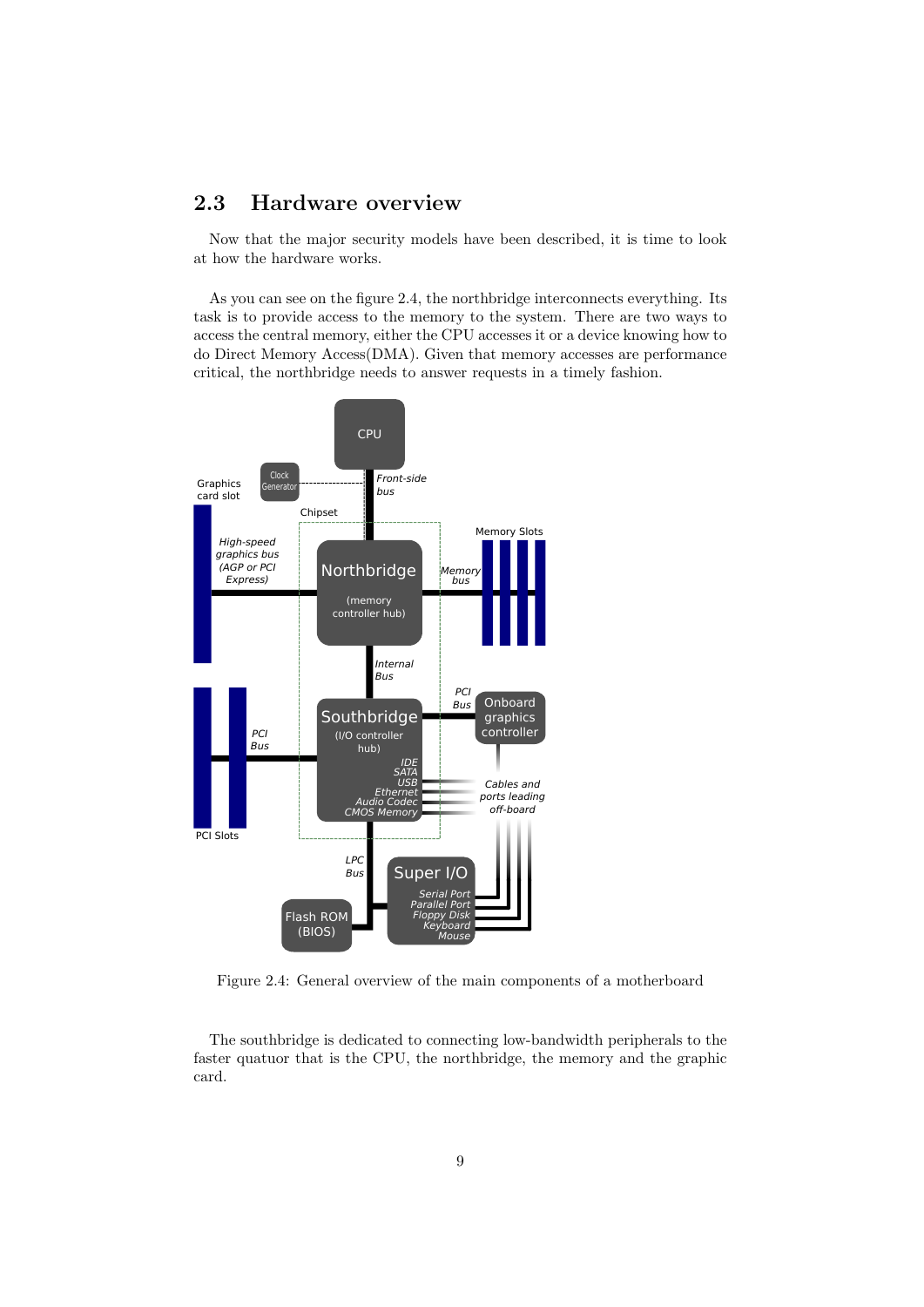# 2.3 Hardware overview

Now that the major security models have been described, it is time to look at how the hardware works.

As you can see on the figure 2.4, the northbridge interconnects everything. Its task is to provide access to the memory to the system. There are two ways to access the central memory, either the CPU accesses it or a device knowing how to do Direct Memory Access(DMA). Given that memory accesses are performance critical, the northbridge needs to answer requests in a timely fashion.



Figure 2.4: General overview of the main components of a motherboard

The southbridge is dedicated to connecting low-bandwidth peripherals to the faster quatuor that is the CPU, the northbridge, the memory and the graphic card.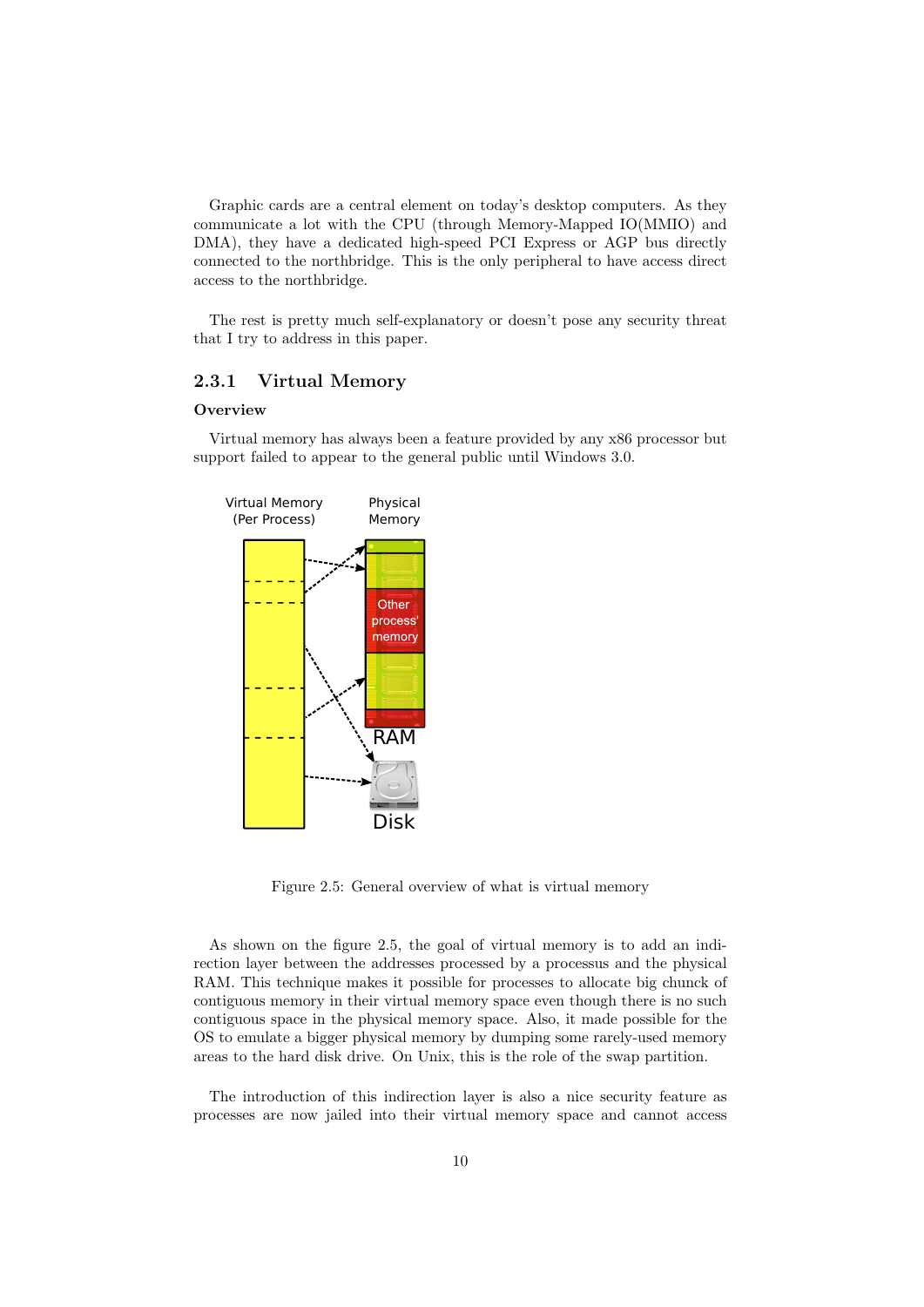Graphic cards are a central element on today's desktop computers. As they communicate a lot with the CPU (through Memory-Mapped IO(MMIO) and DMA), they have a dedicated high-speed PCI Express or AGP bus directly connected to the northbridge. This is the only peripheral to have access direct access to the northbridge.

The rest is pretty much self-explanatory or doesn't pose any security threat that I try to address in this paper.

#### 2.3.1 Virtual Memory

#### **Overview**

Virtual memory has always been a feature provided by any x86 processor but support failed to appear to the general public until Windows 3.0.



Figure 2.5: General overview of what is virtual memory

As shown on the figure 2.5, the goal of virtual memory is to add an indirection layer between the addresses processed by a processus and the physical RAM. This technique makes it possible for processes to allocate big chunck of contiguous memory in their virtual memory space even though there is no such contiguous space in the physical memory space. Also, it made possible for the OS to emulate a bigger physical memory by dumping some rarely-used memory areas to the hard disk drive. On Unix, this is the role of the swap partition.

The introduction of this indirection layer is also a nice security feature as processes are now jailed into their virtual memory space and cannot access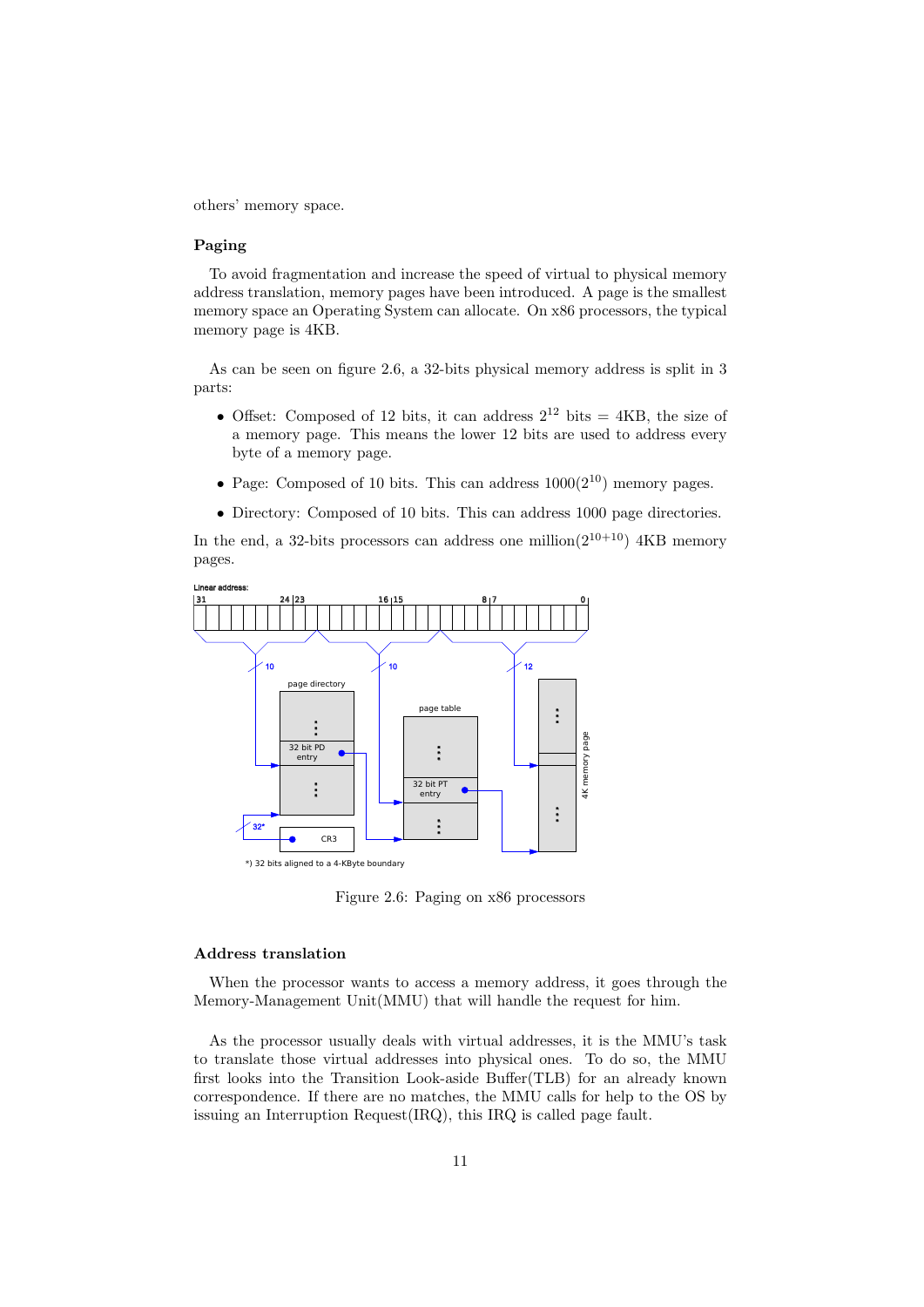others' memory space.

#### Paging

To avoid fragmentation and increase the speed of virtual to physical memory address translation, memory pages have been introduced. A page is the smallest memory space an Operating System can allocate. On x86 processors, the typical memory page is 4KB.

As can be seen on figure 2.6, a 32-bits physical memory address is split in 3 parts:

- Offset: Composed of 12 bits, it can address  $2^{12}$  bits = 4KB, the size of a memory page. This means the lower 12 bits are used to address every byte of a memory page.
- Page: Composed of 10 bits. This can address  $1000(2^{10})$  memory pages.
- Directory: Composed of 10 bits. This can address 1000 page directories.

In the end, a 32-bits processors can address one million( $2^{10+10}$ ) 4KB memory pages.



Figure 2.6: Paging on x86 processors

#### Address translation

When the processor wants to access a memory address, it goes through the Memory-Management Unit(MMU) that will handle the request for him.

As the processor usually deals with virtual addresses, it is the MMU's task to translate those virtual addresses into physical ones. To do so, the MMU first looks into the Transition Look-aside Buffer(TLB) for an already known correspondence. If there are no matches, the MMU calls for help to the OS by issuing an Interruption Request(IRQ), this IRQ is called page fault.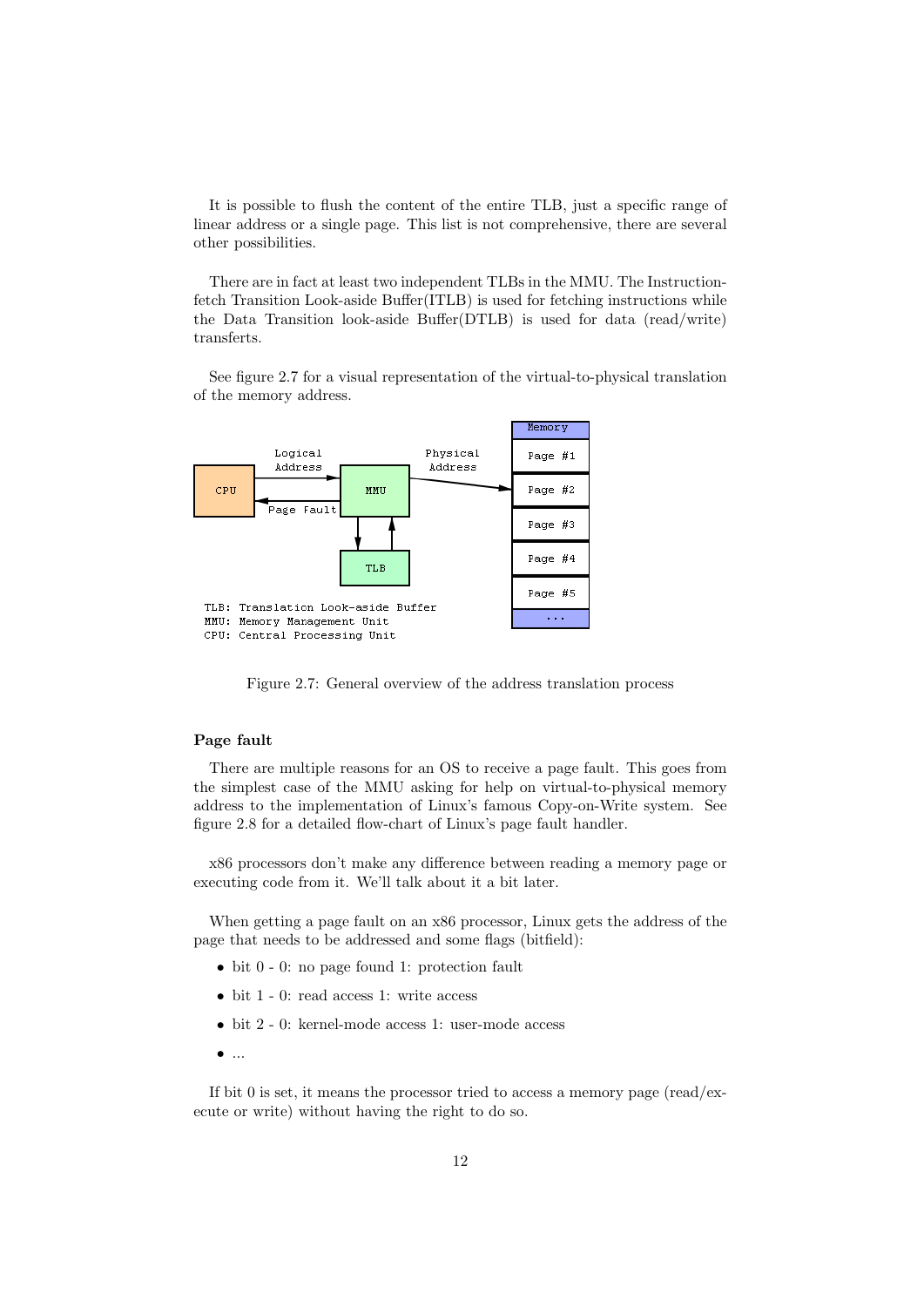It is possible to flush the content of the entire TLB, just a specific range of linear address or a single page. This list is not comprehensive, there are several other possibilities.

There are in fact at least two independent TLBs in the MMU. The Instructionfetch Transition Look-aside Buffer(ITLB) is used for fetching instructions while the Data Transition look-aside Buffer(DTLB) is used for data (read/write) transferts.

See figure 2.7 for a visual representation of the virtual-to-physical translation of the memory address.



Figure 2.7: General overview of the address translation process

#### Page fault

There are multiple reasons for an OS to receive a page fault. This goes from the simplest case of the MMU asking for help on virtual-to-physical memory address to the implementation of Linux's famous Copy-on-Write system. See figure 2.8 for a detailed flow-chart of Linux's page fault handler.

x86 processors don't make any difference between reading a memory page or executing code from it. We'll talk about it a bit later.

When getting a page fault on an x86 processor, Linux gets the address of the page that needs to be addressed and some flags (bitfield):

- bit 0 0: no page found 1: protection fault
- bit 1 0: read access 1: write access
- bit 2 0: kernel-mode access 1: user-mode access
- $\bullet$  ...

If bit 0 is set, it means the processor tried to access a memory page (read/execute or write) without having the right to do so.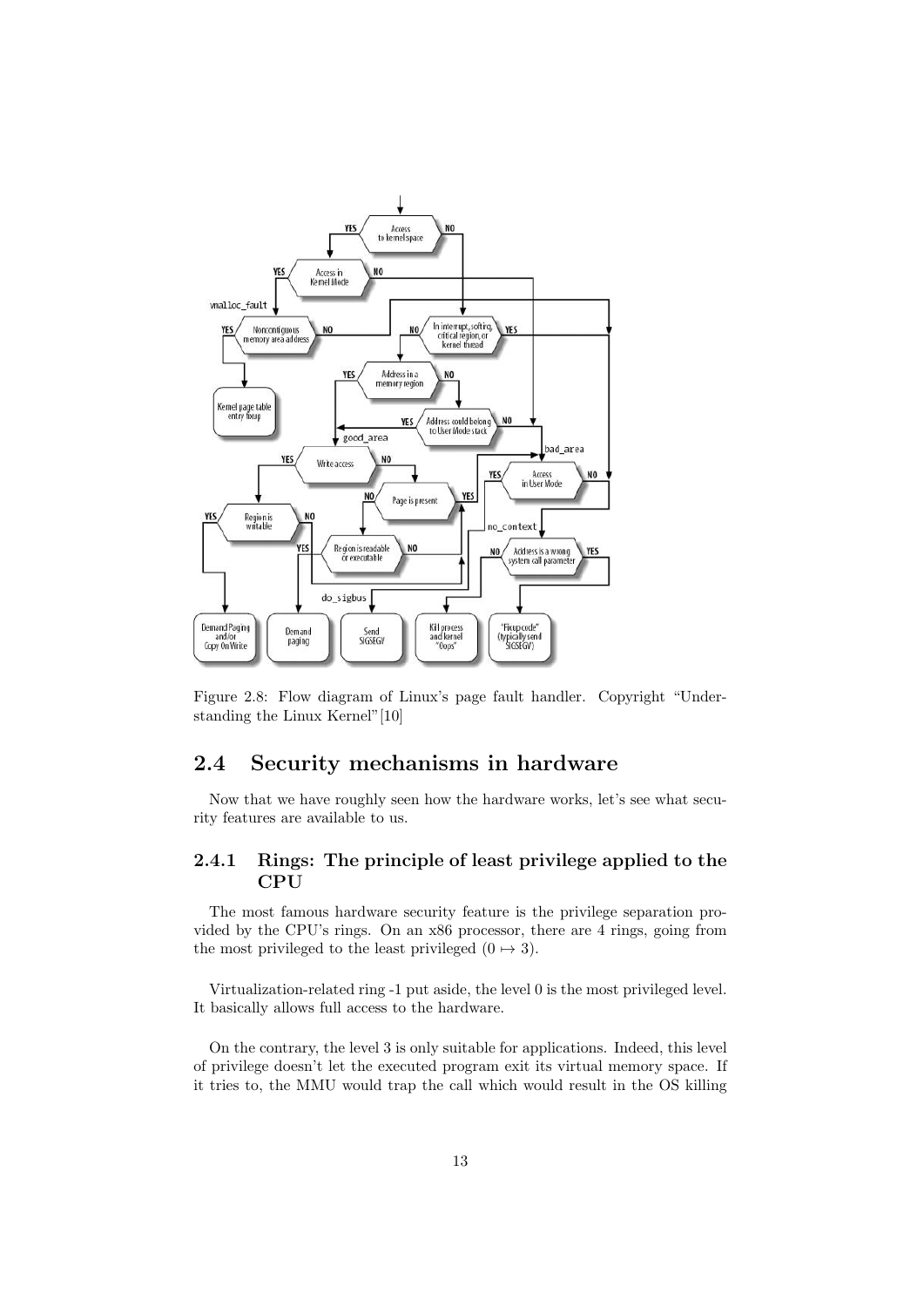

Figure 2.8: Flow diagram of Linux's page fault handler. Copyright "Understanding the Linux Kernel"[10]

# 2.4 Security mechanisms in hardware

Now that we have roughly seen how the hardware works, let's see what security features are available to us.

### 2.4.1 Rings: The principle of least privilege applied to the **CPU**

The most famous hardware security feature is the privilege separation provided by the CPU's rings. On an x86 processor, there are 4 rings, going from the most privileged to the least privileged  $(0 \rightarrow 3)$ .

Virtualization-related ring -1 put aside, the level 0 is the most privileged level. It basically allows full access to the hardware.

On the contrary, the level 3 is only suitable for applications. Indeed, this level of privilege doesn't let the executed program exit its virtual memory space. If it tries to, the MMU would trap the call which would result in the OS killing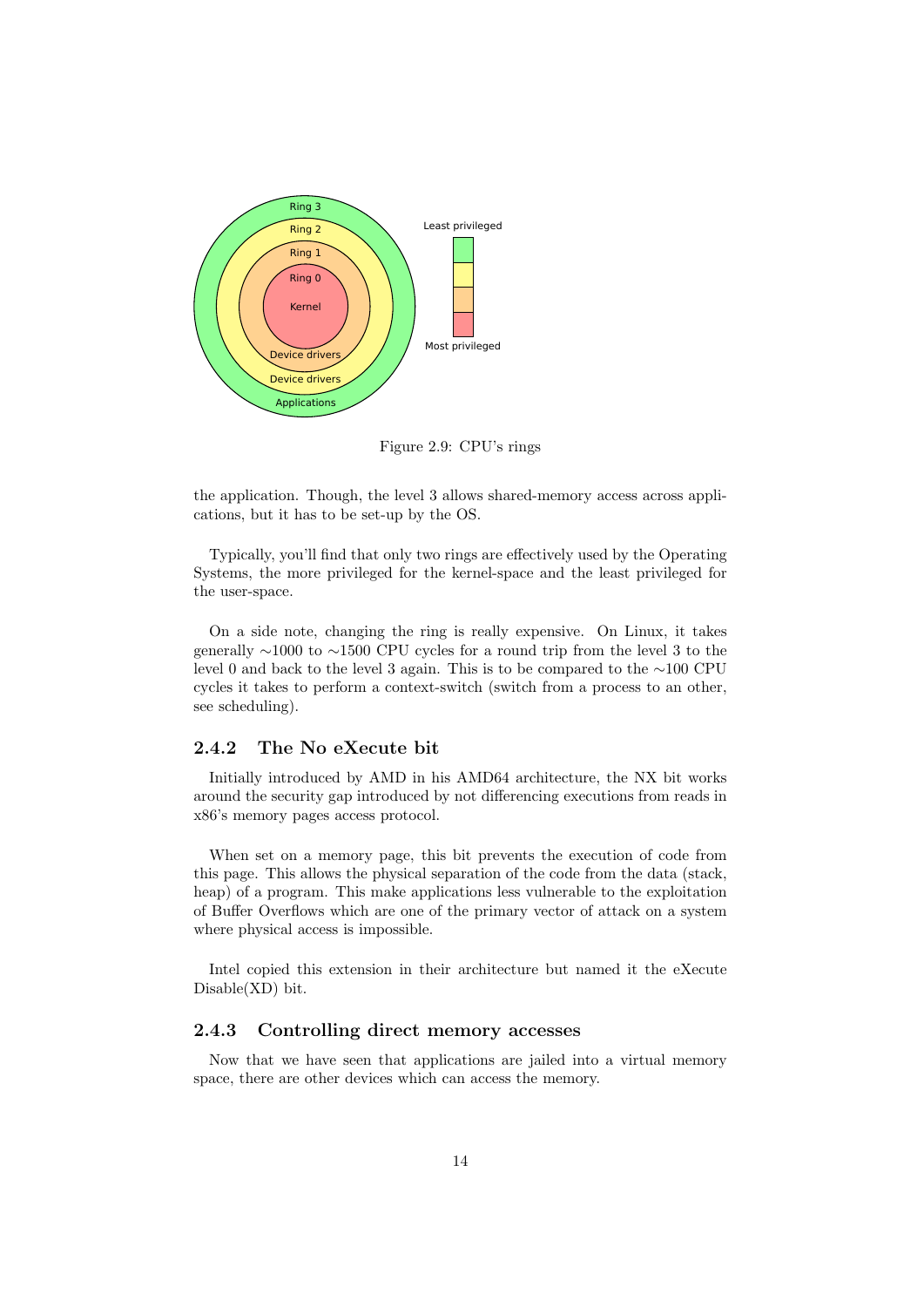

Figure 2.9: CPU's rings

the application. Though, the level 3 allows shared-memory access across applications, but it has to be set-up by the OS.

Typically, you'll find that only two rings are effectively used by the Operating Systems, the more privileged for the kernel-space and the least privileged for the user-space.

On a side note, changing the ring is really expensive. On Linux, it takes generally ∼1000 to ∼1500 CPU cycles for a round trip from the level 3 to the level 0 and back to the level 3 again. This is to be compared to the ∼100 CPU cycles it takes to perform a context-switch (switch from a process to an other, see scheduling).

#### 2.4.2 The No eXecute bit

Initially introduced by AMD in his AMD64 architecture, the NX bit works around the security gap introduced by not differencing executions from reads in x86's memory pages access protocol.

When set on a memory page, this bit prevents the execution of code from this page. This allows the physical separation of the code from the data (stack, heap) of a program. This make applications less vulnerable to the exploitation of Buffer Overflows which are one of the primary vector of attack on a system where physical access is impossible.

Intel copied this extension in their architecture but named it the eXecute Disable(XD) bit.

#### 2.4.3 Controlling direct memory accesses

Now that we have seen that applications are jailed into a virtual memory space, there are other devices which can access the memory.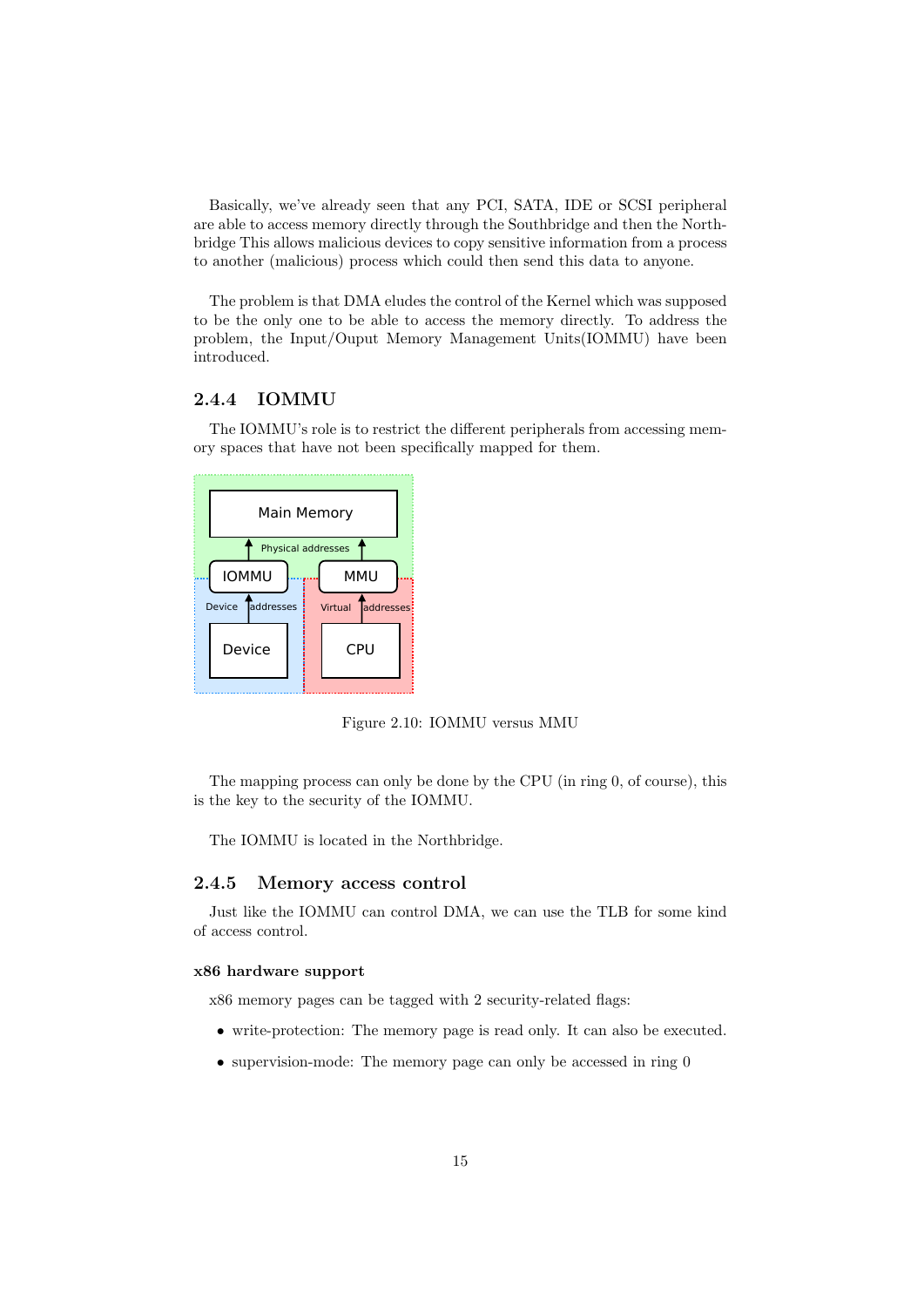Basically, we've already seen that any PCI, SATA, IDE or SCSI peripheral are able to access memory directly through the Southbridge and then the Northbridge This allows malicious devices to copy sensitive information from a process to another (malicious) process which could then send this data to anyone.

The problem is that DMA eludes the control of the Kernel which was supposed to be the only one to be able to access the memory directly. To address the problem, the Input/Ouput Memory Management Units(IOMMU) have been introduced.

### 2.4.4 IOMMU

The IOMMU's role is to restrict the different peripherals from accessing memory spaces that have not been specifically mapped for them.

|              |                   |  | <b>Main Memory</b>       |  |
|--------------|-------------------|--|--------------------------|--|
|              |                   |  | Physical addresses       |  |
| <b>IOMMU</b> | Device Taddresses |  | MMU<br>Virtual addresses |  |
| Device       |                   |  | CPU                      |  |
|              |                   |  |                          |  |

Figure 2.10: IOMMU versus MMU

The mapping process can only be done by the CPU (in ring 0, of course), this is the key to the security of the IOMMU.

The IOMMU is located in the Northbridge.

#### 2.4.5 Memory access control

Just like the IOMMU can control DMA, we can use the TLB for some kind of access control.

#### x86 hardware support

x86 memory pages can be tagged with 2 security-related flags:

- write-protection: The memory page is read only. It can also be executed.
- supervision-mode: The memory page can only be accessed in ring  $0$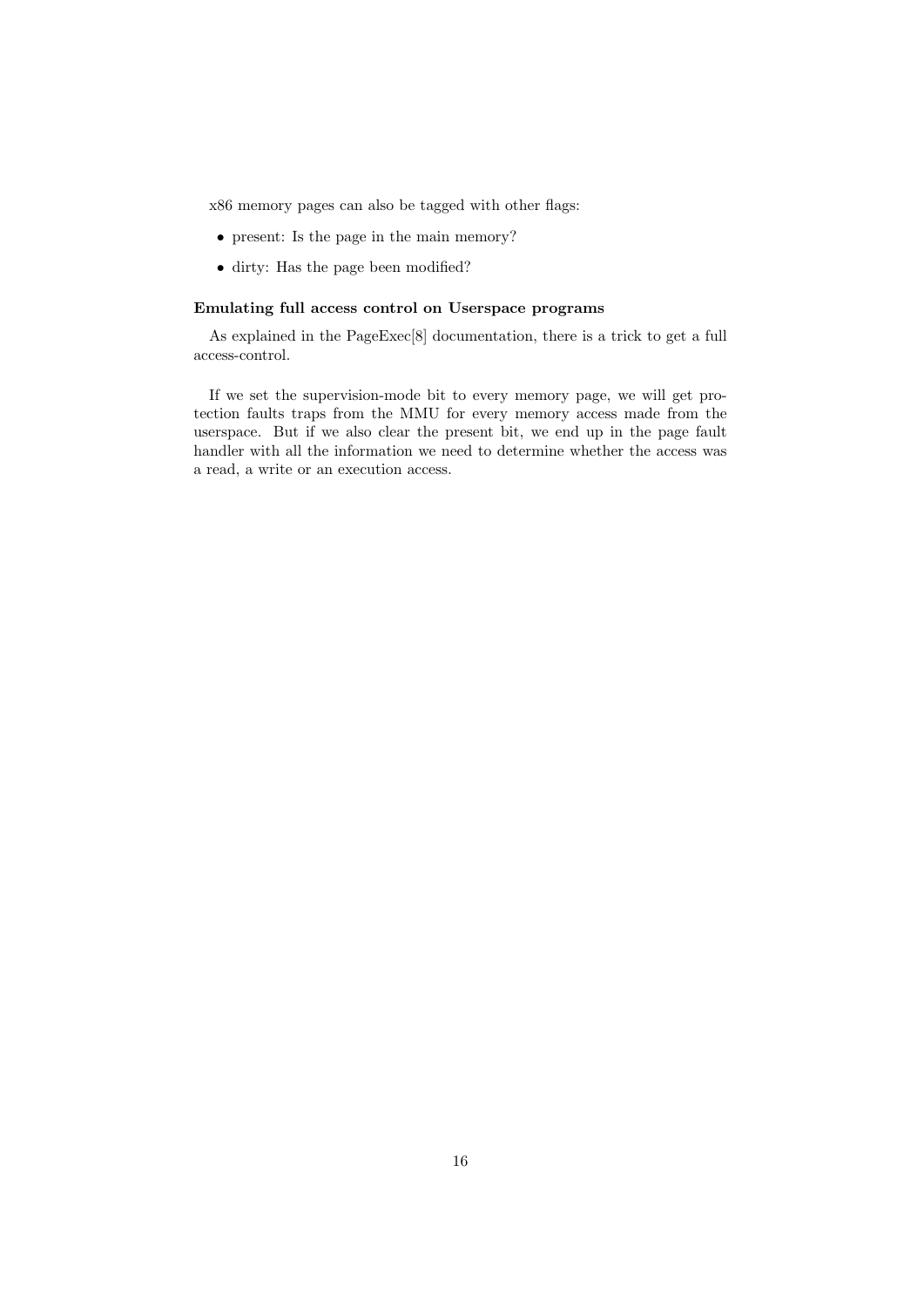x86 memory pages can also be tagged with other flags:

- present: Is the page in the main memory?
- dirty: Has the page been modified?

#### Emulating full access control on Userspace programs

As explained in the PageExec[8] documentation, there is a trick to get a full access-control.

If we set the supervision-mode bit to every memory page, we will get protection faults traps from the MMU for every memory access made from the userspace. But if we also clear the present bit, we end up in the page fault handler with all the information we need to determine whether the access was a read, a write or an execution access.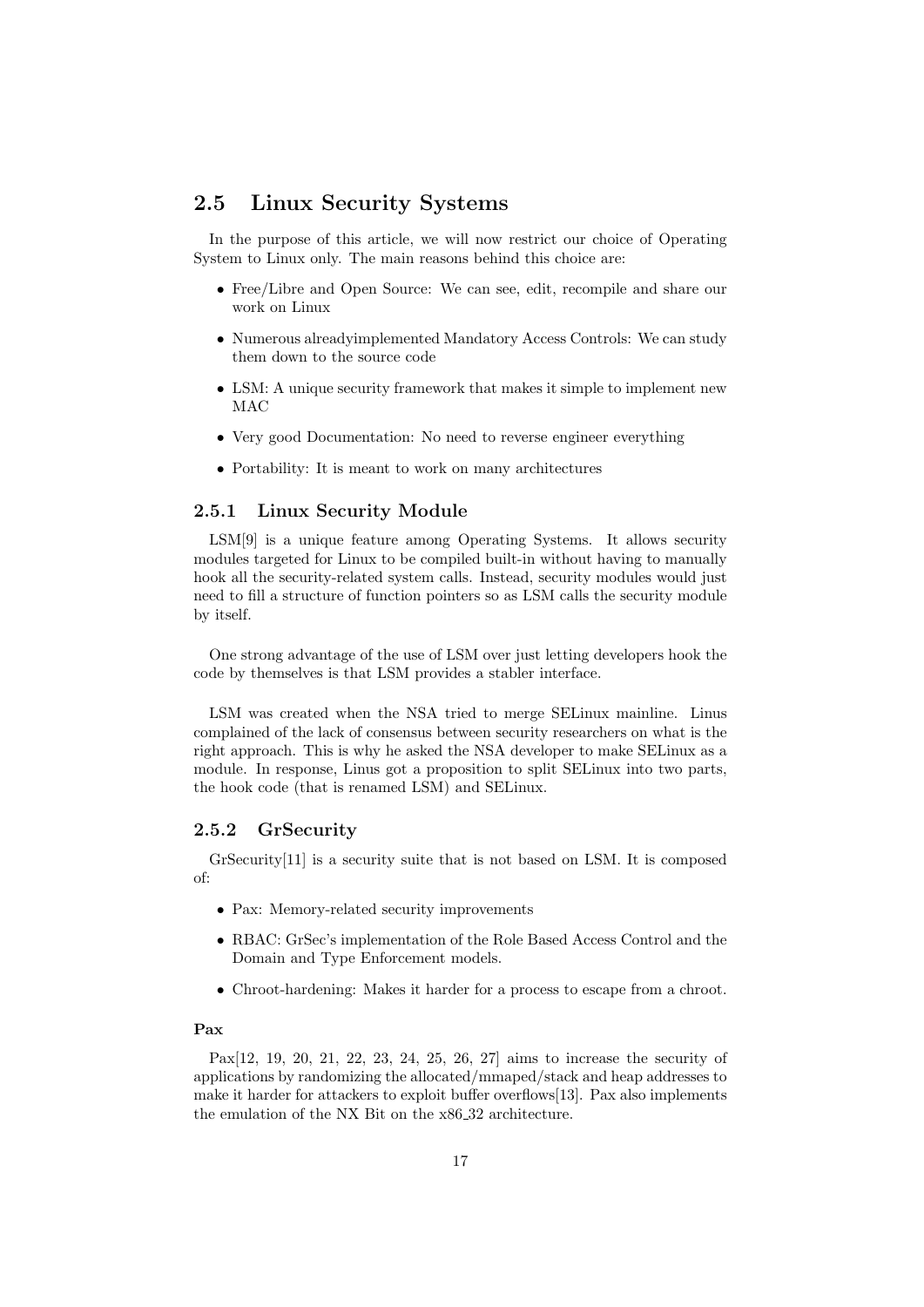## 2.5 Linux Security Systems

In the purpose of this article, we will now restrict our choice of Operating System to Linux only. The main reasons behind this choice are:

- Free/Libre and Open Source: We can see, edit, recompile and share our work on Linux
- Numerous alreadyimplemented Mandatory Access Controls: We can study them down to the source code
- LSM: A unique security framework that makes it simple to implement new MAC
- Very good Documentation: No need to reverse engineer everything
- Portability: It is meant to work on many architectures

#### 2.5.1 Linux Security Module

LSM[9] is a unique feature among Operating Systems. It allows security modules targeted for Linux to be compiled built-in without having to manually hook all the security-related system calls. Instead, security modules would just need to fill a structure of function pointers so as LSM calls the security module by itself.

One strong advantage of the use of LSM over just letting developers hook the code by themselves is that LSM provides a stabler interface.

LSM was created when the NSA tried to merge SELinux mainline. Linus complained of the lack of consensus between security researchers on what is the right approach. This is why he asked the NSA developer to make SELinux as a module. In response, Linus got a proposition to split SELinux into two parts, the hook code (that is renamed LSM) and SELinux.

#### 2.5.2 GrSecurity

GrSecurity[11] is a security suite that is not based on LSM. It is composed of:

- Pax: Memory-related security improvements
- RBAC: GrSec's implementation of the Role Based Access Control and the Domain and Type Enforcement models.
- Chroot-hardening: Makes it harder for a process to escape from a chroot.

#### Pax

Pax[12, 19, 20, 21, 22, 23, 24, 25, 26, 27] aims to increase the security of applications by randomizing the allocated/mmaped/stack and heap addresses to make it harder for attackers to exploit buffer overflows[13]. Pax also implements the emulation of the NX Bit on the x86 32 architecture.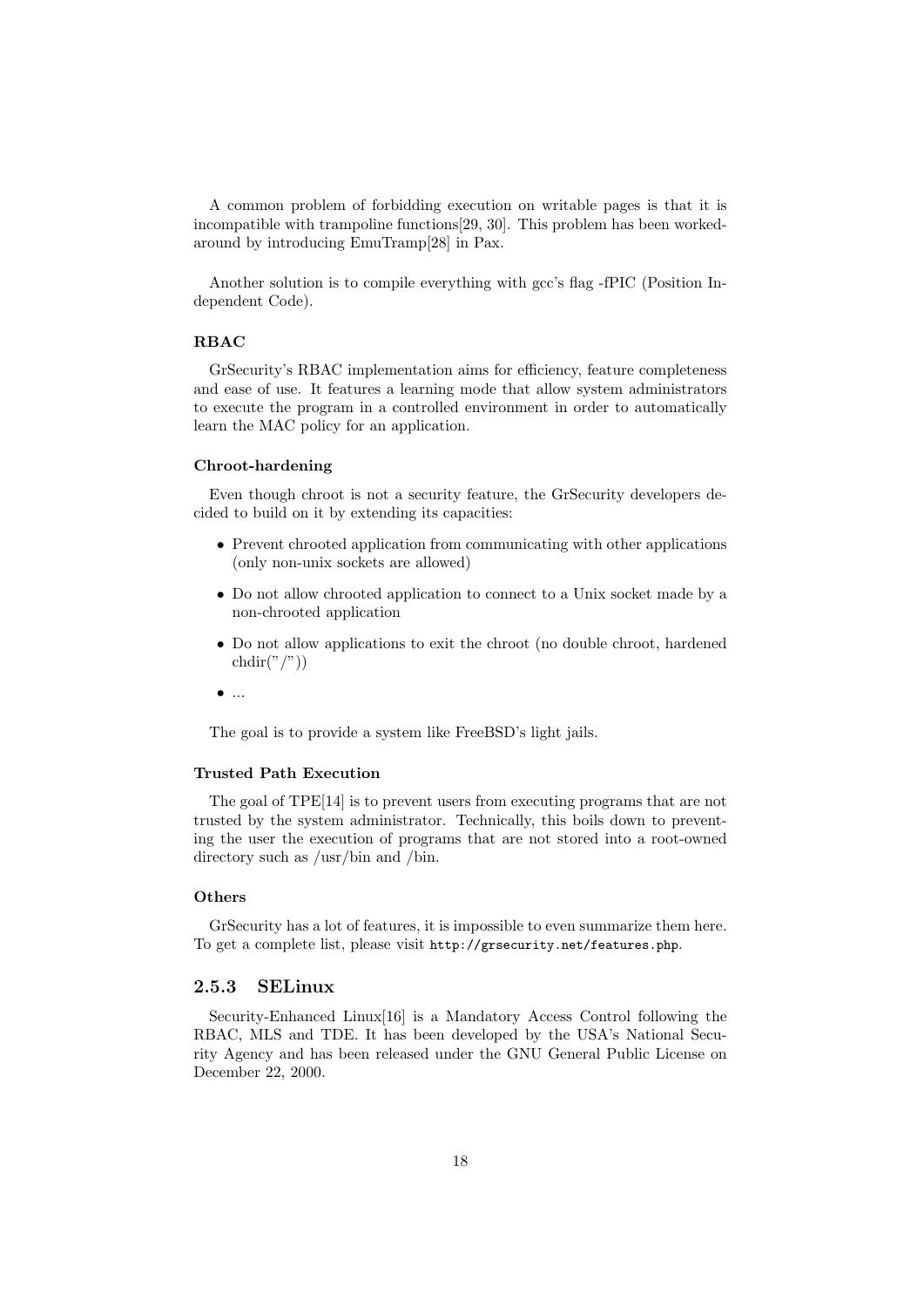A common problem of forbidding execution on writable pages is that it is incompatible with trampoline functions[29, 30]. This problem has been workedaround by introducing EmuTramp[28] in Pax.

Another solution is to compile everything with gcc's flag -fPIC (Position Independent Code).

#### RBAC

GrSecurity's RBAC implementation aims for efficiency, feature completeness and ease of use. It features a learning mode that allow system administrators to execute the program in a controlled environment in order to automatically learn the MAC policy for an application.

#### Chroot-hardening

Even though chroot is not a security feature, the GrSecurity developers decided to build on it by extending its capacities:

- Prevent chrooted application from communicating with other applications (only non-unix sockets are allowed)
- Do not allow chrooted application to connect to a Unix socket made by a non-chrooted application
- Do not allow applications to exit the chroot (no double chroot, hardened  $chdir("/")$
- $\bullet$  ...

The goal is to provide a system like FreeBSD's light jails.

#### Trusted Path Execution

The goal of TPE[14] is to prevent users from executing programs that are not trusted by the system administrator. Technically, this boils down to preventing the user the execution of programs that are not stored into a root-owned directory such as /usr/bin and /bin.

#### **Others**

GrSecurity has a lot of features, it is impossible to even summarize them here. To get a complete list, please visit http://grsecurity.net/features.php.

#### 2.5.3 SELinux

Security-Enhanced Linux[16] is a Mandatory Access Control following the RBAC, MLS and TDE. It has been developed by the USA's National Security Agency and has been released under the GNU General Public License on December 22, 2000.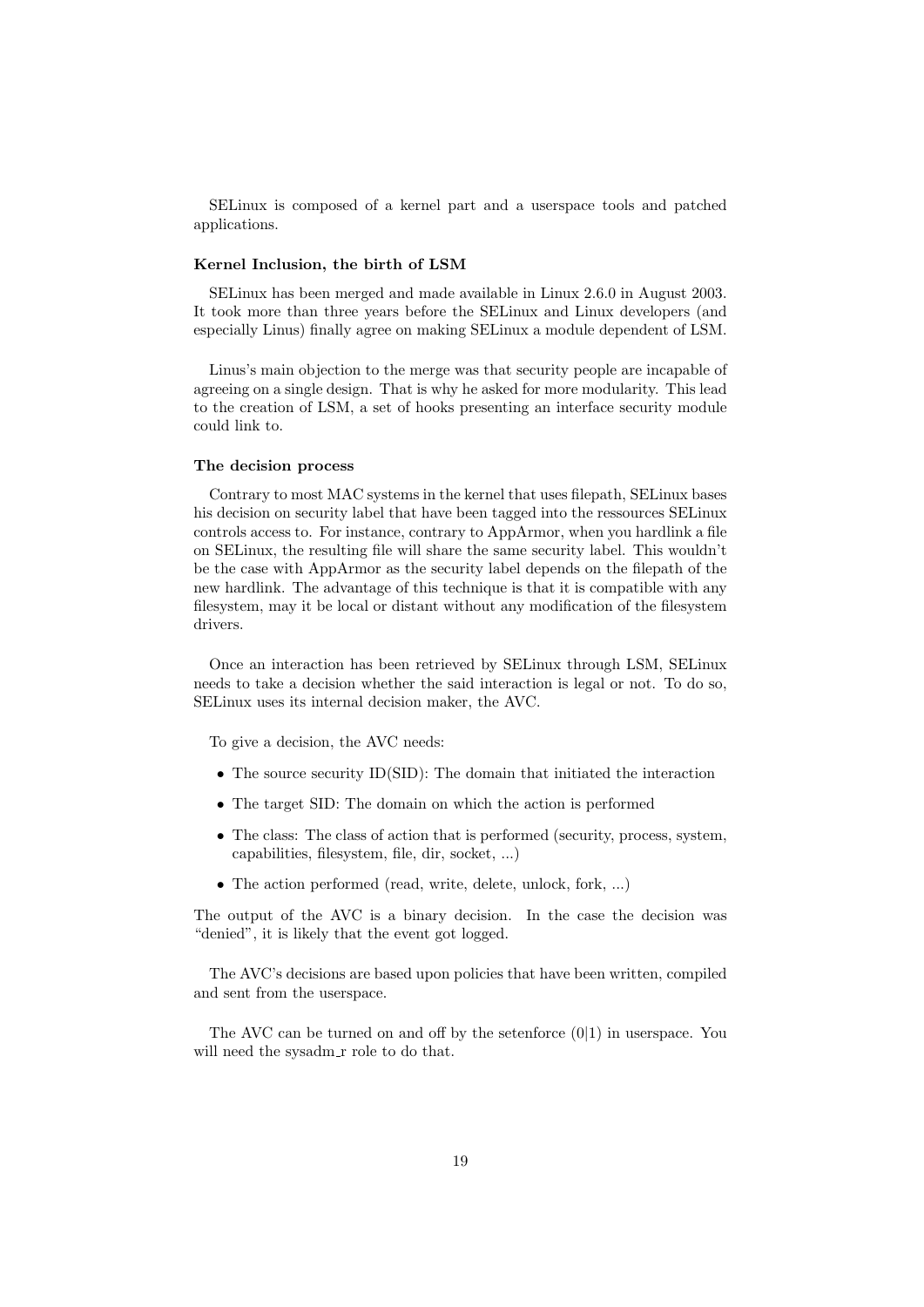SELinux is composed of a kernel part and a userspace tools and patched applications.

#### Kernel Inclusion, the birth of LSM

SELinux has been merged and made available in Linux 2.6.0 in August 2003. It took more than three years before the SELinux and Linux developers (and especially Linus) finally agree on making SELinux a module dependent of LSM.

Linus's main objection to the merge was that security people are incapable of agreeing on a single design. That is why he asked for more modularity. This lead to the creation of LSM, a set of hooks presenting an interface security module could link to.

#### The decision process

Contrary to most MAC systems in the kernel that uses filepath, SELinux bases his decision on security label that have been tagged into the ressources SELinux controls access to. For instance, contrary to AppArmor, when you hardlink a file on SELinux, the resulting file will share the same security label. This wouldn't be the case with AppArmor as the security label depends on the filepath of the new hardlink. The advantage of this technique is that it is compatible with any filesystem, may it be local or distant without any modification of the filesystem drivers.

Once an interaction has been retrieved by SELinux through LSM, SELinux needs to take a decision whether the said interaction is legal or not. To do so, SELinux uses its internal decision maker, the AVC.

To give a decision, the AVC needs:

- The source security ID(SID): The domain that initiated the interaction
- The target SID: The domain on which the action is performed
- The class: The class of action that is performed (security, process, system, capabilities, filesystem, file, dir, socket, ...)
- The action performed (read, write, delete, unlock, fork, ...)

The output of the AVC is a binary decision. In the case the decision was "denied", it is likely that the event got logged.

The AVC's decisions are based upon policies that have been written, compiled and sent from the userspace.

The AVC can be turned on and off by the setenforce (0|1) in userspace. You will need the sysadm\_r role to do that.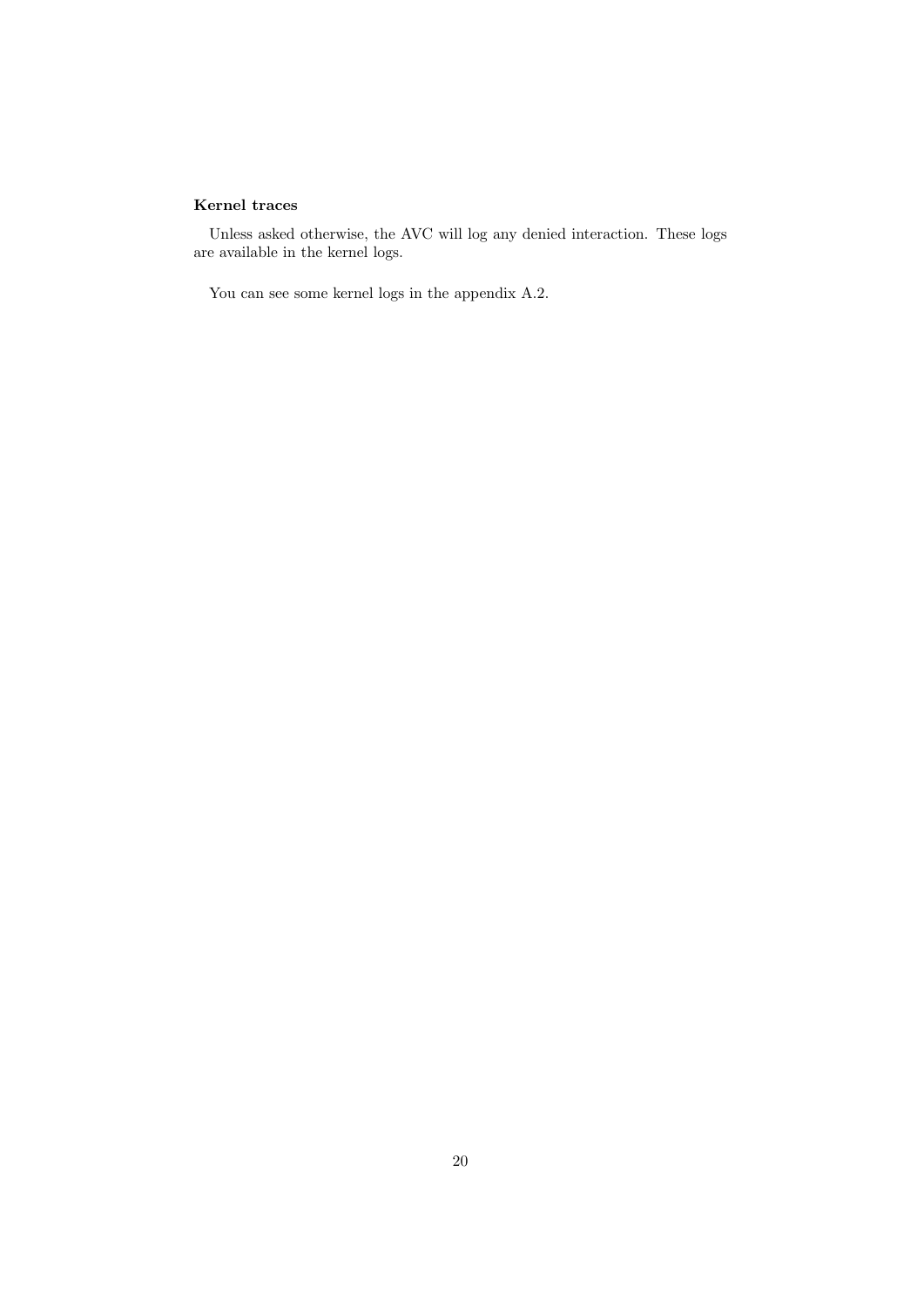#### Kernel traces

Unless asked otherwise, the AVC will log any denied interaction. These logs are available in the kernel logs.

You can see some kernel logs in the appendix A.2.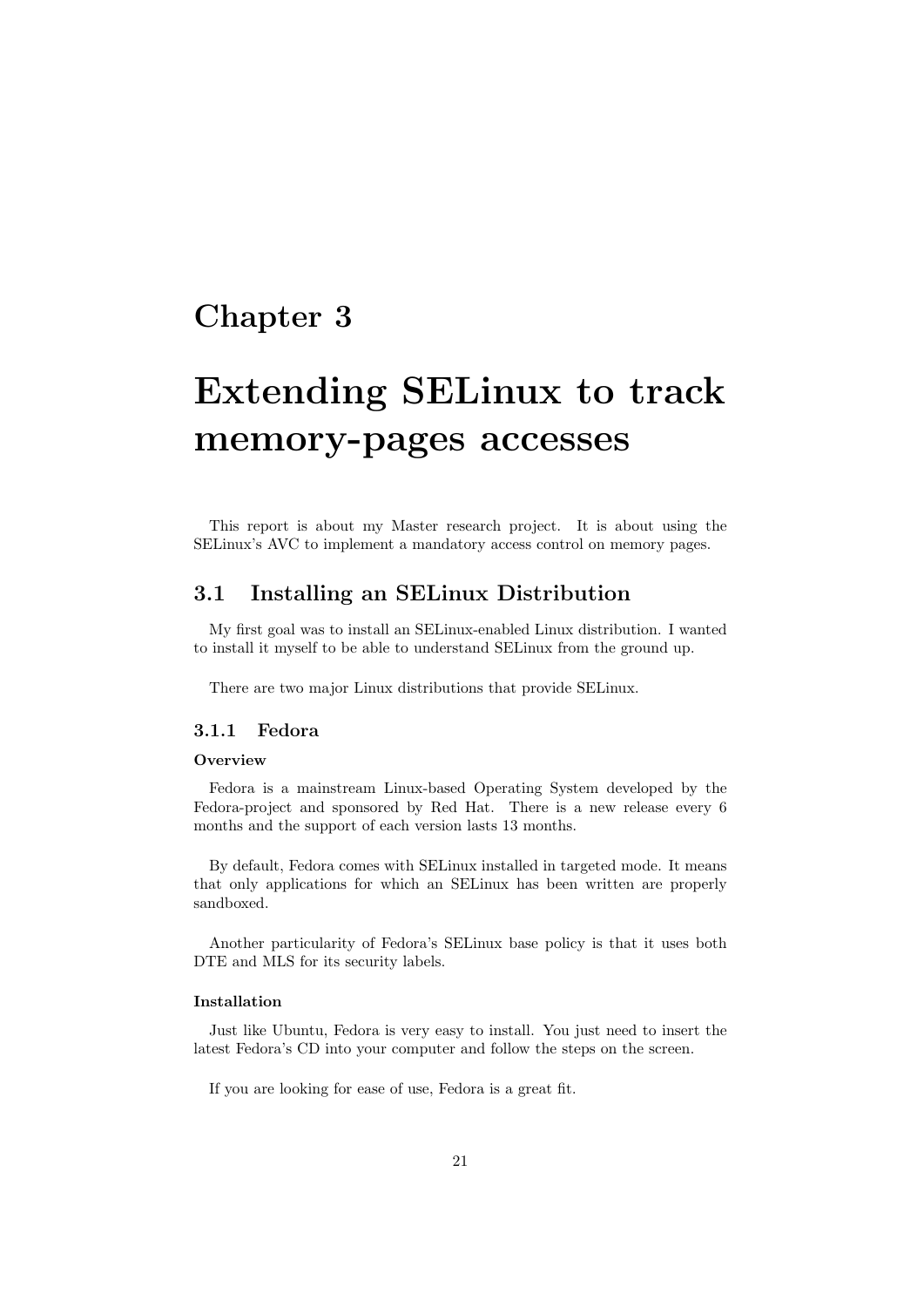# Chapter 3

# Extending SELinux to track memory-pages accesses

This report is about my Master research project. It is about using the SELinux's AVC to implement a mandatory access control on memory pages.

## 3.1 Installing an SELinux Distribution

My first goal was to install an SELinux-enabled Linux distribution. I wanted to install it myself to be able to understand SELinux from the ground up.

There are two major Linux distributions that provide SELinux.

#### 3.1.1 Fedora

#### **Overview**

Fedora is a mainstream Linux-based Operating System developed by the Fedora-project and sponsored by Red Hat. There is a new release every 6 months and the support of each version lasts 13 months.

By default, Fedora comes with SELinux installed in targeted mode. It means that only applications for which an SELinux has been written are properly sandboxed.

Another particularity of Fedora's SELinux base policy is that it uses both DTE and MLS for its security labels.

#### Installation

Just like Ubuntu, Fedora is very easy to install. You just need to insert the latest Fedora's CD into your computer and follow the steps on the screen.

If you are looking for ease of use, Fedora is a great fit.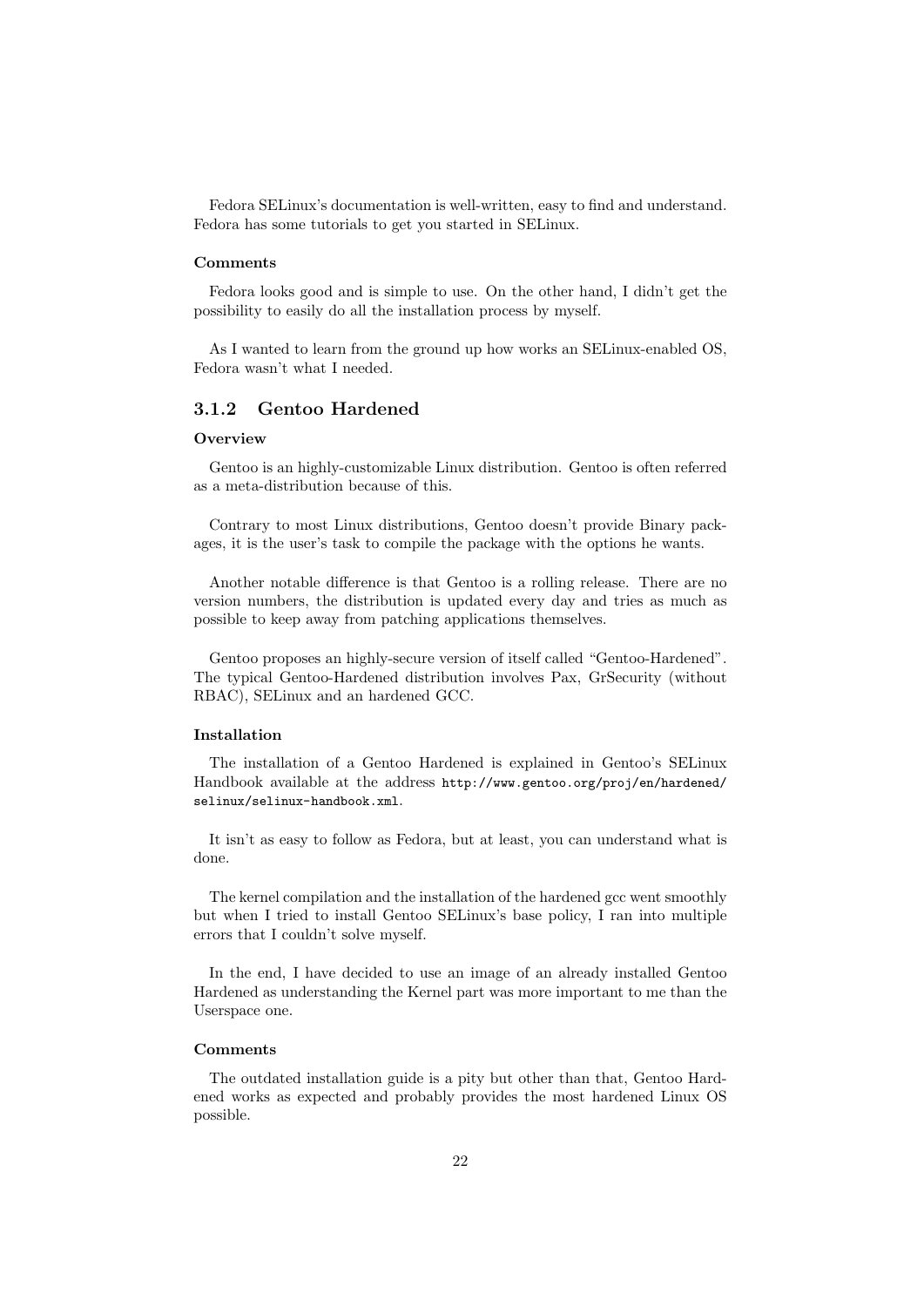Fedora SELinux's documentation is well-written, easy to find and understand. Fedora has some tutorials to get you started in SELinux.

#### Comments

Fedora looks good and is simple to use. On the other hand, I didn't get the possibility to easily do all the installation process by myself.

As I wanted to learn from the ground up how works an SELinux-enabled OS, Fedora wasn't what I needed.

#### 3.1.2 Gentoo Hardened

#### **Overview**

Gentoo is an highly-customizable Linux distribution. Gentoo is often referred as a meta-distribution because of this.

Contrary to most Linux distributions, Gentoo doesn't provide Binary packages, it is the user's task to compile the package with the options he wants.

Another notable difference is that Gentoo is a rolling release. There are no version numbers, the distribution is updated every day and tries as much as possible to keep away from patching applications themselves.

Gentoo proposes an highly-secure version of itself called "Gentoo-Hardened". The typical Gentoo-Hardened distribution involves Pax, GrSecurity (without RBAC), SELinux and an hardened GCC.

#### Installation

The installation of a Gentoo Hardened is explained in Gentoo's SELinux Handbook available at the address http://www.gentoo.org/proj/en/hardened/ selinux/selinux-handbook.xml.

It isn't as easy to follow as Fedora, but at least, you can understand what is done.

The kernel compilation and the installation of the hardened gcc went smoothly but when I tried to install Gentoo SELinux's base policy, I ran into multiple errors that I couldn't solve myself.

In the end, I have decided to use an image of an already installed Gentoo Hardened as understanding the Kernel part was more important to me than the Userspace one.

#### **Comments**

The outdated installation guide is a pity but other than that, Gentoo Hardened works as expected and probably provides the most hardened Linux OS possible.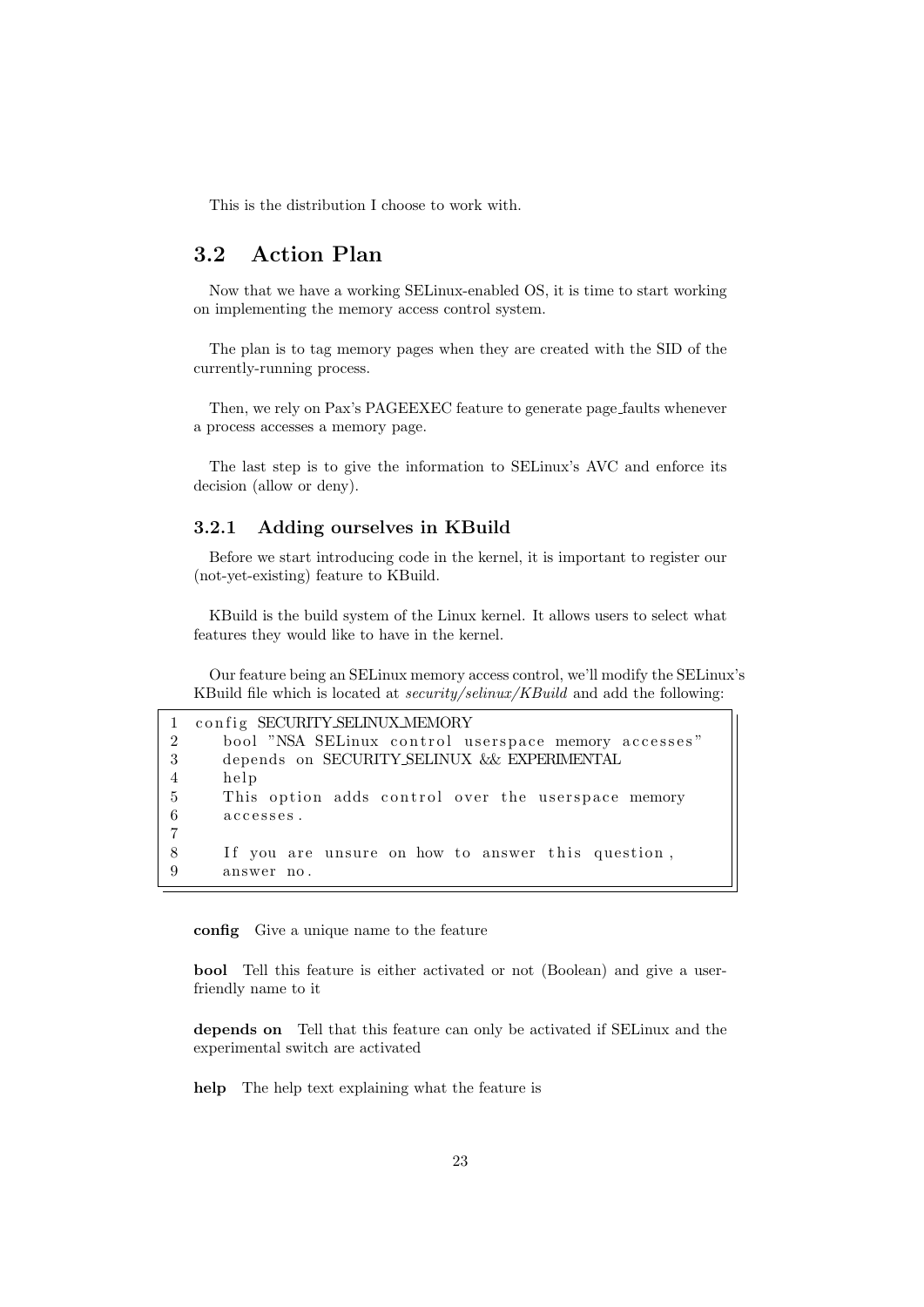This is the distribution I choose to work with.

# 3.2 Action Plan

Now that we have a working SELinux-enabled OS, it is time to start working on implementing the memory access control system.

The plan is to tag memory pages when they are created with the SID of the currently-running process.

Then, we rely on Pax's PAGEEXEC feature to generate page faults whenever a process accesses a memory page.

The last step is to give the information to SELinux's AVC and enforce its decision (allow or deny).

### 3.2.1 Adding ourselves in KBuild

Before we start introducing code in the kernel, it is important to register our (not-yet-existing) feature to KBuild.

KBuild is the build system of the Linux kernel. It allows users to select what features they would like to have in the kernel.

Our feature being an SELinux memory access control, we'll modify the SELinux's KBuild file which is located at security/selinux/KBuild and add the following:

|                | config SECURITY SELINUX MEMORY                       |
|----------------|------------------------------------------------------|
| $\mathcal{D}$  | bool "NSA SELinux control userspace memory accesses" |
| -3             | depends on SECURITY SELINUX & EXPERIMENTAL           |
| $\overline{4}$ | help                                                 |
| -5             | This option adds control over the userspace memory   |
| 6              | accesses.                                            |
| 7              |                                                      |
| 8              | If you are unsure on how to answer this question,    |
| 9              | answer no.                                           |

config Give a unique name to the feature

bool Tell this feature is either activated or not (Boolean) and give a userfriendly name to it

depends on Tell that this feature can only be activated if SELinux and the experimental switch are activated

help The help text explaining what the feature is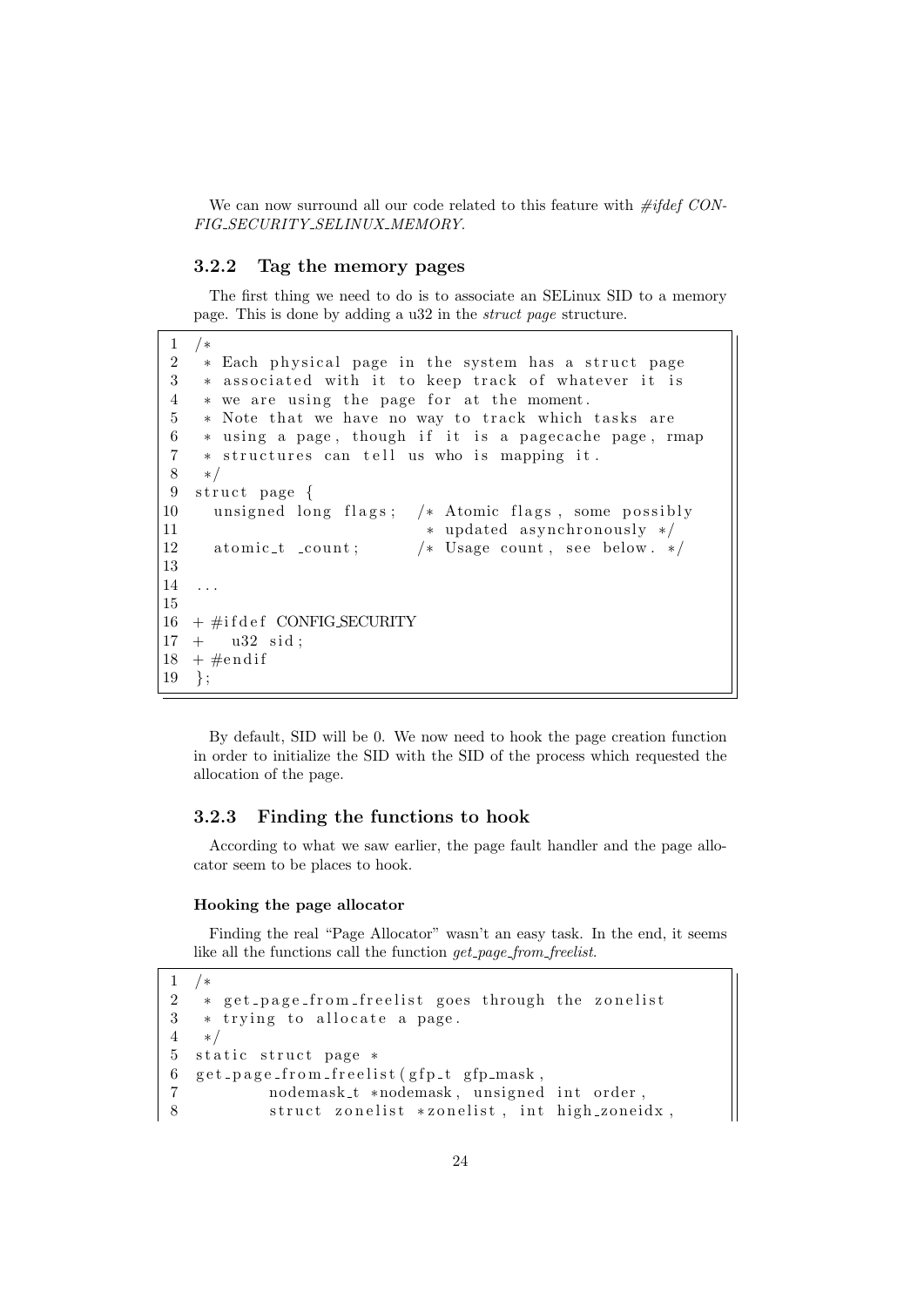We can now surround all our code related to this feature with  $\#ifdef$  CON-FIG SECURITY SELINUX MEMORY.

#### 3.2.2 Tag the memory pages

The first thing we need to do is to associate an SELinux SID to a memory page. This is done by adding a u32 in the struct page structure.

```
1 /∗
2 * Each physical page in the system has a struct page
3 * associated with it to keep track of whatever it is
4 * we are using the page for at the moment.
5 * Note that we have no way to track which tasks are
6 ∗ using a page, though if it is a pagecache page, rmap
7 * structures can tell us who is mapping it.
8 ∗/
9 struct page {
10 unsigned long flags; /* Atomic flags, some possibly
11 ∗ updated asynchronously */
12 atomic_t _count; /* Usage count, see below. */
13
14 . . .
15
16 + \text{\#ifdef} CONFIG SECURITY
17 + u32 \text{ sid};
18 + \text{\#endif}19 };
```
By default, SID will be 0. We now need to hook the page creation function in order to initialize the SID with the SID of the process which requested the allocation of the page.

#### 3.2.3 Finding the functions to hook

According to what we saw earlier, the page fault handler and the page allocator seem to be places to hook.

#### Hooking the page allocator

Finding the real "Page Allocator" wasn't an easy task. In the end, it seems like all the functions call the function *qet\_page\_from\_freelist*.

```
1 /∗
2 * get\_page\_from\_freelist goes through the zonelist
3 \times trying to allocate a page.
4 ∗/
5 static struct page *
6 get_page_from_freelist(gfp_t gfp_mask,
7 nodemask_t *nodemask, unsigned int order,
8 struct zonelist *zonelist, int high_zoneidx,
```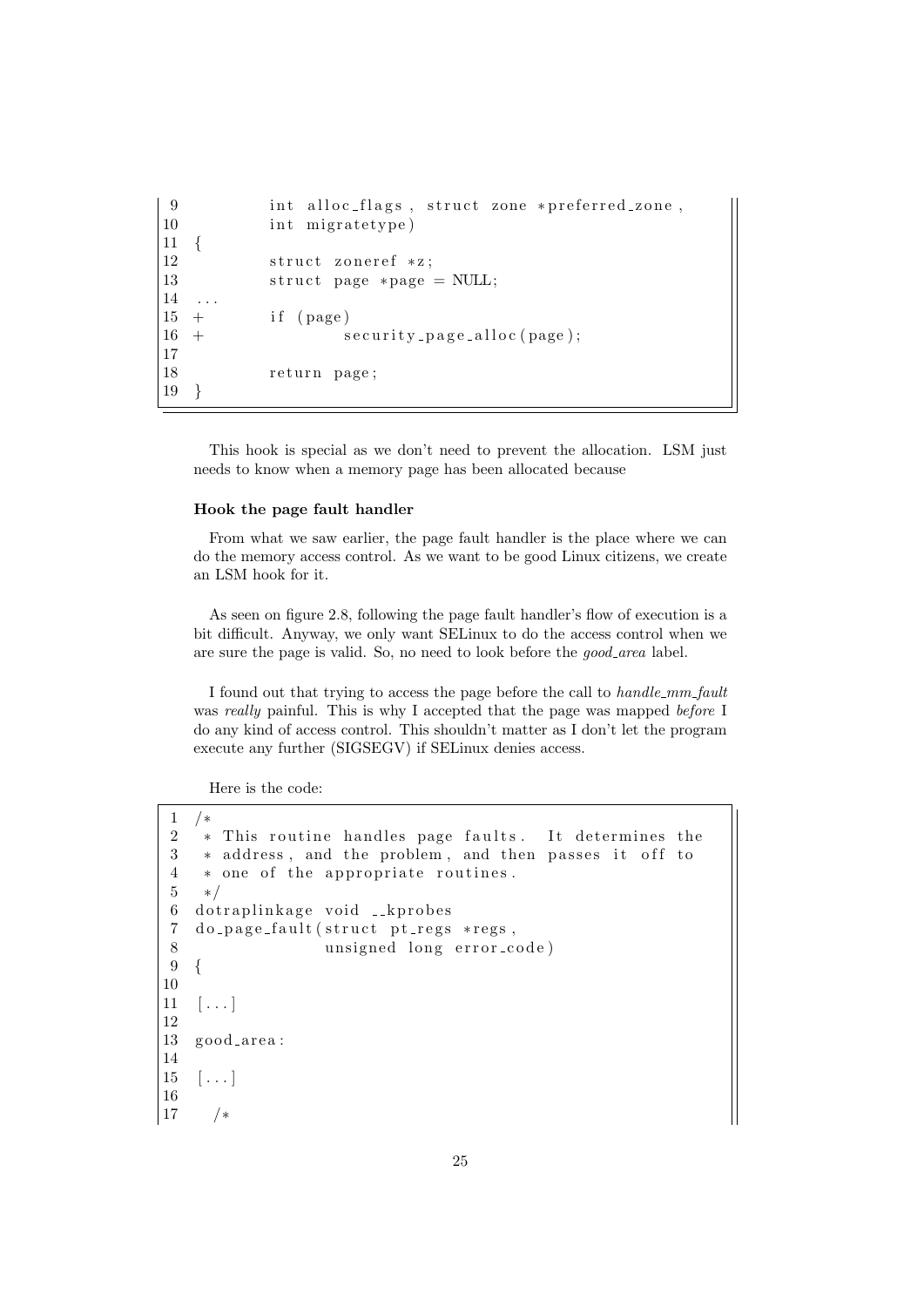```
9 int alloc_flags, struct zone *preferred_zone,
10 int migratetype)
11 {
12 struct zoneref *z;
13 struct page *page = NULL;
14
15 + i f ( page )
16 + security_page_alloc(page);
17
18 return page;
19 }
```
This hook is special as we don't need to prevent the allocation. LSM just needs to know when a memory page has been allocated because

#### Hook the page fault handler

From what we saw earlier, the page fault handler is the place where we can do the memory access control. As we want to be good Linux citizens, we create an LSM hook for it.

As seen on figure 2.8, following the page fault handler's flow of execution is a bit difficult. Anyway, we only want SELinux to do the access control when we are sure the page is valid. So, no need to look before the *good\_area* label.

I found out that trying to access the page before the call to handle\_mm\_fault was *really* painful. This is why I accepted that the page was mapped *before* I do any kind of access control. This shouldn't matter as I don't let the program execute any further (SIGSEGV) if SELinux denies access.

Here is the code:

```
1 /∗
2 * This routine handles page faults. It determines the
3 * address, and the problem, and then passes it off to
4 * one of the appropriate routines.
5 ∗/
6 dotraplinkage void __kprobes
7 do page fault (struct pt regs *regs,
8 unsigned long error_code)
9 {
10
11 \quad [\ldots]12
13 good_area:
14
15 \ldots16
17 /∗
```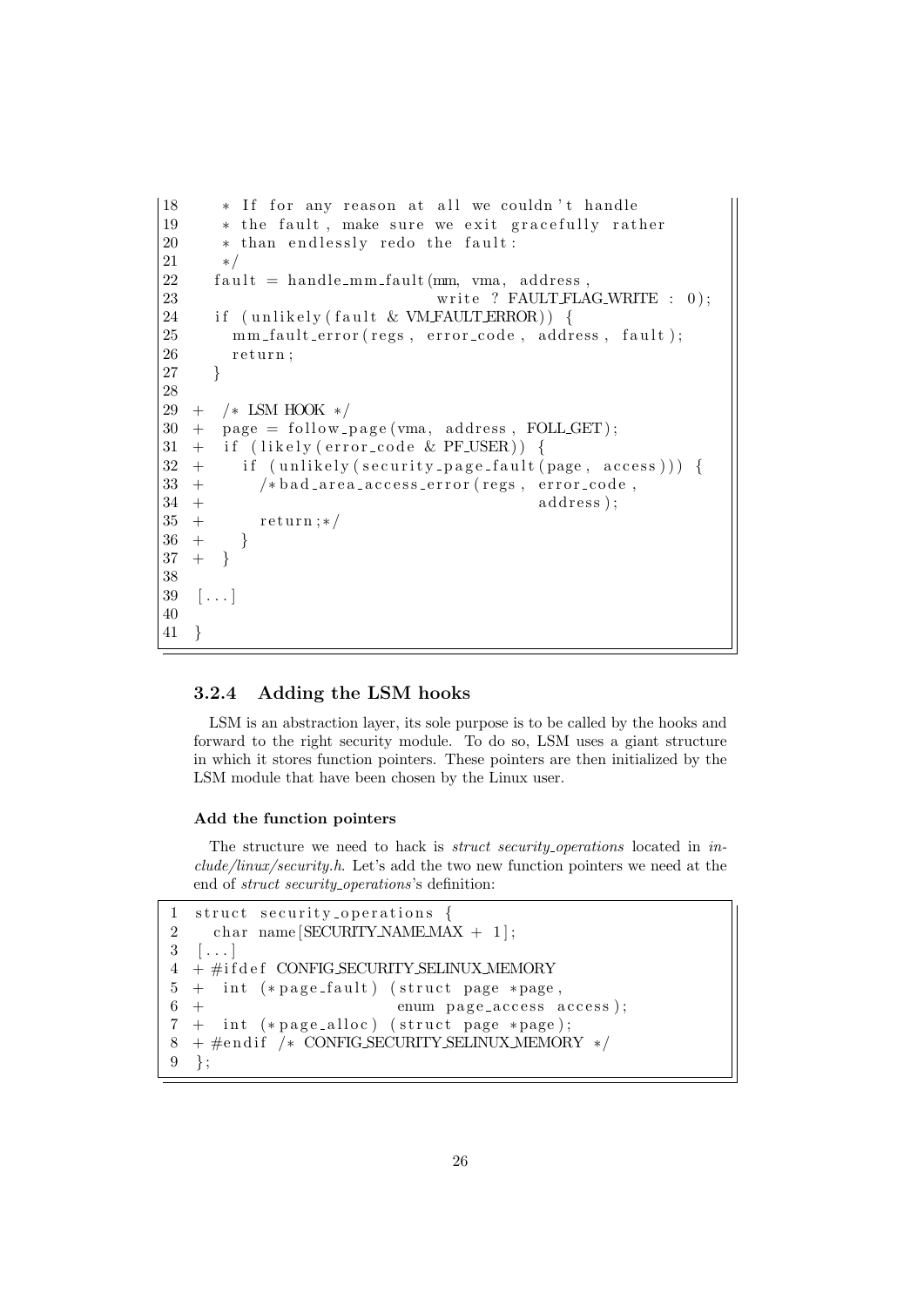```
18 * If for any reason at all we couldn't handle
19 * the fault, make sure we exit gracefully rather
20 * than endlessly redo the fault:
21 ∗/
22 fault = handle_mm_fault (mm, vma, address,
23 write ? FAULT FLAG_WRITE : 0);
24 if (un likely ( fault & UNFAULTERROR)) {
25 mm_fault_error(regs, error_code, address, fault);
26 return;
27 }
28
29 + /∗ LSM HOOK ∗/
30 + \text{page} = \text{follow-page}(\text{vma}, \text{address}, \text{FOLLGET});31 + if (likely (error-code & PFJSER))32 + i f (unlikely (security page fault (page, access))) {
33 + \frac{\times \text{bad} \cdot \text{area} \cdot \text{access} \cdot \text{error} (\text{regs}, \text{error} \cdot \text{code}, \text{pred})}{\times \text{bad} \cdot \text{area} \cdot \text{access} \cdot \text{error} (\text{regs}, \text{error} \cdot \text{code}, \text{pred})}34 + a d d r e s s ) ;
35 + \text{return } :*/
36 + \}37 + \}38
39 [...]
40
41 }
```
#### 3.2.4 Adding the LSM hooks

LSM is an abstraction layer, its sole purpose is to be called by the hooks and forward to the right security module. To do so, LSM uses a giant structure in which it stores function pointers. These pointers are then initialized by the LSM module that have been chosen by the Linux user.

#### Add the function pointers

The structure we need to hack is *struct security operations* located in *in*clude/linux/security.h. Let's add the two new function pointers we need at the end of *struct security\_operations*'s definition:

```
1 struct security operations {
2 char name [SECURITY NAME MAX + 1];
3 \quad [\ldots]4 + #ifdef COMFIG\_SECTIONITY\_SELINKV.MEMORY
5 + \text{int} (*page_fault) (struct page *page,
6 + enum page_access access);
7 + int (* page_alloc) (struct page * page);
8 + #endif /* CONFIG SECURITY SELINUX MEMORY */
9 \};
```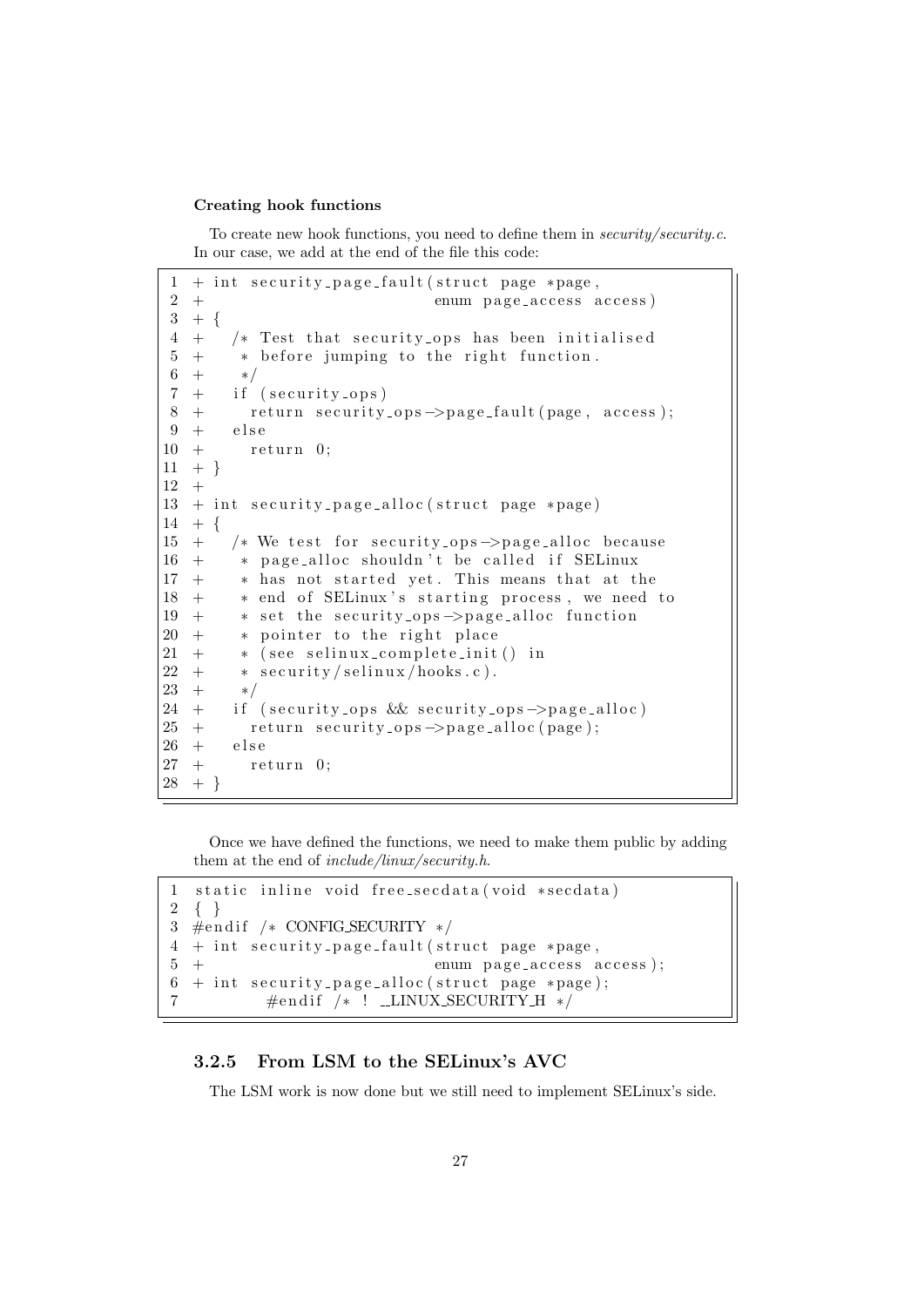#### Creating hook functions

To create new hook functions, you need to define them in security/security.c. In our case, we add at the end of the file this code:

```
1 + int security_page_fault (struct page *page,
2 + enum page_access access)
3 + \{4 + /* Test that security_ops has been initialised
5 + * before jumping to the right function.
6 + */7 + if (security_ops)8 + return security_ops ->page_fault (page, access);
9 + else
10 + return 0;
11 + \}12 +13 + int security_page_alloc(struct page *page)
14 + \{15 + /* We test for security_ops \rightarrowpage_alloc because
16 + * page_alloc shouldn't be called if SELinux
17 + * has not started yet. This means that at the
18 + * end of SELinux's starting process, we need to
19 + * set the security_ops->page_alloc function
20 + * pointer to the right place
21 + * (see selinux_complete_init () in
22 + * security/selinux/hooks.c).
23 + */24 + if (security_ops && security_ops->page_alloc)
25 + return security_ops \rightarrowpage_alloc(page);
\begin{array}{ccc} 26 & + & & \text{else} \\ 27 & + & & \text{re} \end{array}+ return 0;
28 +
```
Once we have defined the functions, we need to make them public by adding them at the end of *include/linux/security.h.* 

```
1 static inline void free_secdata(void *secdata)
2 { }
3 #endif /* CONFIG_SECURITY */
4 + int security_page_fault (struct page *page,
5 + enum page_access access);
6 + int security_page_alloc(struct page *page);
7 \#endif /* ! _LINUX_SECURITY_H */
```
### 3.2.5 From LSM to the SELinux's AVC

The LSM work is now done but we still need to implement SELinux's side.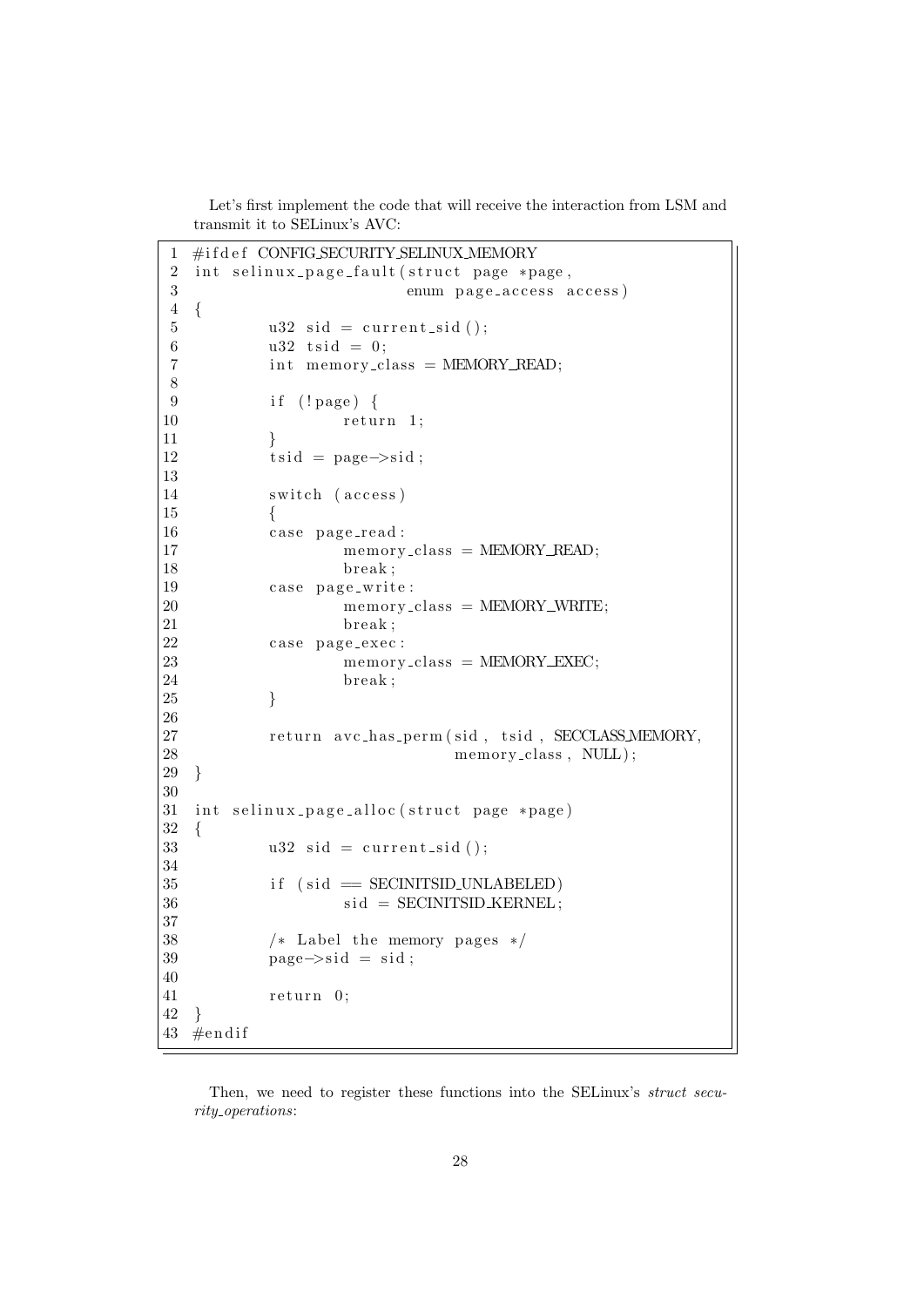Let's first implement the code that will receive the interaction from LSM and transmit it to SELinux's AVC:

```
1 #ifdef CONFIG_SECURITY_SELINUX_MEMORY
2 int selinux_page_fault (struct page *page,
3 enum page_access access)
4 {
5 u32 sid = current_sid ();
6 u32 t sid = 0;
7 \quad \text{int memory-class} = \text{MEMORY\_READ};8
9 if (!page) {
10 return 1;
11 }
12 t sid = page\rightarrowsid;
13
14 switch (access)
15 {
16 case page_read :
17 memory_class = MEMORY_READ;
18 break;
19 case page_write:
20 memory_class = MEMORY_WRITE;<br>21 break:
                break ;
22 case page_exec:
23 memory_class = MEMORY_EXEC;
24 break ;
25 }
26
27 return avc_has_perm(sid, tsid, SECCLASS_MEMORY,
28 memory_class, NULL);
29 }
30
31 int selinux_page_alloc(struct page *page)
32 {
33 u32 sid = current_sid ();
34
35 if (sid = SECINTSID\_UNLABELED)36 \quad sid = SECINITSID_KERNEL;
37
38 /* Label the memory pages */39 \qquad \qquad \text{page} \rightarrow \text{sid} = \text{sid};40
41 return 0;
42 }
43 \#endif
```
Then, we need to register these functions into the SELinux's *struct secu*rity operations: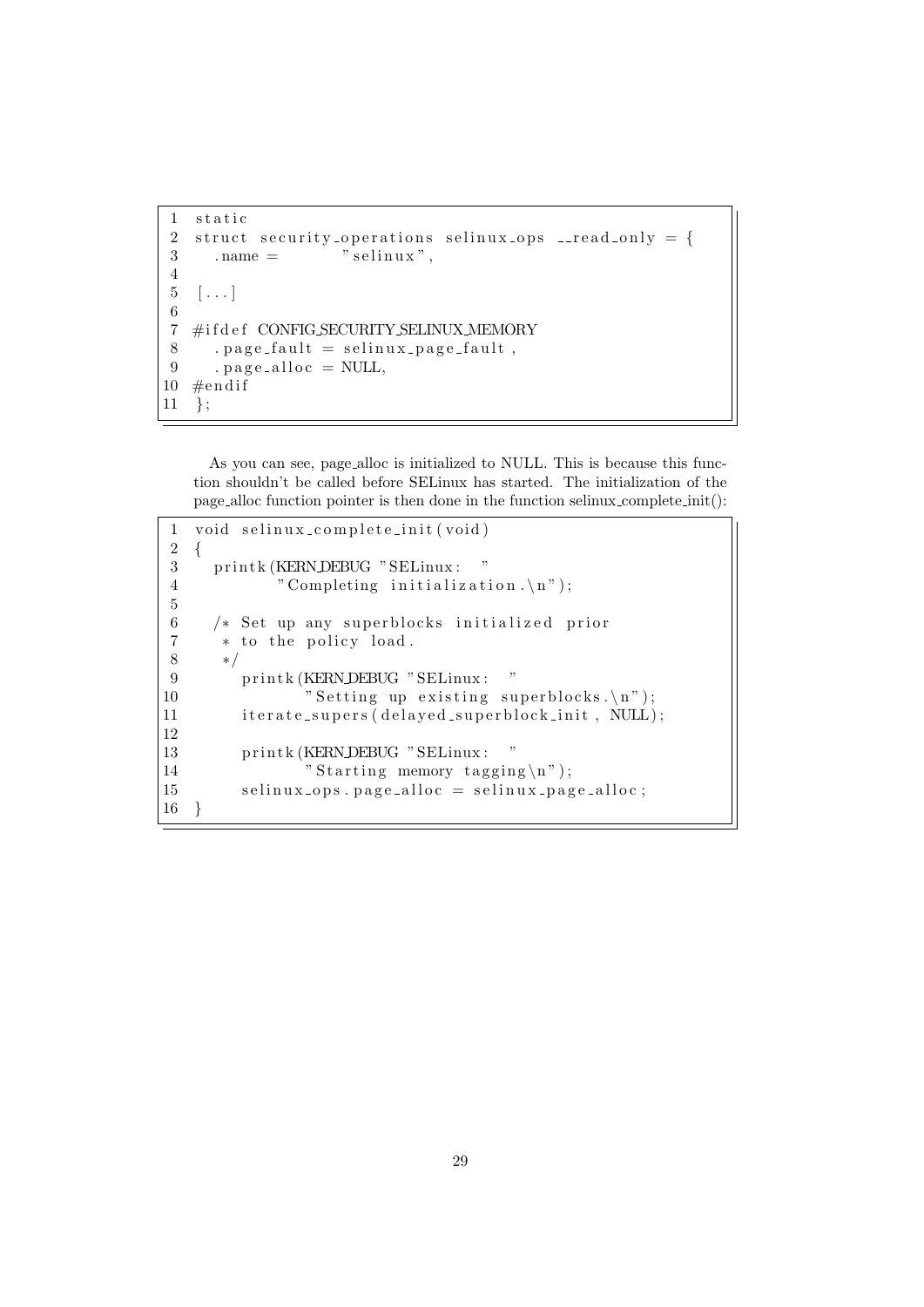```
1 static
2 struct security_operations selinux_ops __read_only = {
3 . name = " selinux",
4
5 \quad [\ldots]6
7 #ifdef CONFIG SECURITY SELINUX MEMORY
8 . page_fault = selinux_page_fault,
9 \qquad \text{page} \text{.} \text{page} = \text{NULL},10 \#endif
11 };
```
As you can see, page alloc is initialized to NULL. This is because this function shouldn't be called before SELinux has started. The initialization of the page alloc function pointer is then done in the function selinux complete init():

```
1 void selinux_complete_init (void)
2 {
3 printk (KERN DEBUG "SELinux: "
4 " Completing initialization \langle n'' \rangle;
5
6 /* Set up any superblocks initialized prior
7 * to the policy load.
8 ∗/
9 printk (KERN DEBUG "SELinux: "
10 "Setting up existing superblocks.\n",11 iterate_supers (delayed_superblock_init, NULL);
12
13 printk (KERN DEBUG "SELinux: "
14 " "Starting memory tagging \n\rightharpoonup j ;
15 selinux_ops.page_alloc = selinux_page_alloc;
16 }
```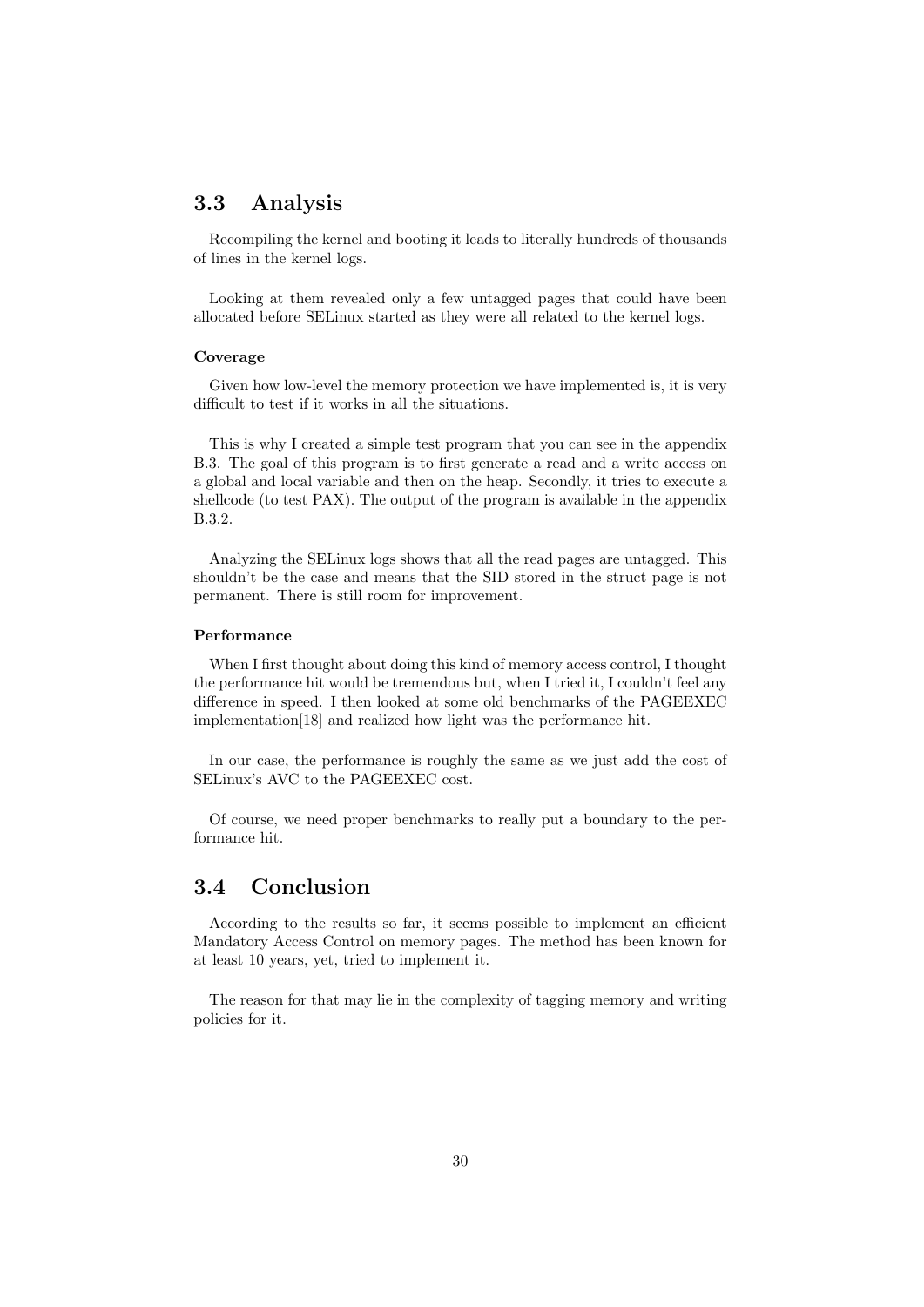# 3.3 Analysis

Recompiling the kernel and booting it leads to literally hundreds of thousands of lines in the kernel logs.

Looking at them revealed only a few untagged pages that could have been allocated before SELinux started as they were all related to the kernel logs.

#### Coverage

Given how low-level the memory protection we have implemented is, it is very difficult to test if it works in all the situations.

This is why I created a simple test program that you can see in the appendix B.3. The goal of this program is to first generate a read and a write access on a global and local variable and then on the heap. Secondly, it tries to execute a shellcode (to test PAX). The output of the program is available in the appendix B.3.2.

Analyzing the SELinux logs shows that all the read pages are untagged. This shouldn't be the case and means that the SID stored in the struct page is not permanent. There is still room for improvement.

#### Performance

When I first thought about doing this kind of memory access control, I thought the performance hit would be tremendous but, when I tried it, I couldn't feel any difference in speed. I then looked at some old benchmarks of the PAGEEXEC implementation[18] and realized how light was the performance hit.

In our case, the performance is roughly the same as we just add the cost of SELinux's AVC to the PAGEEXEC cost.

Of course, we need proper benchmarks to really put a boundary to the performance hit.

## 3.4 Conclusion

According to the results so far, it seems possible to implement an efficient Mandatory Access Control on memory pages. The method has been known for at least 10 years, yet, tried to implement it.

The reason for that may lie in the complexity of tagging memory and writing policies for it.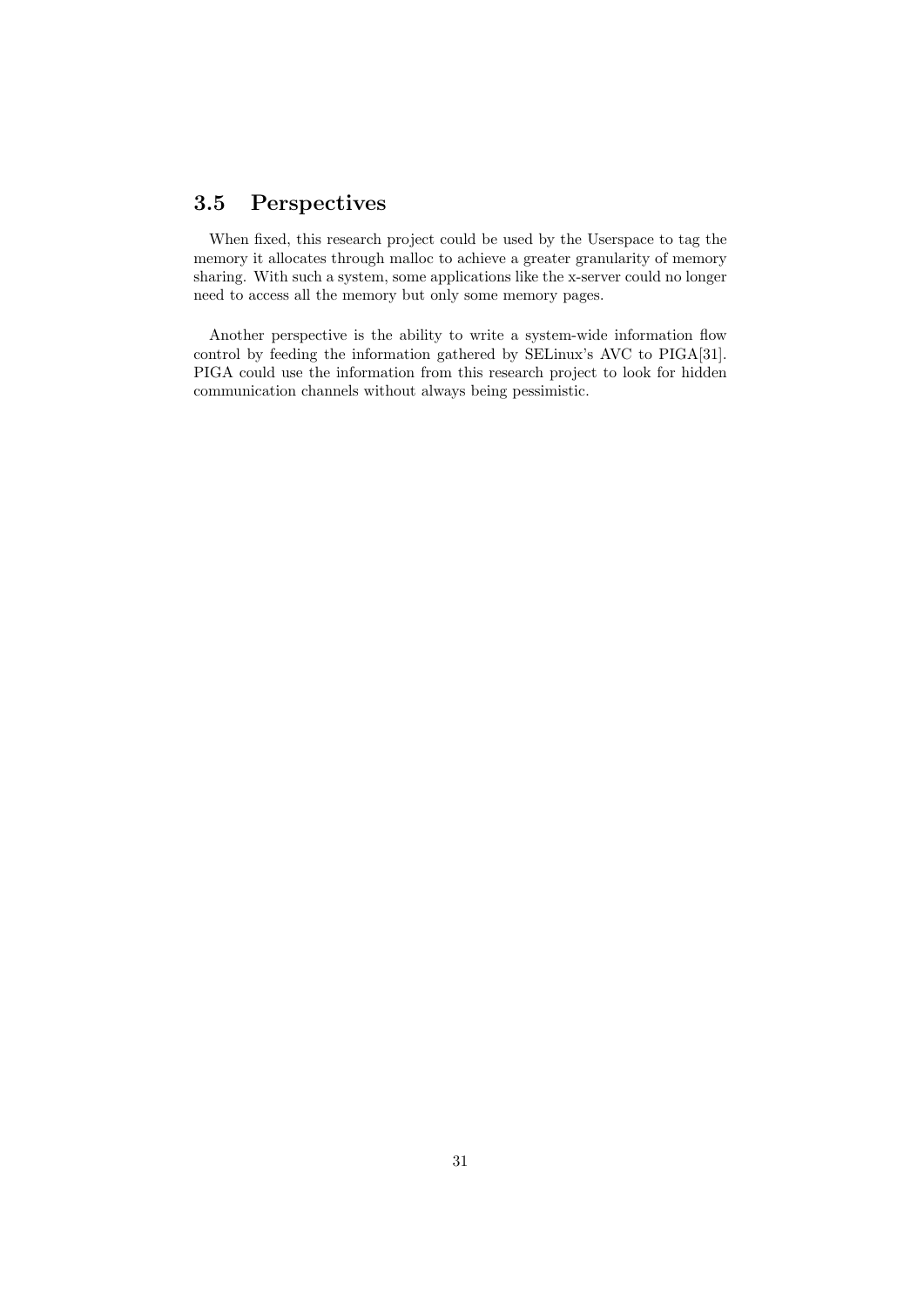# 3.5 Perspectives

When fixed, this research project could be used by the Userspace to tag the memory it allocates through malloc to achieve a greater granularity of memory sharing. With such a system, some applications like the x-server could no longer need to access all the memory but only some memory pages.

Another perspective is the ability to write a system-wide information flow control by feeding the information gathered by SELinux's AVC to PIGA[31]. PIGA could use the information from this research project to look for hidden communication channels without always being pessimistic.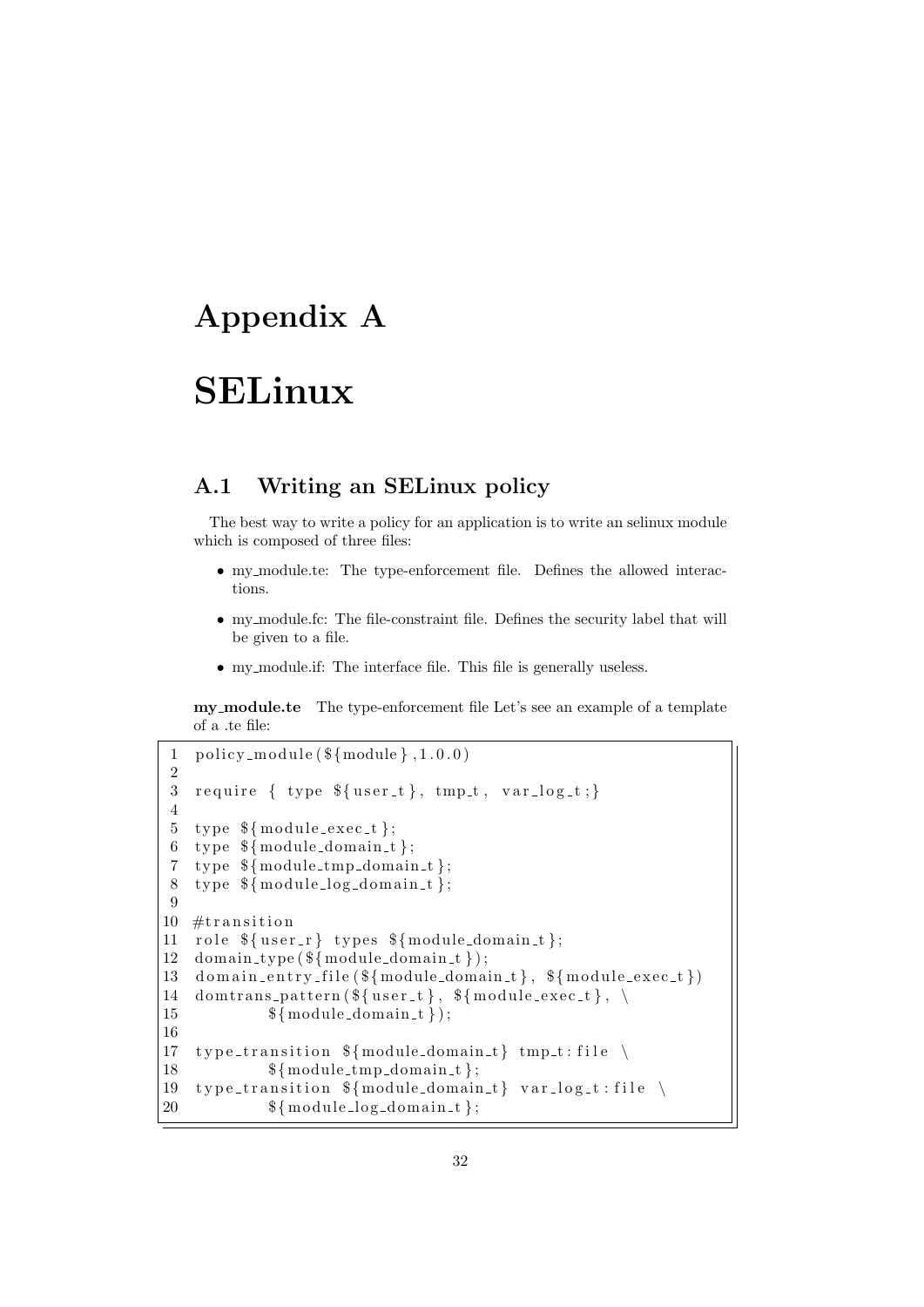# Appendix A

# SELinux

# A.1 Writing an SELinux policy

The best way to write a policy for an application is to write an selinux module which is composed of three files:

- my module.te: The type-enforcement file. Defines the allowed interactions.
- my module.fc: The file-constraint file. Defines the security label that will be given to a file.
- my module.if: The interface file. This file is generally useless.

my module.te The type-enforcement file Let's see an example of a template of a .te file:

```
1 policy_module (\frac{1}{2} \mod 1, 1.0.0)2
3 require \{ type \luser_t\}, tmp_t, var_log_t;4
5 type \{\text{module\_exec}\};
6 type \{\text{module\_domain_t}\};7 type \mathcal{S}{module_tmp_domain_t};
8 type {\mathcal{S}} module_log_domain_t};
9
10 #transition
11 role {\{user_r\}} types {\{module\_domain_t\}};12 domain_type (${module_domain_t});
13 domain_entry_file(\{\text{module\_domain_t}\}, \ \text{flmodule\_exec_t}\})
14 dom trans_pattern (\frac{1}{2} \{ user_t\}, \frac{1}{2} \{ module_e \vec{z}_t\}, \ \n\15 \{\text{module\_domain\_t}\};16
17 type_transition \{\text{module\_domain\_t}\} tmp_t:file \
18 \{\text{module\_tmp\_domain\_t}\};19 type_transition \{\text{module\_domain\_t}\} var_log_t:file \
20 \{\text{module}\_\text{log\_domain}\_\text{t}\};
```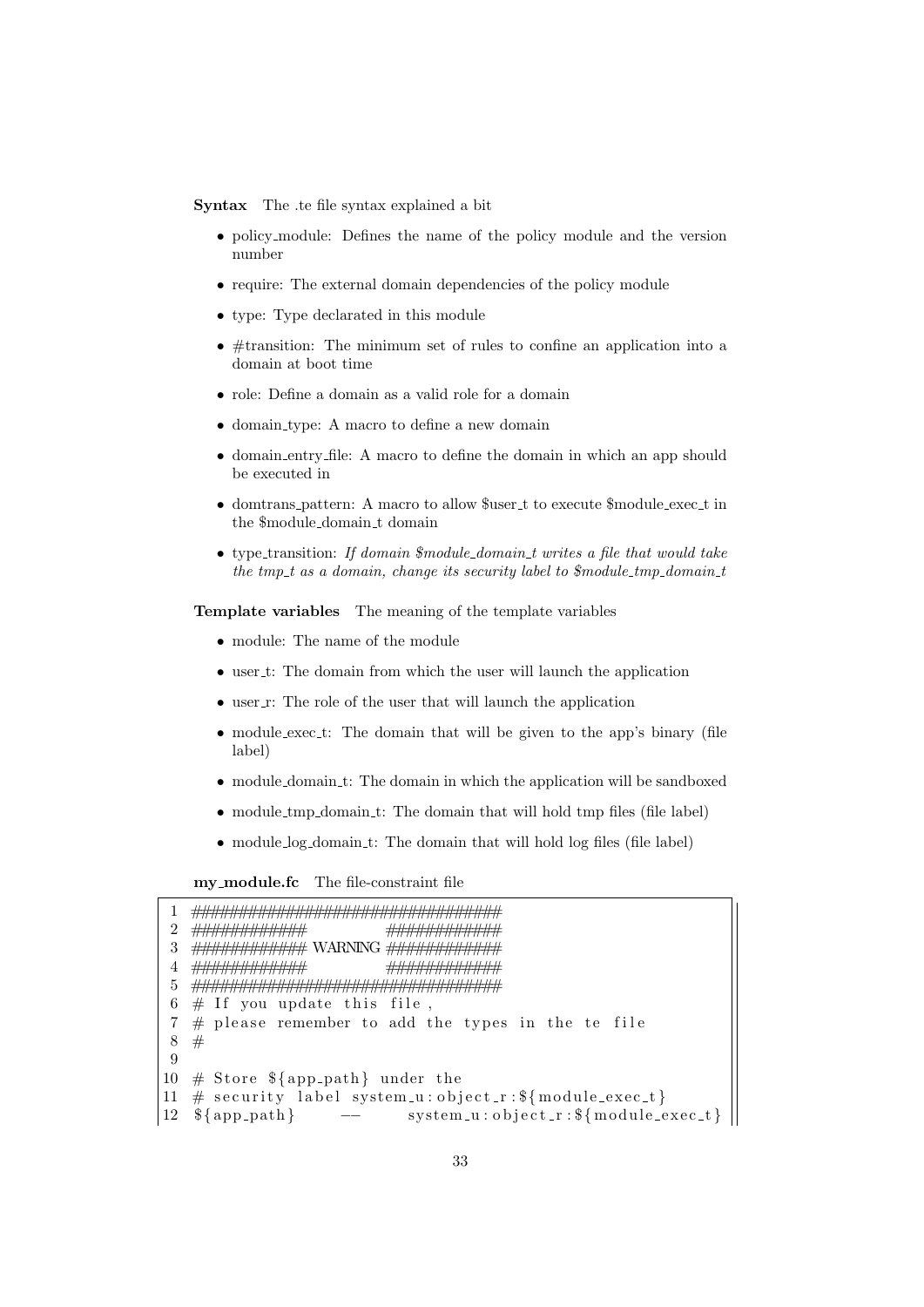Syntax The .te file syntax explained a bit

- policy module: Defines the name of the policy module and the version number
- require: The external domain dependencies of the policy module
- type: Type declarated in this module
- #transition: The minimum set of rules to confine an application into a domain at boot time
- role: Define a domain as a valid role for a domain
- domain type: A macro to define a new domain
- domain entry file: A macro to define the domain in which an app should be executed in
- domtrans pattern: A macro to allow \$user t to execute \$module exec t in the \$module domain t domain
- type\_transition: If domain  $$module\_domain\_t$ writes a file that would take$ the tmp  $t$  as a domain, change its security label to  $$module\_tmp\_domain\_t$

Template variables The meaning of the template variables

- module: The name of the module
- user\_t: The domain from which the user will launch the application
- $\bullet$  user\_r: The role of the user that will launch the application
- module exec t: The domain that will be given to the app's binary (file label)
- module domain t: The domain in which the application will be sandboxed
- module tmp domain t: The domain that will hold tmp files (file label)
- module\_log\_domain\_t: The domain that will hold log files (file label)

my module.fc The file-constraint file

```
1 #################################
2 ############ ############
3 ############ WARNING ############
4 ############ ############
5 #################################
6 \# If you update this file,
7 \# please remember to add the types in the te file
8 #
9
10 \# Store {\delta{app_path} under the
11 \# security label system_u:object_r: \{\text{module\_exec\_t}\}12 \quad \{\text{app-path}\} \qquad -- \qquad system_u:object_r: \{\text{module\_exec_t}\}
```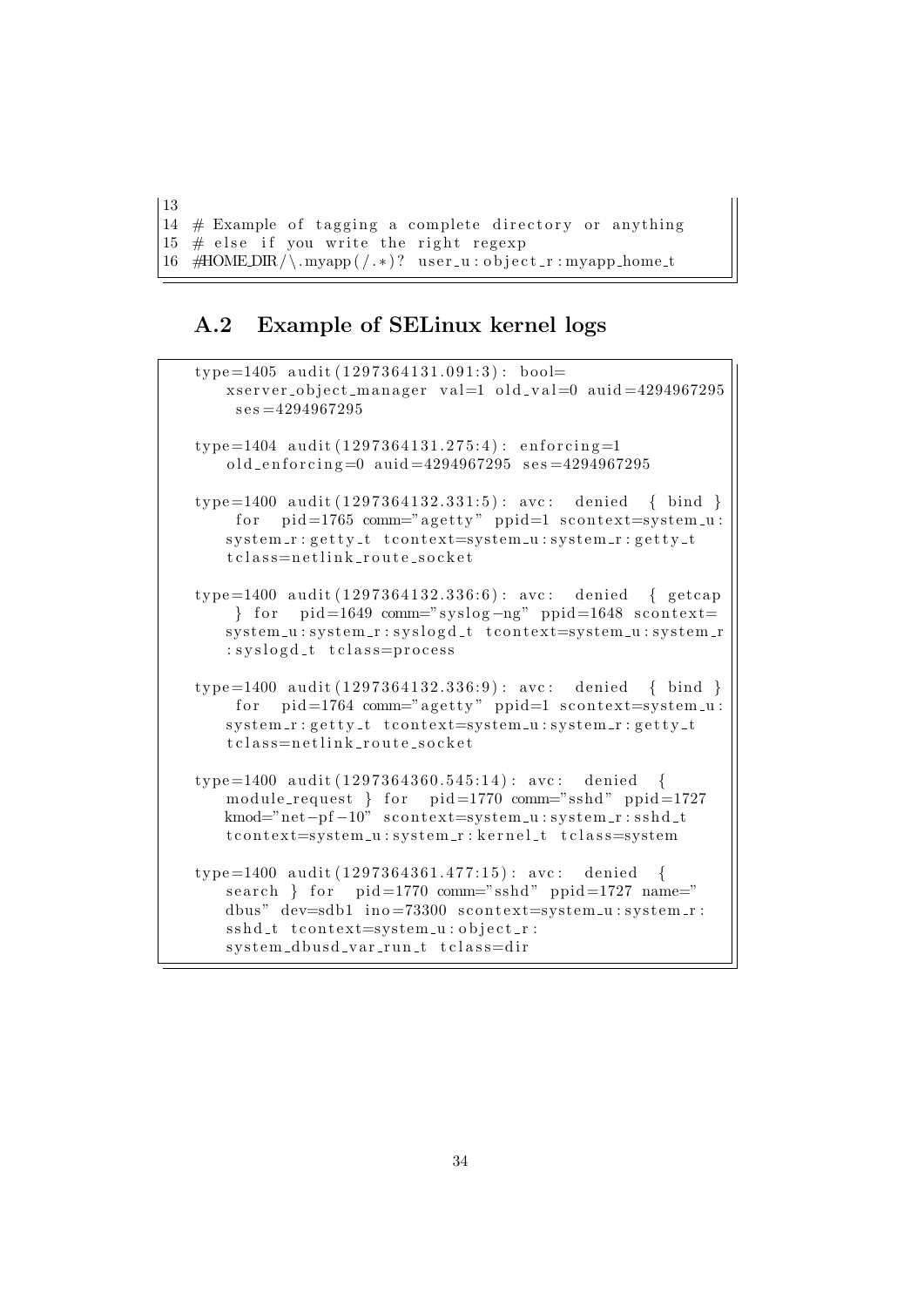13 14  $#$  Example of tagging a complete directory or anything  $15 \#$  else if you write the right regexp  $16$  #HOMEDIR/\.myapp(/.\*)? user\_u:object\_r:myapp\_home\_t

# A.2 Example of SELinux kernel logs

```
type = 1405 audit (1297364131.091:3): bool=
   xserver_object_manager val=1 old_val=0 auid=4294967295
    s \, \text{es} = 4294967295type = 1404 audit (1297364131.275:4): enforcing=1
   old_enforcing=0 auid=4294967295 ses=4294967295type = 1400 audit (1297364132.331:5): avc: denied { bind }
    for pid=1765 comm="agetty" ppid=1 scontext=system_u:
   system_r: getty_t to context=system_u: system_r: getty_tt c l a s s = n e t l i n k _ r o u t e _ s o c k e t
type = 1400 audit (1297364132.336:6): avc: denied { getcap
    \} for pid=1649 comm="syslog-ng" ppid=1648 scontext=
   system_u: system_r:syslog d_t to context=system_u:system_r: syslogd_t tclass=process
type = 1400 audit (1297364132.336.9): avc: denied { bind }
    for pid=1764 comm="agetty" ppid=1 scontext=system_u:
   system_r: getty_t to context=system_u: system_r: getty_tt c l as s = n e t l i n k _ r o u t e _ s o c k e t
type = 1400 audit (1297364360.545:14): avc: denied {
   module_request } for pid=1770 comm="sshd" ppid=1727
   kmod="net-pf-10" scontext=system_u:system_r:sshd_t
   t context=system_u:system_r:kernel_t t class=system
type = 1400 audit (1297364361.477:15): avc: denied {
   search } for pid=1770 comm="sshd" ppid=1727 name="
   dbus" dev=sdb1 in o = 73300 scontext=system_u:system_r:
   s sh d_t to context = system_u : object_r :s v s t em -d b u s d var run t t class = dir
```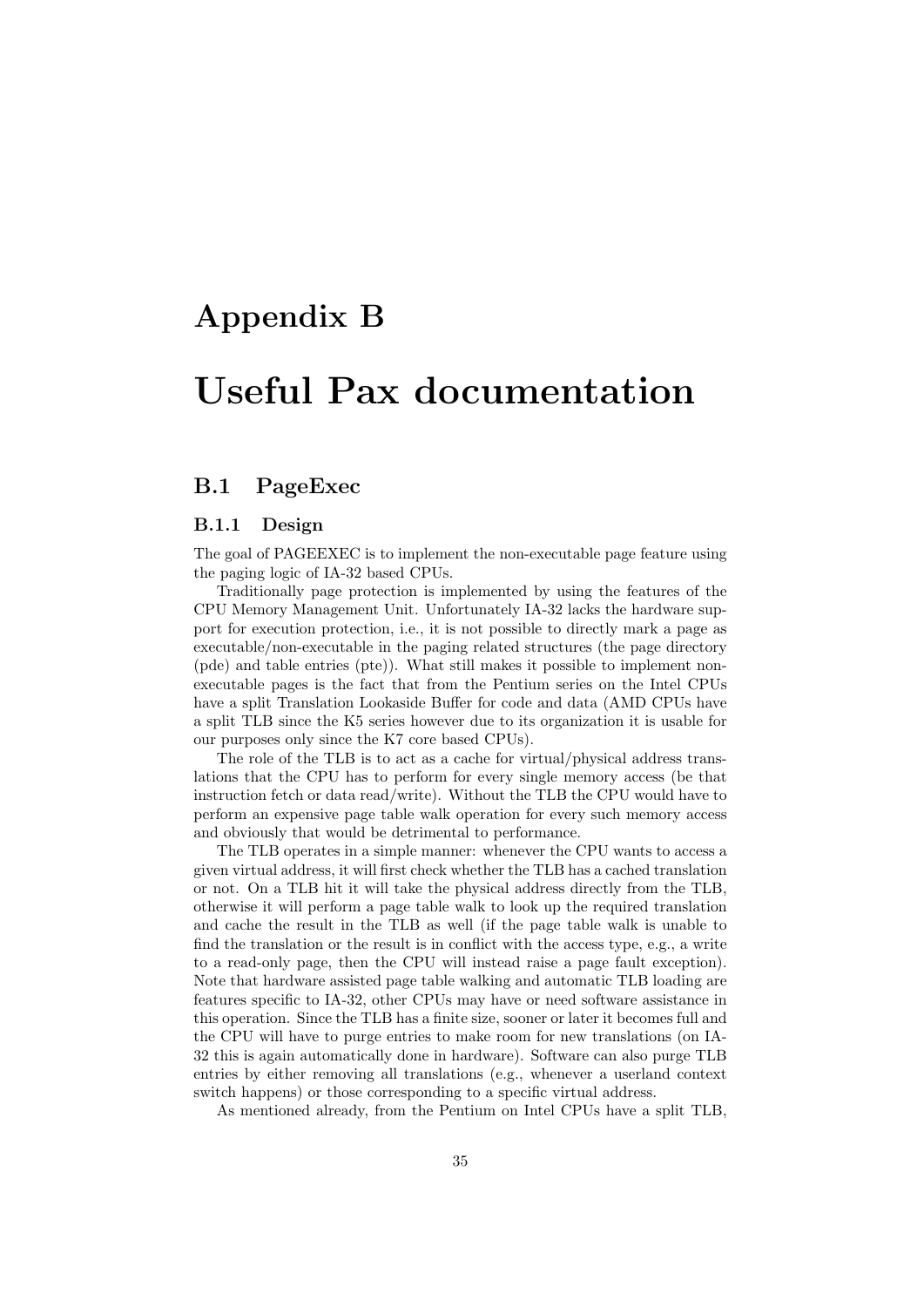# Appendix B

# Useful Pax documentation

# B.1 PageExec

#### B.1.1 Design

The goal of PAGEEXEC is to implement the non-executable page feature using the paging logic of IA-32 based CPUs.

Traditionally page protection is implemented by using the features of the CPU Memory Management Unit. Unfortunately IA-32 lacks the hardware support for execution protection, i.e., it is not possible to directly mark a page as executable/non-executable in the paging related structures (the page directory (pde) and table entries (pte)). What still makes it possible to implement nonexecutable pages is the fact that from the Pentium series on the Intel CPUs have a split Translation Lookaside Buffer for code and data (AMD CPUs have a split TLB since the K5 series however due to its organization it is usable for our purposes only since the K7 core based CPUs).

The role of the TLB is to act as a cache for virtual/physical address translations that the CPU has to perform for every single memory access (be that instruction fetch or data read/write). Without the TLB the CPU would have to perform an expensive page table walk operation for every such memory access and obviously that would be detrimental to performance.

The TLB operates in a simple manner: whenever the CPU wants to access a given virtual address, it will first check whether the TLB has a cached translation or not. On a TLB hit it will take the physical address directly from the TLB, otherwise it will perform a page table walk to look up the required translation and cache the result in the TLB as well (if the page table walk is unable to find the translation or the result is in conflict with the access type, e.g., a write to a read-only page, then the CPU will instead raise a page fault exception). Note that hardware assisted page table walking and automatic TLB loading are features specific to IA-32, other CPUs may have or need software assistance in this operation. Since the TLB has a finite size, sooner or later it becomes full and the CPU will have to purge entries to make room for new translations (on IA-32 this is again automatically done in hardware). Software can also purge TLB entries by either removing all translations (e.g., whenever a userland context switch happens) or those corresponding to a specific virtual address.

As mentioned already, from the Pentium on Intel CPUs have a split TLB,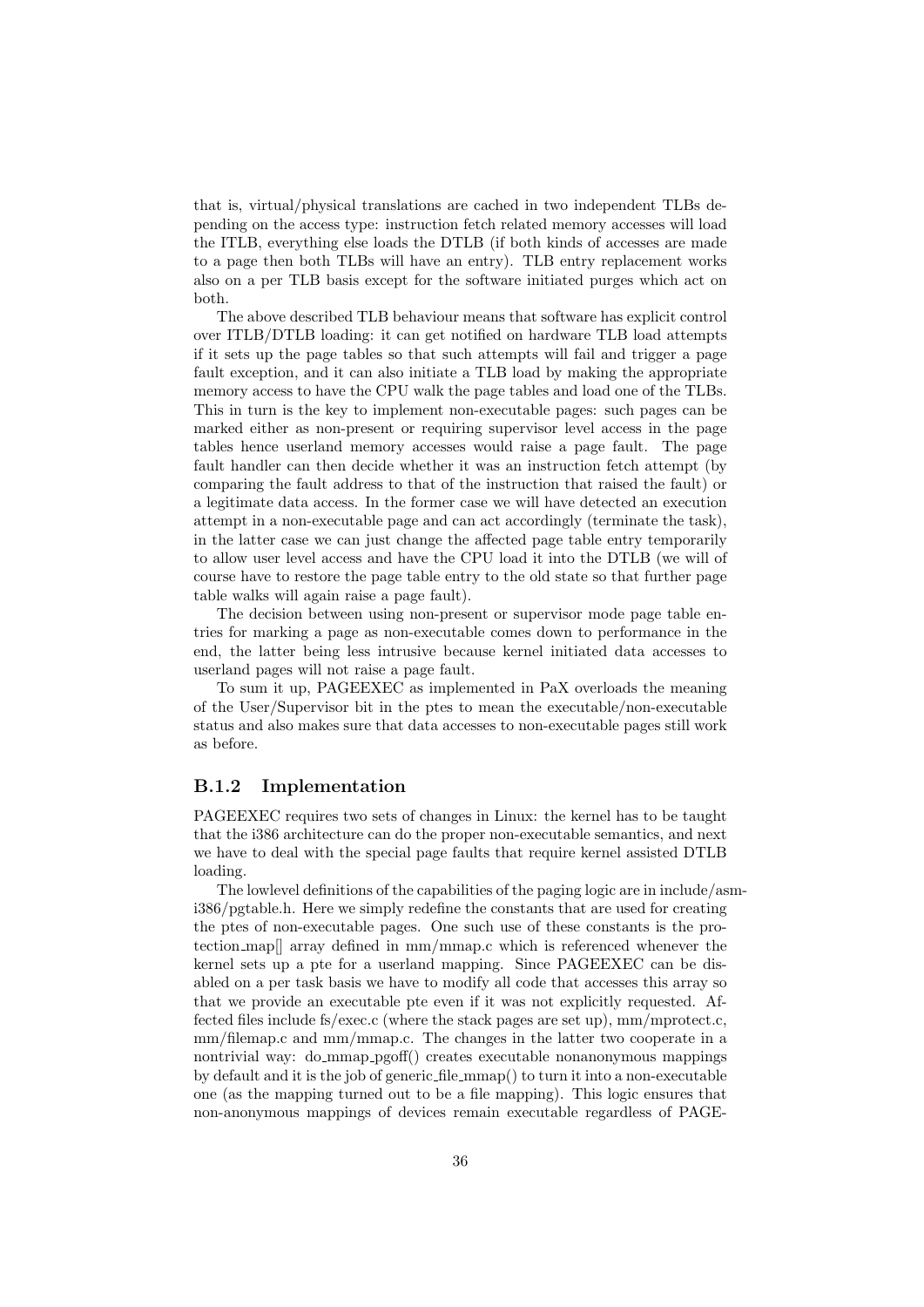that is, virtual/physical translations are cached in two independent TLBs depending on the access type: instruction fetch related memory accesses will load the ITLB, everything else loads the DTLB (if both kinds of accesses are made to a page then both TLBs will have an entry). TLB entry replacement works also on a per TLB basis except for the software initiated purges which act on both.

The above described TLB behaviour means that software has explicit control over ITLB/DTLB loading: it can get notified on hardware TLB load attempts if it sets up the page tables so that such attempts will fail and trigger a page fault exception, and it can also initiate a TLB load by making the appropriate memory access to have the CPU walk the page tables and load one of the TLBs. This in turn is the key to implement non-executable pages: such pages can be marked either as non-present or requiring supervisor level access in the page tables hence userland memory accesses would raise a page fault. The page fault handler can then decide whether it was an instruction fetch attempt (by comparing the fault address to that of the instruction that raised the fault) or a legitimate data access. In the former case we will have detected an execution attempt in a non-executable page and can act accordingly (terminate the task), in the latter case we can just change the affected page table entry temporarily to allow user level access and have the CPU load it into the DTLB (we will of course have to restore the page table entry to the old state so that further page table walks will again raise a page fault).

The decision between using non-present or supervisor mode page table entries for marking a page as non-executable comes down to performance in the end, the latter being less intrusive because kernel initiated data accesses to userland pages will not raise a page fault.

To sum it up, PAGEEXEC as implemented in PaX overloads the meaning of the User/Supervisor bit in the ptes to mean the executable/non-executable status and also makes sure that data accesses to non-executable pages still work as before.

#### B.1.2 Implementation

PAGEEXEC requires two sets of changes in Linux: the kernel has to be taught that the i386 architecture can do the proper non-executable semantics, and next we have to deal with the special page faults that require kernel assisted DTLB loading.

The lowlevel definitions of the capabilities of the paging logic are in include/asmi386/pgtable.h. Here we simply redefine the constants that are used for creating the ptes of non-executable pages. One such use of these constants is the protection map[] array defined in mm/mmap.c which is referenced whenever the kernel sets up a pte for a userland mapping. Since PAGEEXEC can be disabled on a per task basis we have to modify all code that accesses this array so that we provide an executable pte even if it was not explicitly requested. Affected files include fs/exec.c (where the stack pages are set up), mm/mprotect.c, mm/filemap.c and mm/mmap.c. The changes in the latter two cooperate in a nontrivial way: do mmap pgoff() creates executable nonanonymous mappings by default and it is the job of generic file mmap() to turn it into a non-executable one (as the mapping turned out to be a file mapping). This logic ensures that non-anonymous mappings of devices remain executable regardless of PAGE-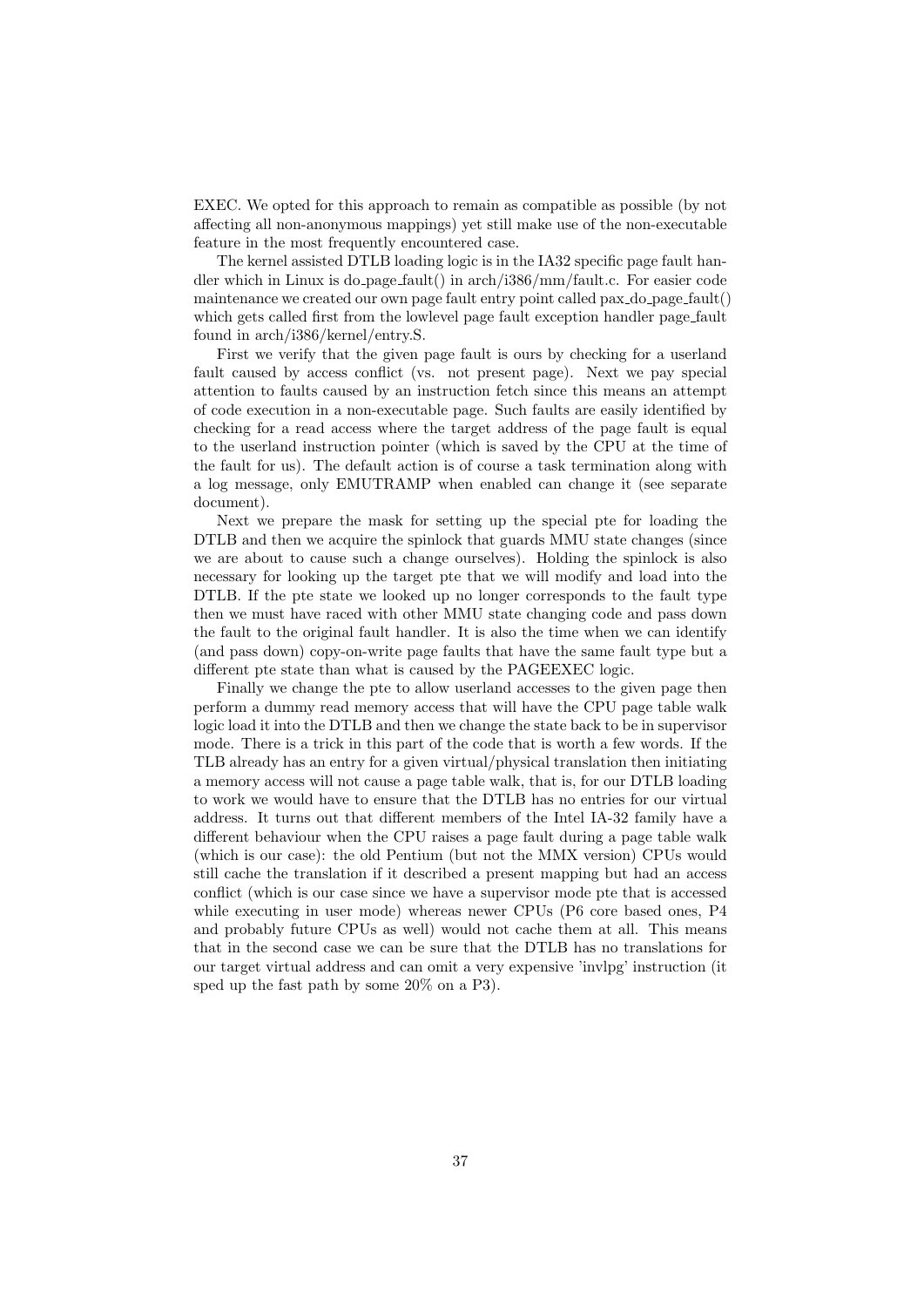EXEC. We opted for this approach to remain as compatible as possible (by not affecting all non-anonymous mappings) yet still make use of the non-executable feature in the most frequently encountered case.

The kernel assisted DTLB loading logic is in the IA32 specific page fault handler which in Linux is do page fault() in arch/i386/mm/fault.c. For easier code maintenance we created our own page fault entry point called pax  $\Delta$ o page fault () which gets called first from the lowlevel page fault exception handler page fault found in arch/i386/kernel/entry.S.

First we verify that the given page fault is ours by checking for a userland fault caused by access conflict (vs. not present page). Next we pay special attention to faults caused by an instruction fetch since this means an attempt of code execution in a non-executable page. Such faults are easily identified by checking for a read access where the target address of the page fault is equal to the userland instruction pointer (which is saved by the CPU at the time of the fault for us). The default action is of course a task termination along with a log message, only EMUTRAMP when enabled can change it (see separate document).

Next we prepare the mask for setting up the special pte for loading the DTLB and then we acquire the spinlock that guards MMU state changes (since we are about to cause such a change ourselves). Holding the spinlock is also necessary for looking up the target pte that we will modify and load into the DTLB. If the pte state we looked up no longer corresponds to the fault type then we must have raced with other MMU state changing code and pass down the fault to the original fault handler. It is also the time when we can identify (and pass down) copy-on-write page faults that have the same fault type but a different pte state than what is caused by the PAGEEXEC logic.

Finally we change the pte to allow userland accesses to the given page then perform a dummy read memory access that will have the CPU page table walk logic load it into the DTLB and then we change the state back to be in supervisor mode. There is a trick in this part of the code that is worth a few words. If the TLB already has an entry for a given virtual/physical translation then initiating a memory access will not cause a page table walk, that is, for our DTLB loading to work we would have to ensure that the DTLB has no entries for our virtual address. It turns out that different members of the Intel IA-32 family have a different behaviour when the CPU raises a page fault during a page table walk (which is our case): the old Pentium (but not the MMX version) CPUs would still cache the translation if it described a present mapping but had an access conflict (which is our case since we have a supervisor mode pte that is accessed while executing in user mode) whereas newer CPUs (P6 core based ones, P4 and probably future CPUs as well) would not cache them at all. This means that in the second case we can be sure that the DTLB has no translations for our target virtual address and can omit a very expensive 'invlpg' instruction (it sped up the fast path by some 20% on a P3).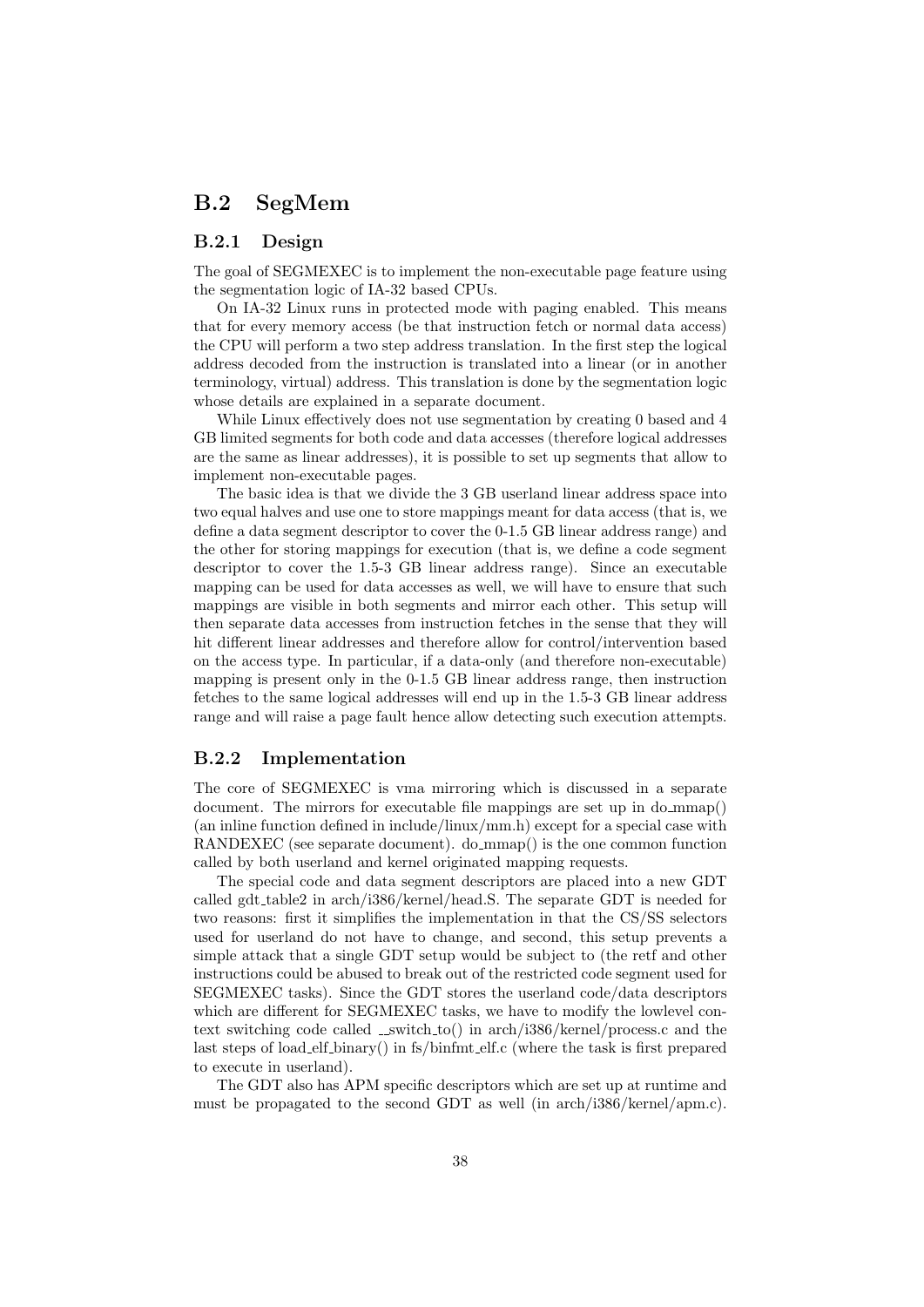# B.2 SegMem

#### B.2.1 Design

The goal of SEGMEXEC is to implement the non-executable page feature using the segmentation logic of IA-32 based CPUs.

On IA-32 Linux runs in protected mode with paging enabled. This means that for every memory access (be that instruction fetch or normal data access) the CPU will perform a two step address translation. In the first step the logical address decoded from the instruction is translated into a linear (or in another terminology, virtual) address. This translation is done by the segmentation logic whose details are explained in a separate document.

While Linux effectively does not use segmentation by creating 0 based and 4 GB limited segments for both code and data accesses (therefore logical addresses are the same as linear addresses), it is possible to set up segments that allow to implement non-executable pages.

The basic idea is that we divide the 3 GB userland linear address space into two equal halves and use one to store mappings meant for data access (that is, we define a data segment descriptor to cover the 0-1.5 GB linear address range) and the other for storing mappings for execution (that is, we define a code segment descriptor to cover the 1.5-3 GB linear address range). Since an executable mapping can be used for data accesses as well, we will have to ensure that such mappings are visible in both segments and mirror each other. This setup will then separate data accesses from instruction fetches in the sense that they will hit different linear addresses and therefore allow for control/intervention based on the access type. In particular, if a data-only (and therefore non-executable) mapping is present only in the 0-1.5 GB linear address range, then instruction fetches to the same logical addresses will end up in the 1.5-3 GB linear address range and will raise a page fault hence allow detecting such execution attempts.

#### B.2.2 Implementation

The core of SEGMEXEC is vma mirroring which is discussed in a separate document. The mirrors for executable file mappings are set up in do\_mmap() (an inline function defined in include/linux/mm.h) except for a special case with RANDEXEC (see separate document). do mmap() is the one common function called by both userland and kernel originated mapping requests.

The special code and data segment descriptors are placed into a new GDT called gdt table2 in arch/i386/kernel/head.S. The separate GDT is needed for two reasons: first it simplifies the implementation in that the CS/SS selectors used for userland do not have to change, and second, this setup prevents a simple attack that a single GDT setup would be subject to (the retf and other instructions could be abused to break out of the restricted code segment used for SEGMEXEC tasks). Since the GDT stores the userland code/data descriptors which are different for SEGMEXEC tasks, we have to modify the lowlevel context switching code called  $\text{\_switch_to}()$  in arch/i386/kernel/process.c and the last steps of load elf binary() in fs/binfmt elf.c (where the task is first prepared to execute in userland).

The GDT also has APM specific descriptors which are set up at runtime and must be propagated to the second GDT as well (in arch/i386/kernel/apm.c).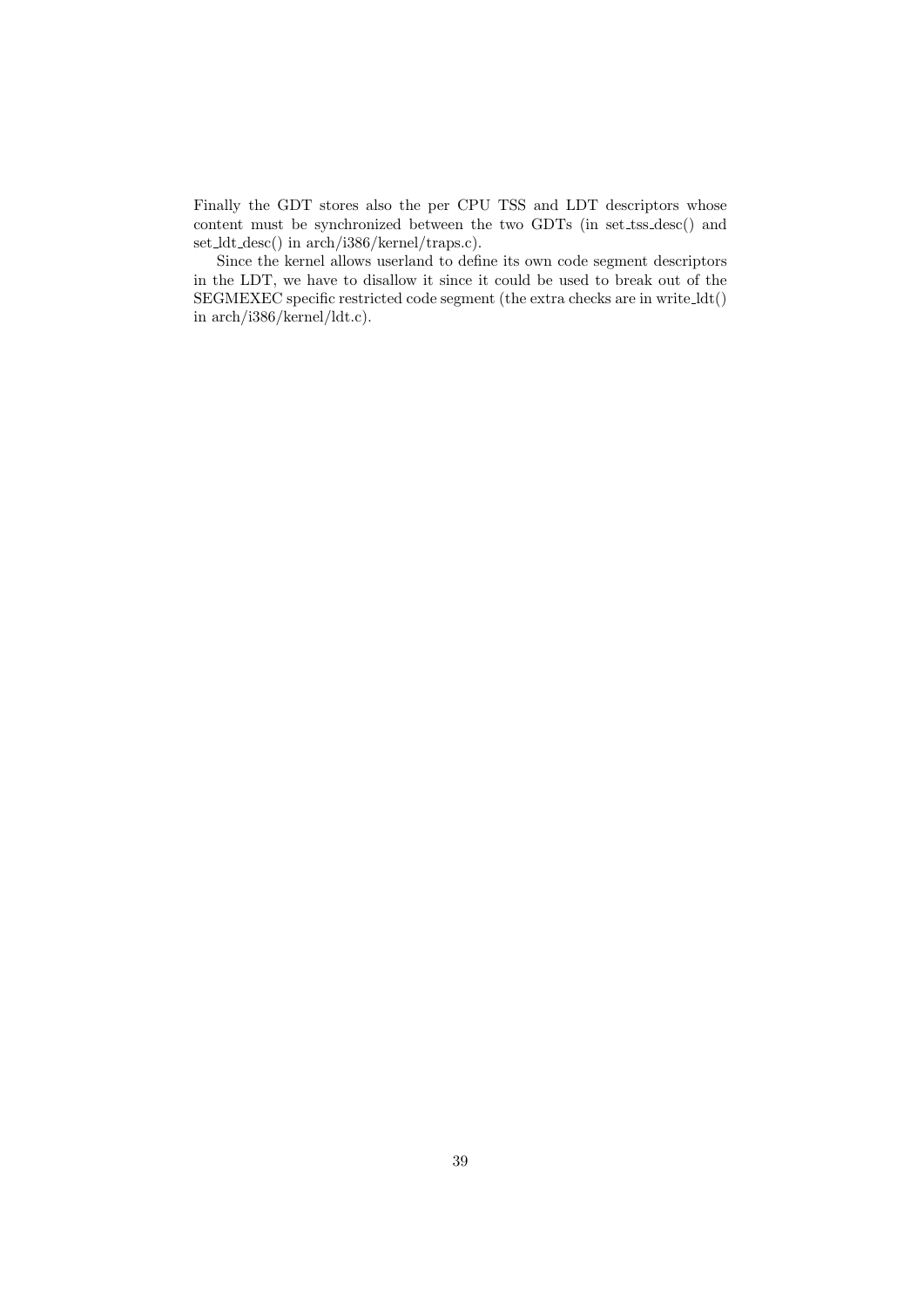Finally the GDT stores also the per CPU TSS and LDT descriptors whose content must be synchronized between the two GDTs (in set\_tss\_desc() and set ldt desc() in arch/i386/kernel/traps.c).

Since the kernel allows userland to define its own code segment descriptors in the LDT, we have to disallow it since it could be used to break out of the SEGMEXEC specific restricted code segment (the extra checks are in write ldt() in arch/i386/kernel/ldt.c).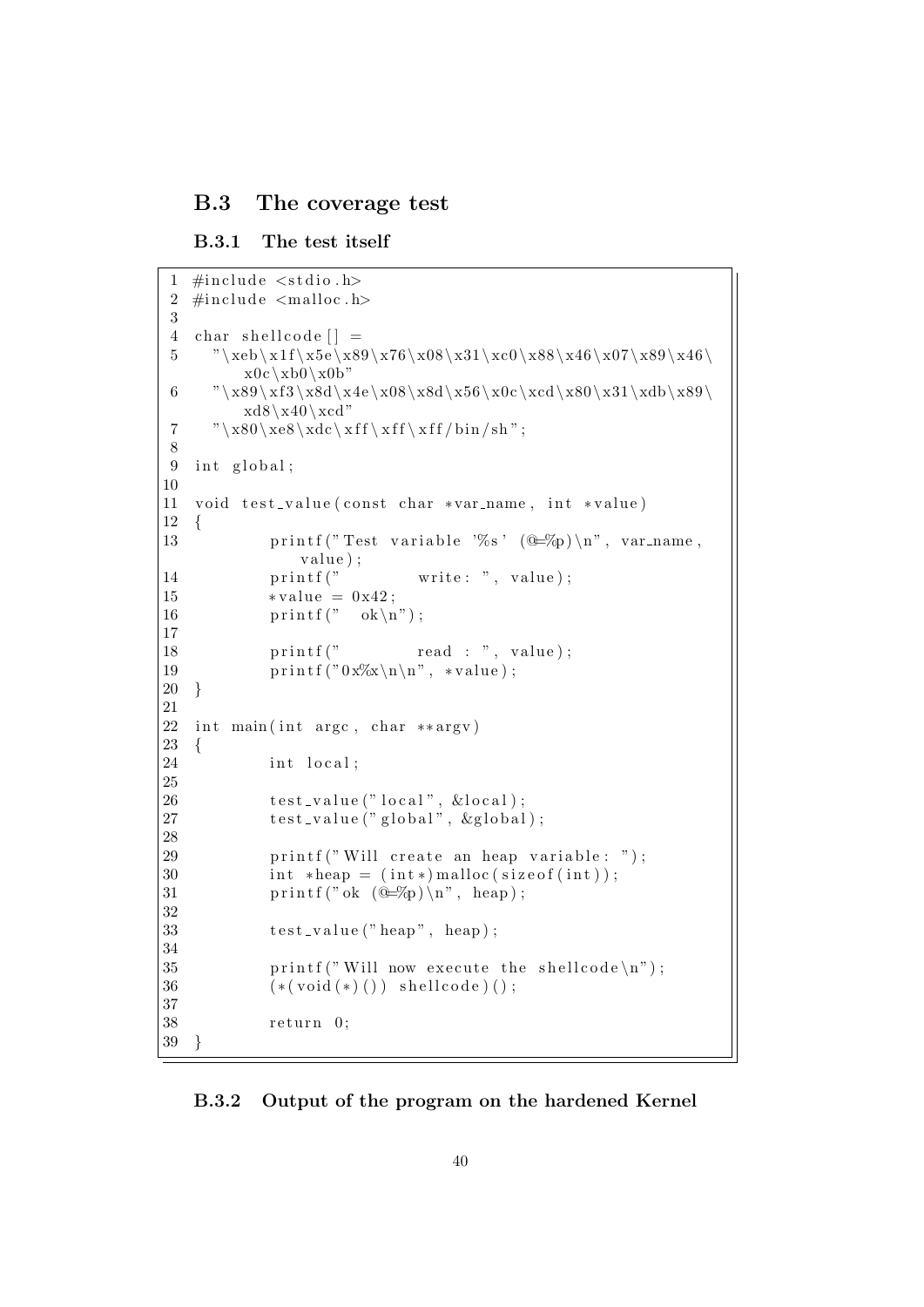## B.3 The coverage test

```
B.3.1 The test itself
```

```
1 \#include \ltstdio.h>
 2 \#includeclude \langlemalloc.h\rangle3
 4 char shellcode | =
 5 "\ \x0\ x1f\ x5e\ x89\ x76\ x08\ x31\ xc0\ x88\ x46\ x07\ x89\ x46\x0c \xb0 \x0b"
 6 "\ \x3\ x89\ xf3\ x8d\ x4e\ x08\ x8d\ x56\ x0c\ xc1\ x80\ x31\ xdb\ x89\xd8\x40\xcd"7 "\ \x80\ xe8\ xdc\ xff\ xff\ xff/bin/sh";8
9 int global;
10
11 void test_value(const char *var_name, int *value)
12 {
13 printf ("Test variable '%s' (\mathbb{Q} \text{--}\% \mathbb{Z}) \setminus \mathbb{N}", var_name,
               value);
14 printf(" write: ", value);
15 \starvalue = 0x42;
16 \text{print}(" ok\n");
17
18 printf(" read : ", value);
19 printf ("0x%x\n\cdot n", *value);20 }
21
22 int main (int argc, char **argv)
23 {
24 int local;
25
26 test_value ("local", \&local);
27 test_value ("global", &global);
28
29 printf ("Will create an heap variable: ");
30 int \astheap = (int\ast) malloc(size of (int));
31 printf (" ok (\mathbb{C}\text{-}\%p)\setminus n", heap);
32
33 test_value ("heap", heap);
34
35 printf ("Will now execute the shellcode \langle n" \rangle;
36 (* (void (*)()) \; schedule)();37
38 return 0;
39 }
```
#### B.3.2 Output of the program on the hardened Kernel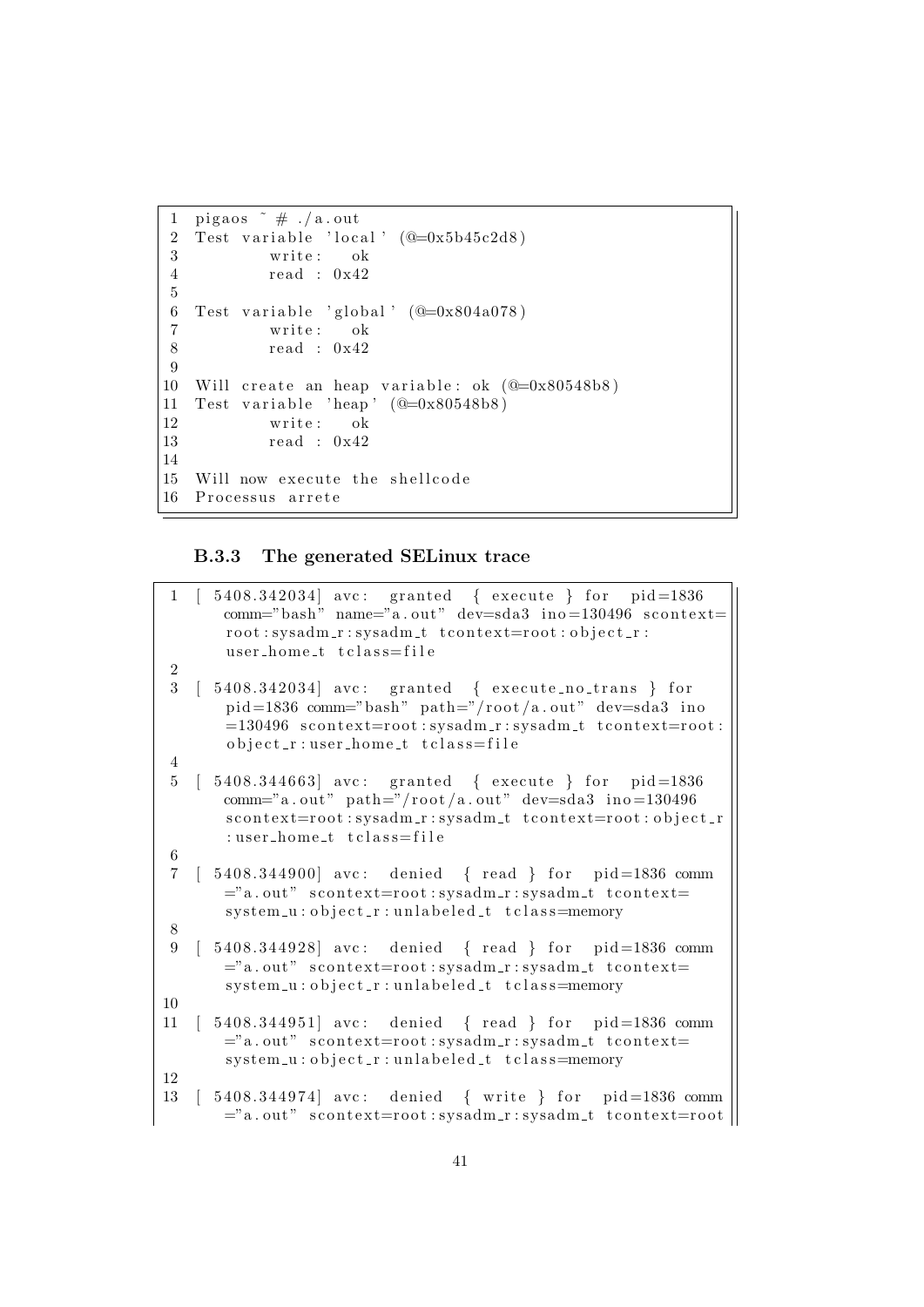```
1 pigaos \pi # ./a.out
2 Test variable '\lceil \log N \rceil' (@=0x5b45c2d8)<br>3 write: ok
           write: ok
4 re ad : 0 x42
5
 6 Test variable 'global' (@=0x804a078)7 write: ok
8 read : 0 \times 429
10 Will create an heap variable: ok (\mathbb{Q}=0x80548b8)11 Test variable 'heap' (\mathbb{Q}=0x80548b8)12 write: ok
13 re ad : 0 x42
14
15 Will now execute the shellcode
16 Processus arrete
```
### B.3.3 The generated SELinux trace

| $\mathbf{1}$            | 5408.342034] avc: granted { execute } for pid=1836<br>comm="bash" name="a.out" dev=sda3 ino=130496 scontext=<br>root:sysadm_r:sysadm_t_tcontext=root:object_r:<br>user_home_t tclass=file                   |
|-------------------------|-------------------------------------------------------------------------------------------------------------------------------------------------------------------------------------------------------------|
| $\,2$                   |                                                                                                                                                                                                             |
| 3                       | $5408.342034$ avc: granted { execute_no_trans } for<br>$pid=1836$ comm="bash" path="/root/a.out" dev=sda3 ino<br>=130496 scontext=root:sysadm_r:sysadm_t tcontext=root:<br>object_r:user_home_t tclass=file |
| $\overline{4}$          |                                                                                                                                                                                                             |
| $\overline{5}$          | 5408.344663 avc: granted { execute } for $pid=1836$<br>comm="a.out" path="/root/a.out" dev=sda3 ino=130496<br>scontext=root:sysadm_r:sysadm_t_tcontext=root:object_r<br>:user_home_t tclass=file            |
| $\,6$                   |                                                                                                                                                                                                             |
| $\overline{7}$<br>$8\,$ | $[5408.344900]$ avc: denied {read } for pid=1836 comm<br>="a.out" scontext=root:sysadm_r:sysadm_t tcontext=<br>system_u:object_r:unlabeled_t tclass=memory                                                  |
| 9                       | 5408.344928] avc: denied { read } for pid=1836 comm<br>="a.out" scontext=root:sysadm_r:sysadm_t tcontext=<br>system_u:object_r:unlabeled_t tclass=memory                                                    |
| 10                      |                                                                                                                                                                                                             |
| 11                      | $5408.344951$ avc: denied { read } for pid=1836 comm<br>="a.out" scontext=root:sysadm_r:sysadm_t tcontext=<br>system_u:object_r:unlabeled_t tclass=memory                                                   |
| 12                      |                                                                                                                                                                                                             |
| 13                      | $[5408.344974]$ avc: denied { write } for pid=1836 comm<br>="a.out" scontext=root:sysadm_r:sysadm_t tcontext=root                                                                                           |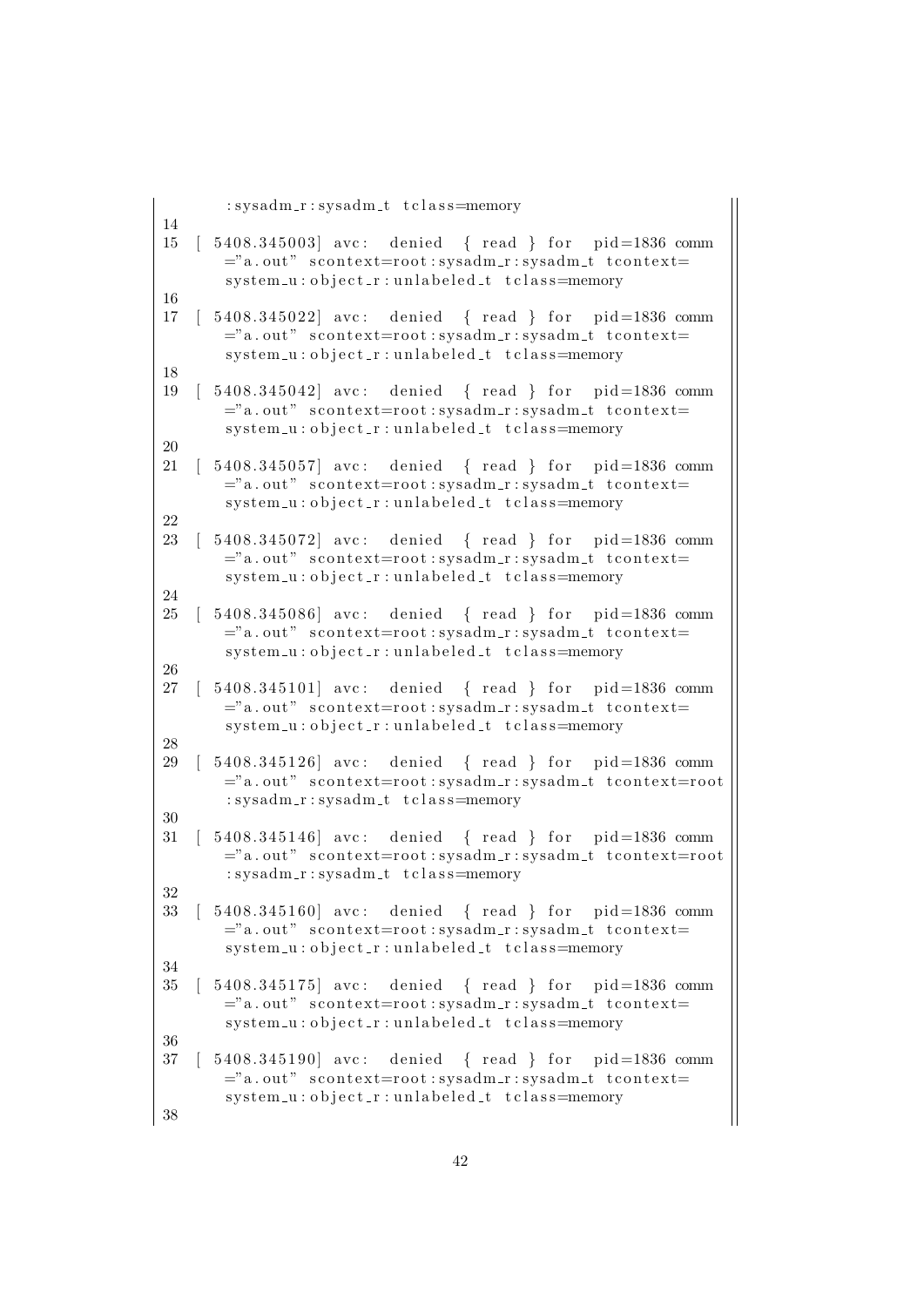```
: sysadm_r : sysadm_t t class=memory
14
15 [ 5408.345003] avc: denied { read } for pid=1836 comm
       ="a = "a.out" scontext=root: sysadm_r: sysadm_t tcontext=
       system_u : object_r : unlabeled_t t class = memory16
17 \t 5408.345022 avc: denied { read } for pid=1836 comm
       ="a. out" scontext=root:sysadm_r:sysadm_t tcontext=
       system_u:object_r:unlabeled_t tclass=memory
18
19 [ 5408.345042] avc: denied { read } for pid=1836 comm
       ="a.out" scontext=root:sysadm_r:sysadm_t tcontext=
       system_u:object_r:unlabeled_t tclass=memory
20
21 [ 5408.345057] avc: denied { read } for pid=1836 comm
       ="a. out" scontext=root: sysadm_r: sysadm_t tcontext=
       system_u:object_r:unlabeled_t tclass=memory
22
23 [ 5408.345072] avc: denied { read } for pid=1836 comm
       ="a. out" scontext=root:sysadm_r:sysadm_t tcontext=
       system_u:object_r:unlabeled_t tclass=memory
24
25 [ 5408.345086] avc: denied { read } for pid=1836 comm
       ="a. out" scontext=root:sysadm_r:sysadm_t tcontext=
       system_u:object_r:unlabeled_t tclass=memory
26
27 [ 5408.345101] avc: denied { read } for pid=1836 comm
       ="a. out" scontext=root:sysadm_r:sysadm_t tcontext=
       system_u:object_r:unlabeled_t tclass=memory
28
29 [ 5408.345126] avc: denied { read } for pid=1836 comm
       ="a. out" scontext=root:sysadm_r:sysadm_t tcontext=root
       : sysadm_r : sysadm_t t class=memory
30
31 [ 5408.345146] avc: denied { read } for pid=1836 comm
       ="a.out" scontext=root:sysadm_r:sysadm_t tcontext=root
       : sysadm_r : sysadm_t t class=memory
32
33 \mid 5408.345160 avc: denied { read } for pid=1836 comm
       ="a. out" scontext=root:sysadm_r:sysadm_t tcontext=
       system_u : object_r : unlabeled_t t_{class} = memory34
35 [ 5408.345175] avc: denied { read } for pid=1836 comm
       ="a. out" scontext=root: sysadm_r: sysadm_t tcontext=
       system_u : object_r : unlabeled_t t_{class} = memory36
37 [ 5408.345190] avc: denied { read } for pid=1836 comm
       ="a. out" scontext=root:sysadm_r:sysadm_t tcontext=
       system_u:object_r:unlabeled_t tclass=memory
38
```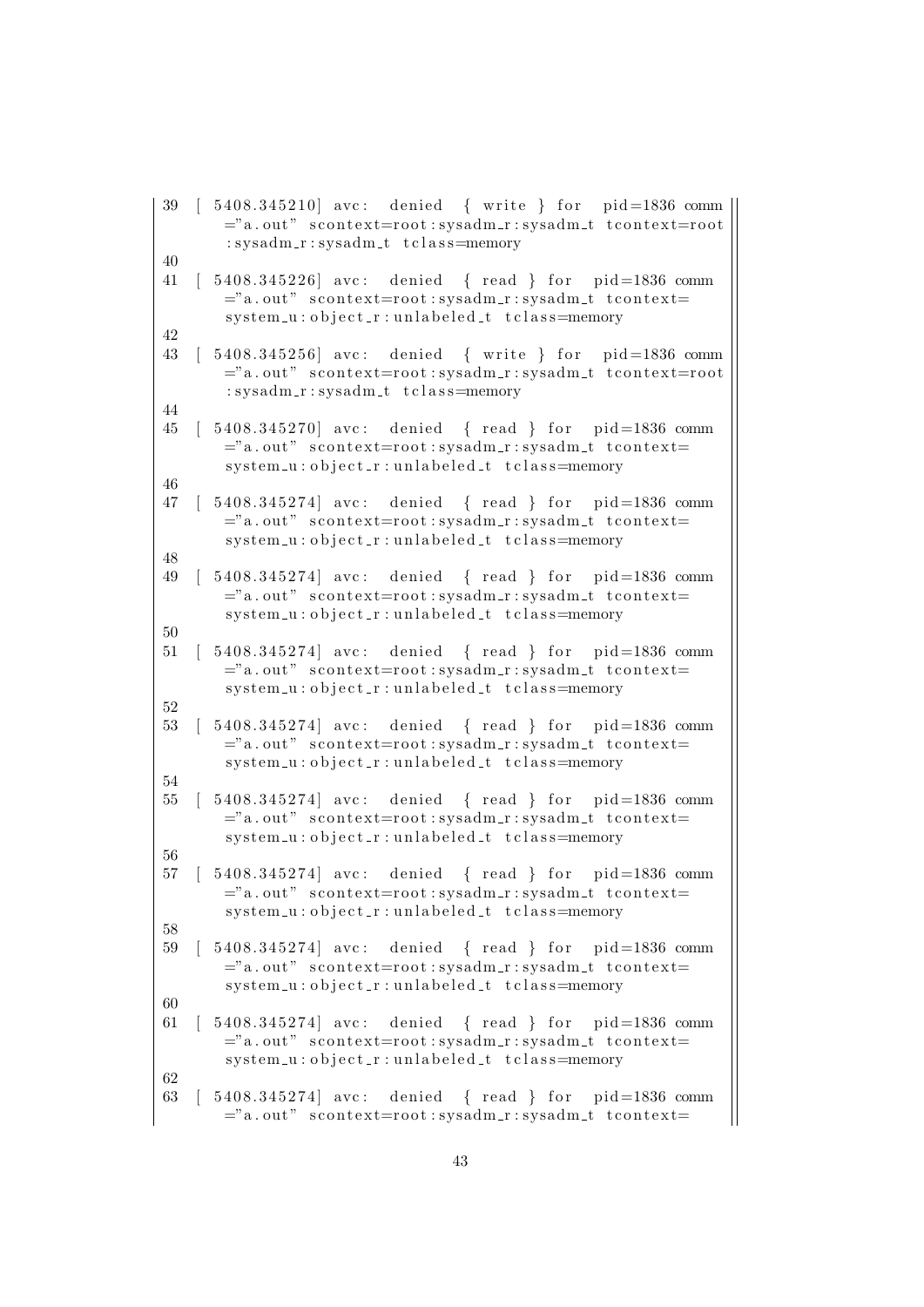```
39 [ 5408.345210] avc: denied { write } for pid=1836 comm
      ="a. out" scontext=root:sysadm_r:sysadm_t tcontext=root
       : sysadm_r : sysadm_t t class=memory
40
41 [ 5408.345226] avc: denied { read } for pid=1836 comm
      ="a. out" scontext=root:sysadm_r:sysadm_t tcontext=
       sy stem -u: object r: unlabeled t tclass=memory
42
43 [ 5408.345256] avc: denied { write } for pid=1836 comm
      ="a. out" scontext=root:sysadm_r:sysadm_t tcontext=root
       : sysadm_r : sysadm_t t class=memory
44
45 [ 5408.345270] avc: denied { read } for pid=1836 comm
      ="a. out" scontext=root:sysadm_r:sysadm_t tcontext=
       system_u : object_r : unlabeled_t t class = memory46
47 [ 5408.345274] avc: denied { read } for pid=1836 comm
      ="a. out" scontext=root: sysadm_r: sysadm_t tcontext=
       system_u : object_r : unlabeled_t t_{class} = memory48
49 [ 5408.345274] avc: denied { read } for pid=1836 comm
      ="a. out" scontext=root:sysadm_r:sysadm_t tcontext=
       system_u:object_r:unlabeled_t tclass=memory
50
51 [ 5408.345274] avc: denied { read } for pid=1836 comm
      ="a. out" scontext=root:sysadm_r:sysadm_t tcontext=
       system_u : object_r : unlabeled_t t class = memory52
53 [ 5408.345274] avc: denied { read } for pid=1836 comm
      ="a. out" scontext=root:sysadm_r:sysadm_t tcontext=
       system_u:object_r:unlabeled_t tclass=memory
54
55 [5408.345274] avc: denied \{ read \} for pid=1836 comm
      ="a. out" scontext=root:sysadm_r:sysadm_t tcontext=
       system_u:object_r:unlabeled_t tclass=memory
56
57 [ 5408.345274] avc: denied { read } for pid=1836 comm
      ="a. out" scontext=root: sysadm_r: sysadm_t tcontext=
       system_u : object_r : unlabeled_t t class = memory58
59 [ 5408.345274] avc: denied { read } for pid=1836 comm
      ="a. out" scontext=root:sysadm_r:sysadm_t tcontext=
      system_u : object_r : unlabeled_t t class = memory60
61 [ 5408.345274] avc: denied { read } for pid=1836 comm
      ="a. out" scontext=root:sysadm_r:sysadm_t tcontext=
       system_u:object_r:unlabeled_t tclass=memory
62
63 [ 5408.345274] avc: denied { read } for pid=1836 comm
      ="a. out" scontext=root: sysadm_r: sysadm_t tcontext=
```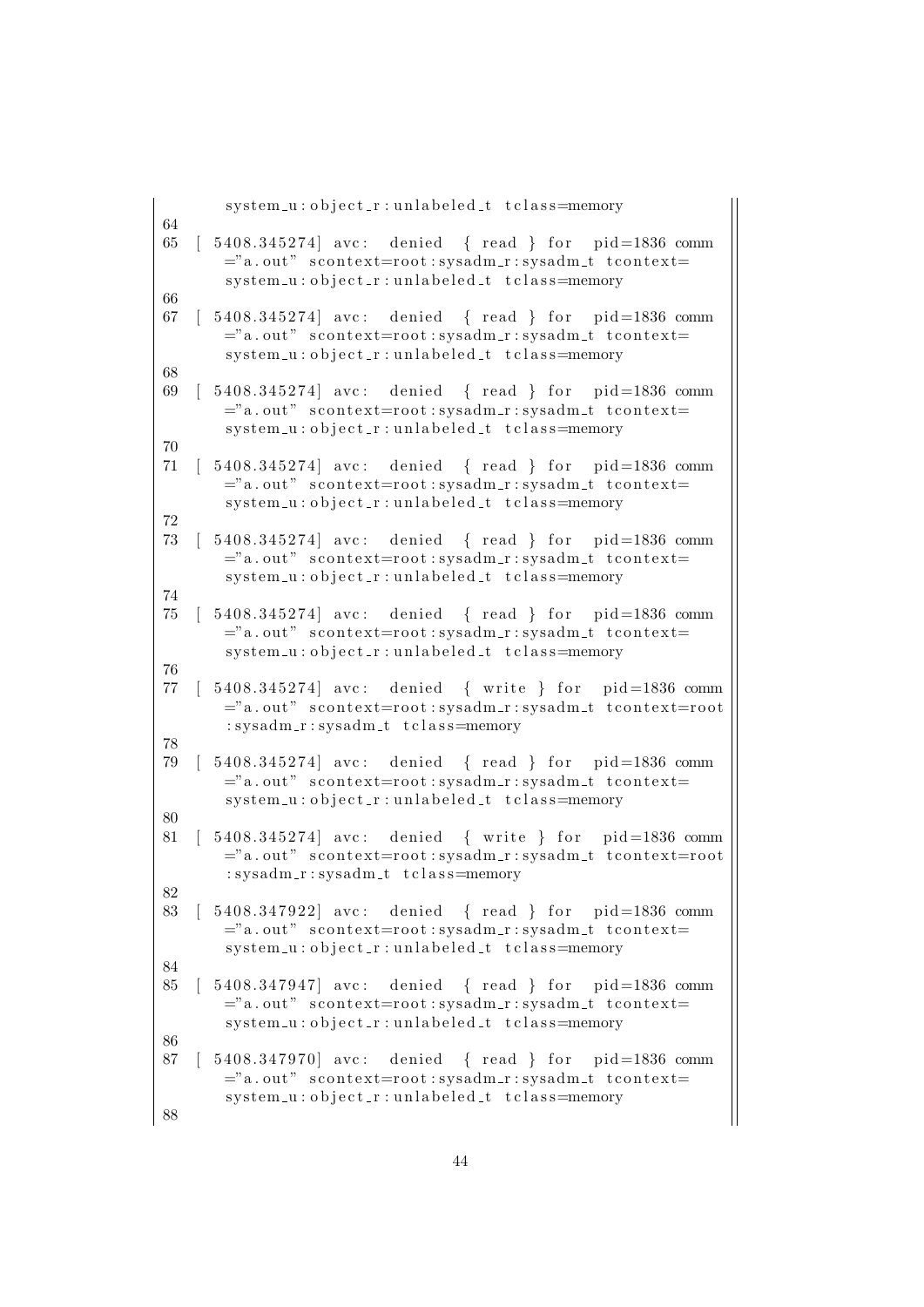```
system_u:object_r:unlabeled_t tclass=memory
64
65 [ 5408.345274] avc: denied { read } for pid=1836 comm
       ="a.out" scontext=root:sysadm_r:sysadm_t tcontext=
       system_u : object_r : unlabeled_t t class = memory66
67 [ 5408.345274] avc: denied { read } for pid=1836 comm
       ="a. out" scontext=root:sysadm_r:sysadm_t tcontext=
       system_u:object_r:unlabeled_t tclass=memory
68
69 [ 5408.345274] avc: denied { read } for pid=1836 comm
       ="a.out" scontext=root:sysadm_r:sysadm_t tcontext=
       system_u:object_r:unlabeled_t tclass=memory
70
71 [ 5408.345274] avc: denied { read } for pid=1836 comm
       ="a. out" scontext=root: sysadm_r: sysadm_t tcontext=
       system_u:object_r:unlabeled_t tclass=memory
72
73 [ 5408.345274] avc: denied { read } for pid=1836 comm
       ="a. out" scontext=root:sysadm_r:sysadm_t tcontext=
       system_u:object_r:unlabeled_t tclass=memory
74
75 [ 5408.345274] avc: denied { read } for pid=1836 comm
       ="a. out" scontext=root:sysadm_r:sysadm_t tcontext=
       system_u:object_r:unlabeled_t tclass=memory
76
77 [ 5408.345274] avc: denied { write } for pid=1836 comm
       ="a.out" scontext=root:sysadm_r:sysadm_t tcontext=root
       : sysadm_r : sysadm_t t class=memory
78
79 [ 5408.345274] avc: denied { read } for pid=1836 comm
       ="a. out" scontext=root: sysadm_r: sysadm_t tcontext=
       system_u : object_r : unlabeled_t t class = memory80
81 [ 5408.345274] avc: denied { write } for pid=1836 comm
       ="a.out" scontext=root:sysadm_r:sysadm_t tcontext=root
       : sysadm_r : sysadm_t t class=memory
82
83 [ 5408.347922] avc: denied { read } for pid=1836 comm
       ="a. out" scontext=root:sysadm_r:sysadm_t tcontext=
       system_u : object_r : unlabeled_t t_{class} = memory84
85 [ 5408.347947] avc: denied { read } for pid=1836 comm
       ="a. out" scontext=root: sysadm_r: sysadm_t tcontext=
       system_u : object_r : unlabeled_t t_{class} = memory86
87 [ 5408.347970] avc: denied { read } for pid=1836 comm
       ="a. out" scontext=root:sysadm_r:sysadm_t tcontext=
       system_u:object_r:unlabeled_t tclass=memory
88
```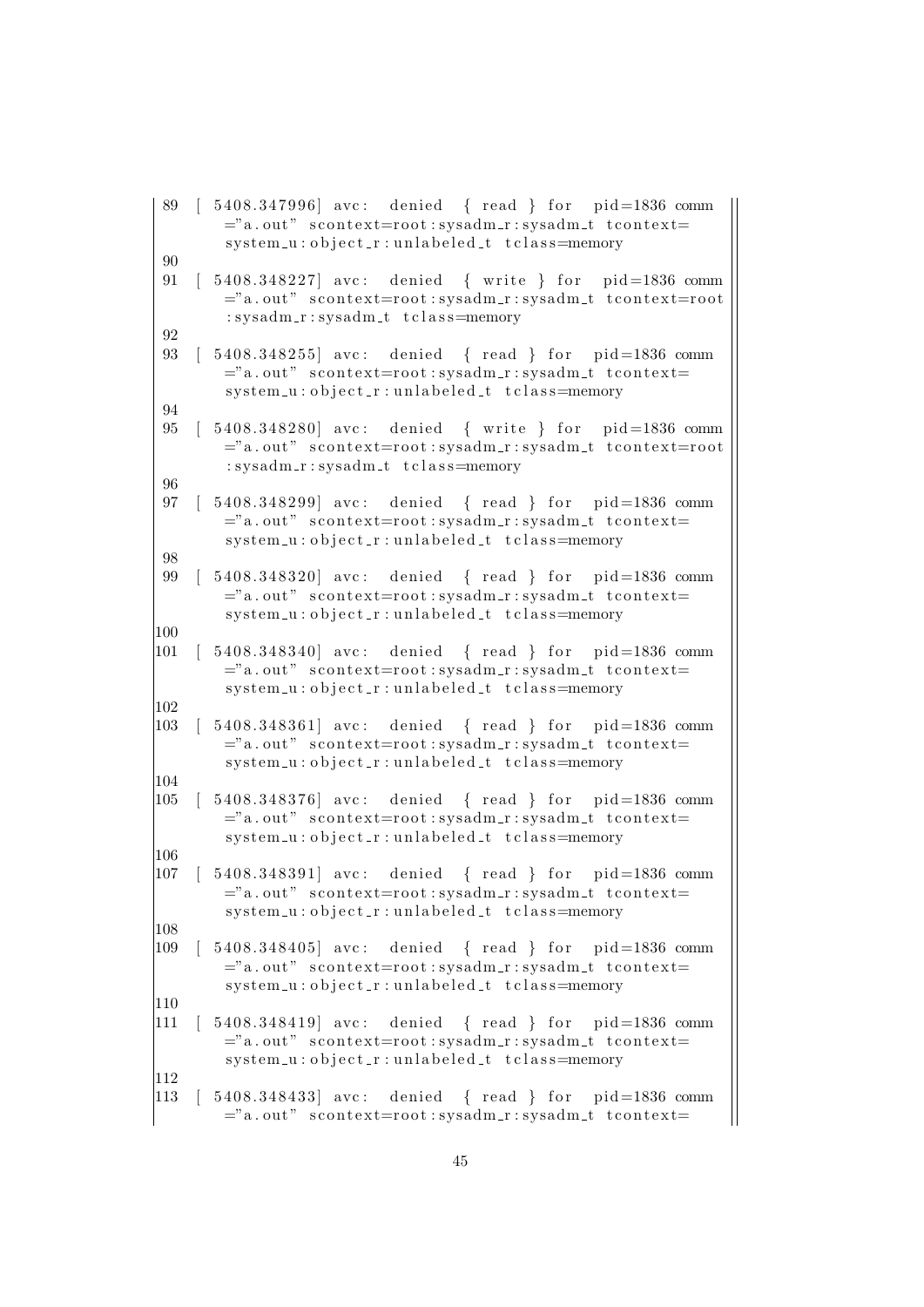```
89 [ 5408.347996] avc: denied { read } for pid=1836 comm
       ="a. out" scontext=root:sysadm_r:sysadm_t tcontext=
       system_u:object_r:unlabeled_t tclass=memory
90
91 [ 5408.348227] avc: denied { write } for pid=1836 comm
       ="a. out" scontext=root: sysadm_r: sysadm_t tcontext=root
       : sysadm_r : sysadm_t t class=memory
92
93 [ 5408.348255] avc: denied { read } for pid=1836 comm
       ="a. out" scontext=root:sysadm_r:sysadm_t tcontext=
       system_u:object_r:unlabeled_t tclass=memory
94
95 [ 5408.348280] avc: denied { write } for pid=1836 comm
       ="a. out" scontext=root:sysadm_r:sysadm_t tcontext=root
       : sysadm_r : sysadm_t t class=memory
96
97 [ 5408.348299] avc: denied { read } for pid=1836 comm
       ="a.out" scontext=root:sysadm_r:sysadm_t tcontext=
       system_u : object_r : unlabeled_t t_{class} = memory98
99 [ 5408.348320] avc: denied { read } for pid=1836 comm
       ="a. out" scontext=root:sysadm_r:sysadm_t tcontext=
       system_u:object_r:unlabeled_t tclass=memory
100
|101 \t | 5408.348340| avc: denied { read } for pid=1836 comm
       ="a. out" scontext=root:sysadm_r:sysadm_t tcontext=
       system_u : object_r : unlabeled_t t class = memory102
103 [ 5408.348361] avc: denied { read } for pid=1836 comm
       ="a. out" scontext=root:sysadm_r:sysadm_t tcontext=
       system_u:object_r:unlabeled_t tclass=memory
104105 [ 5408.348376] avc: denied { read } for pid=1836 comm
       ="a. out" scontext=root:sysadm_r:sysadm_t tcontext=
       system_u:object_r:unlabeled_t tclass=memory
106
|107 \t | 5408.348391| avc: denied { read } for pid=1836 comm
       ="a. out" scontext=root: sysadm_r: sysadm_t tcontext=
       system_u : object_r : unlabeled_t t class = memory108
|109 \t | 5408.348405| avc: denied { read } for pid=1836 comm
       ="a. out" scontext=root:sysadm_r:sysadm_t tcontext=
       system_u : object_r : unlabeled_t t class = memory|110111 [ 5408.348419] avc: denied { read } for pid=1836 comm
       ="a.out" scontext=root:sysadm_r:sysadm_t tcontext=
       system_u:object_r:unlabeled_t tclass=memory
112
113 [ 5408.348433] avc: denied { read } for pid=1836 comm
       ="a. out" scontext=root: sysadm_r: sysadm_t tcontext=
```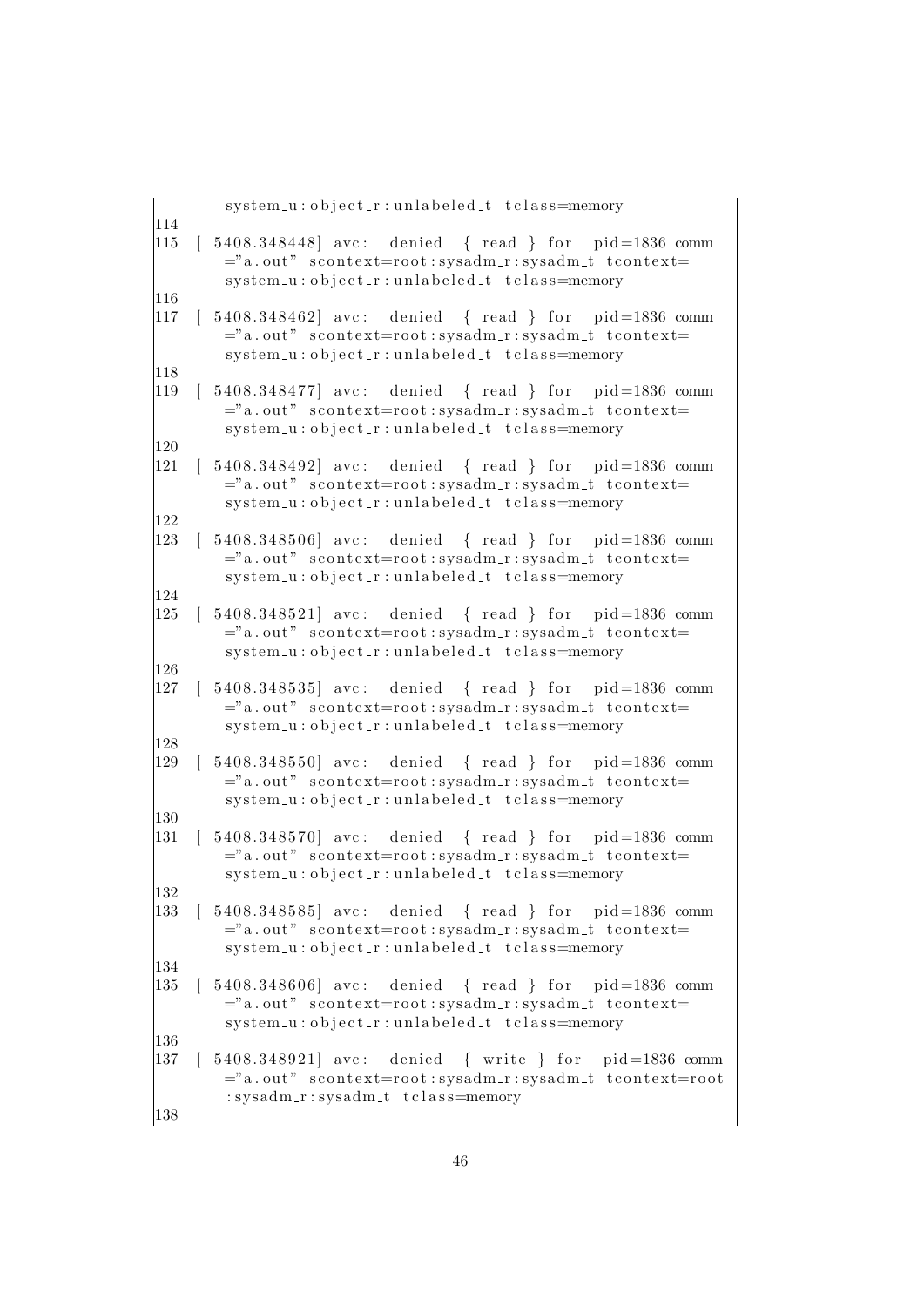| system_u:object_r:unlabeled_t tclass=memory                                                                                                                                  |  |
|------------------------------------------------------------------------------------------------------------------------------------------------------------------------------|--|
| 114<br>115<br>5408.348448 avc: denied { read } for pid=1836 comm<br>="a.out" scontext=root:sysadm_r:sysadm_t tcontext=<br>system_u:object_r:unlabeled_t tclass=memory        |  |
| 116<br>117<br>5408.348462 avc: denied { read } for pid=1836 comm<br>="a.out" scontext=root:sysadm_r:sysadm_t tcontext=<br>system_u:object_r:unlabeled_t tclass=memory        |  |
| 118<br>$[5408.348477]$ avc: denied { read } for pid=1836 comm<br>119<br>="a.out" scontext=root:sysadm_r:sysadm_t tcontext=<br>system_u:object_r:unlabeled_t tclass=memory    |  |
| 120<br>121<br>5408.348492 avc: denied { read } for pid=1836 comm<br>="a.out" scontext=root:sysadm_r:sysadm_t tcontext=<br>system_u:object_r:unlabeled_t tclass=memory        |  |
| 122<br>123<br>5408.348506 avc: denied { read } for pid=1836 comm<br>="a.out" scontext=root:sysadm_r:sysadm_t tcontext=<br>system_u:object_r:unlabeled_t tclass=memory        |  |
| 124<br>125<br>5408.348521 avc: denied { read } for pid=1836 comm<br>="a.out" scontext=root:sysadm_r:sysadm_t tcontext=<br>system_u:object_r:unlabeled_t tclass=memory        |  |
| 126<br>127<br>5408.348535 avc: denied { read } for pid=1836 comm<br>="a.out" scontext=root:sysadm_r:sysadm_t tcontext=<br>system_u:object_r:unlabeled_t tclass=memory        |  |
| 128<br>129<br>5408.348550 avc: denied { read } for pid=1836 comm<br>="a.out" scontext=root:sysadm_r:sysadm_t tcontext=<br>system_u:object_r:unlabeled_t tclass=memory        |  |
| 130<br>131<br>5408.348570 avc: denied { read } for pid=1836 comm<br>="a.out" scontext=root:sysadm_r:sysadm_t tcontext=<br>system_u:object_r:unlabeled_t tclass=memory        |  |
| 132<br>$[5408.348585]$ avc: denied { read } for pid=1836 comm<br>133<br>="a.out" scontext=root:sysadm_r:sysadm_t tcontext=<br>system_u:object_r:unlabeled_t tclass=memory    |  |
| 134<br>$[5408.348606]$ avc: denied { read } for pid=1836 comm<br>135<br>="a.out" scontext=root:sysadm_r:sysadm_t tcontext=<br>system_u:object_r:unlabeled_t tclass=memory    |  |
| 136<br>$[5408.348921]$ avc: denied { write } for pid=1836 comm<br>137<br>="a.out" scontext=root:sysadm_r:sysadm_t tcontext=root<br>: sysadm_r: sysadm_t tclass=memory<br>138 |  |
|                                                                                                                                                                              |  |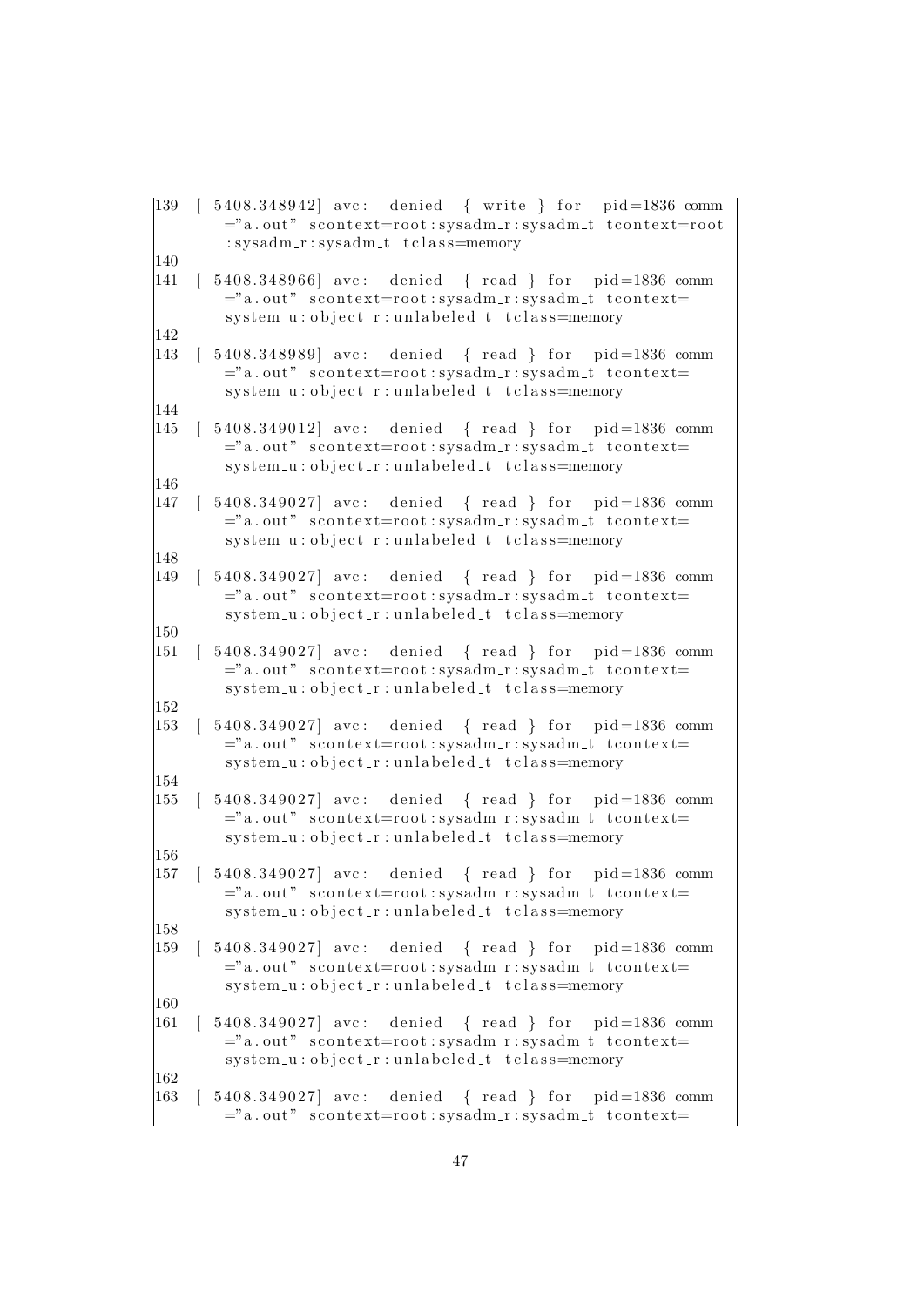```
|139 | 5408.348942 avc: denied { write } for pid=1836 comm
       ="a. out" scontext=root:sysadm_r:sysadm_t tcontext=root
        : sysadm_r : sysadm_t t class=memory
140
|141 \t | 5408.348966| avc: denied { read } for pid=1836 comm
       ="a. out" scontext=root:sysadm_r:sysadm_t tcontext=
        sy stem -u : o b ject r : unlabeled t tclass=memory
142
|143 \t| 5408.348989 avc: denied { read } for pid=1836 comm
       ="a. out" scontext=root:sysadm_r:sysadm_t tcontext=
        system_u:object_r:unlabeled_t tclass=memory
144
|145 \t | 5408.349012| avc: denied { read } for pid=1836 comm
       ="a. out" scontext=root:sysadm_r:sysadm_t tcontext=
        system_u : object_r : unlabeled_t t class = memory146
|147 \t | 5408.349027| avc: denied { read } for pid=1836 comm
       ="a. out" scontext=root:sysadm_r:sysadm_t tcontext=
        system_u:object_r:unlabeled_t tclass=memory
148
|149 \t | 5408.349027| avc: denied { read } for pid=1836 comm
       ="a. out" scontext=root:sysadm_r:sysadm_t tcontext=
        system_u:object_r:unlabeled_t tclass=memory
150
|151 \t | 5408.349027| avc: denied { read } for pid=1836 comm
       ="a. out" scontext=root:sysadm_r:sysadm_t tcontext=
        system_u:object_r:unlabeled_t tclass=memory
152
153 [ 5408.349027] avc: denied { read } for pid=1836 comm
       ="a. out" scontext=root:sysadm_r:sysadm_t tcontext=
        system_u:object_r:unlabeled_t tclass=memory
154
|155 \t | 5408.349027| avc: denied { read } for pid=1836 comm
       ="a. out" scontext=root:sysadm_r:sysadm_t tcontext=
        system_u:object_r:unlabeled_t tclass=memory
156
|157 \t | 5408.349027| avc: denied { read } for pid=1836 comm
       ="a. out" scontext=root: sysadm_r: sysadm_t tcontext=
       system_u : object_r : unlabeled_t t class = memory158
159 [ 5408.349027] avc: denied { read } for pid=1836 comm
       ="a. out" scontext=root:sysadm_r:sysadm_t tcontext=
       system_u : object_r : unlabeled_t t class = memory160
161 [ 5408.349027] avc: denied { read } for pid=1836 comm
       ="a.out" scontext=root:sysadm_r:sysadm_t tcontext=
        system_u:object_r:unlabeled_t tclass=memory
162
163 [ 5408.349027] avc: denied { read } for pid=1836 comm
       ="a. out" scontext=root: sysadm_r: sysadm_t tcontext=
```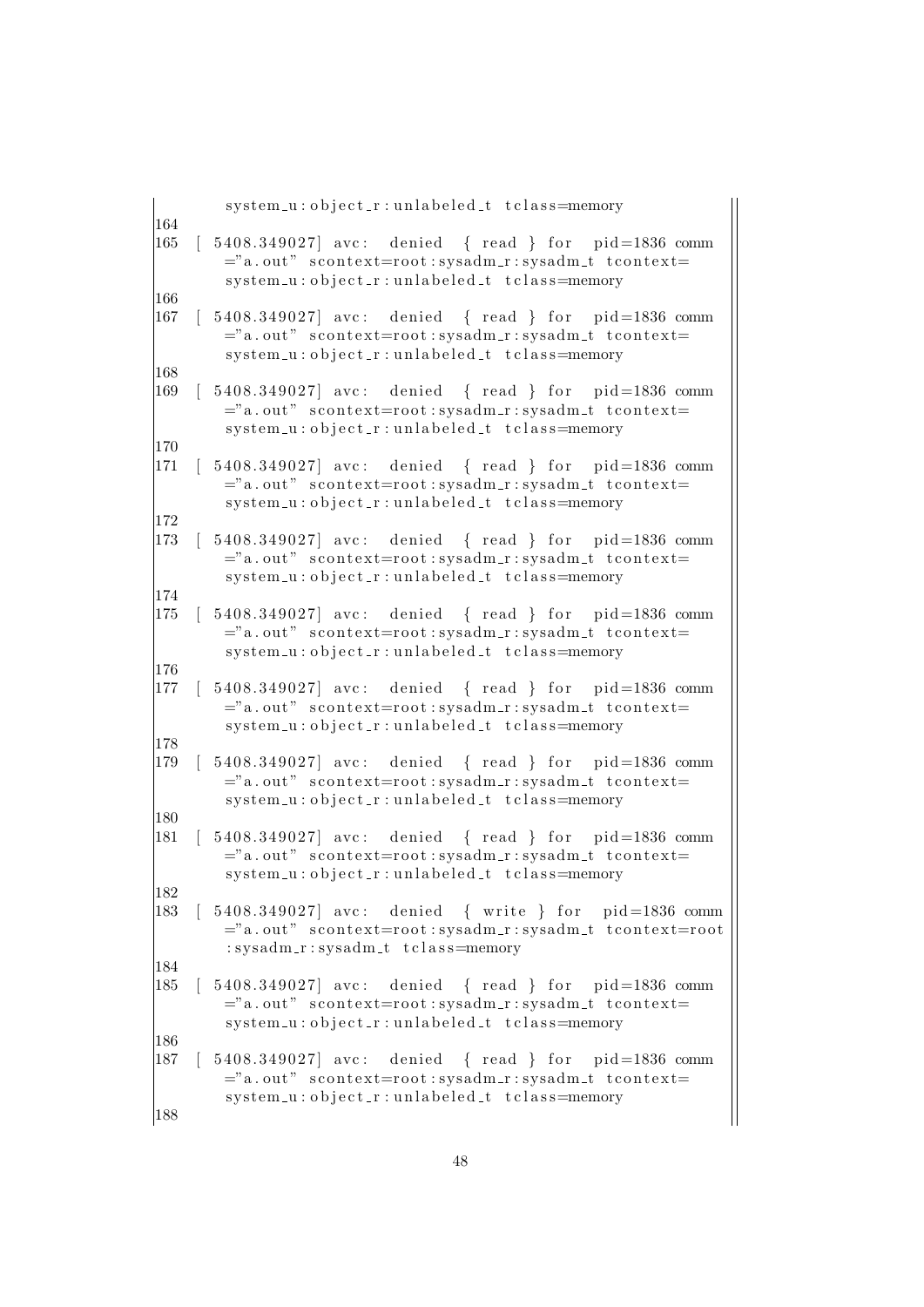|            | system_u:object_r:unlabeled_t tclass=memory                                                                                                                                                                                                             |
|------------|---------------------------------------------------------------------------------------------------------------------------------------------------------------------------------------------------------------------------------------------------------|
| 164<br>165 | $[5408.349027]$ avc: denied { read } for pid=1836 comm<br>="a.out" scontext=root:sysadm_r:sysadm_t tcontext=<br>system_u:object_r:unlabeled_t tclass=memory                                                                                             |
| 166        |                                                                                                                                                                                                                                                         |
| 167        | $\begin{bmatrix} 5408.349027 \end{bmatrix}$ avc: denied $\begin{bmatrix} 1 \end{bmatrix}$ read $\begin{bmatrix} 1 \end{bmatrix}$ for pid=1836 comm<br>="a.out" scontext=root:sysadm_r:sysadm_t tcontext=<br>system_u:object_r:unlabeled_t tclass=memory |
| 168        |                                                                                                                                                                                                                                                         |
| 169        | $[5408.349027]$ avc: denied $\{ read \}$ for pid=1836 comm<br>="a.out" scontext=root:sysadm_r:sysadm_t tcontext=<br>system_u:object_r:unlabeled_t tclass=memory                                                                                         |
| 170        |                                                                                                                                                                                                                                                         |
| 171        | $\begin{bmatrix} 5408.349027 \end{bmatrix}$ avc: denied $\begin{bmatrix} 1 \end{bmatrix}$ read $\begin{bmatrix} 1 \end{bmatrix}$ for pid=1836 comm<br>="a.out" scontext=root:sysadm_r:sysadm_t tcontext=<br>system_u:object_r:unlabeled_t tclass=memory |
| 172        |                                                                                                                                                                                                                                                         |
| 173        | $\begin{bmatrix} 5408.349027 \end{bmatrix}$ avc: denied $\begin{bmatrix} 1 \end{bmatrix}$ read $\begin{bmatrix} 1 \end{bmatrix}$ for pid=1836 comm<br>="a.out" scontext=root:sysadm_r:sysadm_t tcontext=<br>system_u:object_r:unlabeled_t tclass=memory |
| 174        |                                                                                                                                                                                                                                                         |
| 175        | $\begin{bmatrix} 5408.349027 \end{bmatrix}$ avc: denied $\begin{bmatrix} 1 \end{bmatrix}$ read $\begin{bmatrix} 1 \end{bmatrix}$ for pid=1836 comm<br>="a.out" scontext=root:sysadm_r:sysadm_t tcontext=<br>system_u:object_r:unlabeled_t tclass=memory |
| 176        |                                                                                                                                                                                                                                                         |
| 177        | $[5408.349027]$ avc: denied { read } for pid=1836 comm<br>="a.out" scontext=root:sysadm_r:sysadm_t tcontext=<br>system_u:object_r:unlabeled_t tclass=memory                                                                                             |
| 178        |                                                                                                                                                                                                                                                         |
| 179        | $[5408.349027]$ avc: denied { read } for pid=1836 comm<br>="a.out" scontext=root:sysadm_r:sysadm_t tcontext=<br>system_u:object_r:unlabeled_t tclass=memory                                                                                             |
| 180        |                                                                                                                                                                                                                                                         |
| 181        | $\begin{bmatrix} 5408.349027 \end{bmatrix}$ avc: denied $\begin{bmatrix} 1 \end{bmatrix}$ read $\begin{bmatrix} 1 \end{bmatrix}$ for pid=1836 comm<br>="a.out" scontext=root:sysadm_r:sysadm_t tcontext=<br>system_u:object_r:unlabeled_t tclass=memory |
| 182        |                                                                                                                                                                                                                                                         |
| 183        | $[5408.349027]$ avc: denied { write } for pid=1836 comm<br>="a.out" scontext=root:sysadm_r:sysadm_t tcontext=root<br>: sysadm_r: sysadm_t tclass=memory                                                                                                 |
| 184        |                                                                                                                                                                                                                                                         |
| 185        | 5408.349027] avc: denied { read } for pid=1836 comm<br>="a.out" scontext=root:sysadm_r:sysadm_t tcontext=<br>system_u:object_r:unlabeled_t tclass=memory                                                                                                |
| 186        |                                                                                                                                                                                                                                                         |
| 187        | 5408.349027 avc: denied { read } for pid=1836 comm<br>="a.out" scontext=root:sysadm_r:sysadm_t tcontext=<br>system_u:object_r:unlabeled_t tclass=memory                                                                                                 |
| 188        |                                                                                                                                                                                                                                                         |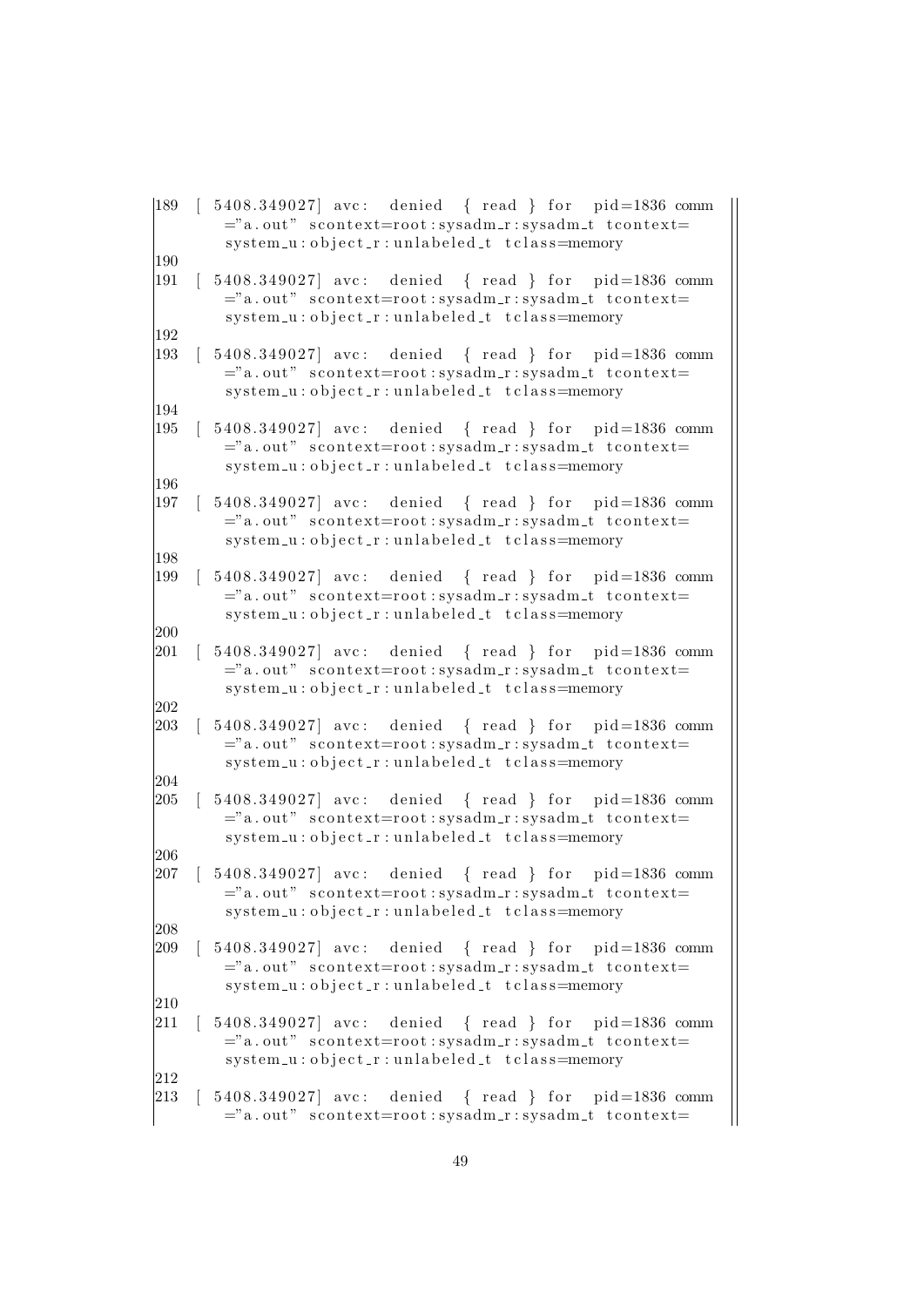```
|189 \t | 5408.349027| avc: denied { read } for pid=1836 comm
        ="a. out" scontext=root: sysadm_r: sysadm_t tcontext=
        system_u:object_r:unlabeled_t tclass=memory
|190|191 | 5408.349027 avc: denied { read } for pid=1836 comm
        ="a. out" scontext=root:sysadm_r:sysadm_t tcontext=
        sy stem -u : o b ject r : unlabeled t tclass=memory
192
|193 \t | 5408.349027| avc: denied { read } for pid=1836 comm
        ="a. out" scontext=root:sysadm_r:sysadm_t tcontext=
        system_u:object_r:unlabeled_t tclass=memory
194
|195 \t | 5408.349027| avc: denied { read } for pid=1836 comm
        ="a. out" scontext=root:sysadm_r:sysadm_t tcontext=
        system_u : object_r : unlabeled_t t class = memory196
|197 \t5408.349027| avc: denied { read } for pid=1836 comm
        ="a. out" scontext=root:sysadm_r:sysadm_t tcontext=
        system_u:object_r:unlabeled_t tclass=memory
198
|199 \t | 5408.349027| avc: denied { read } for pid=1836 comm
        ="a. out" scontext=root:sysadm_r:sysadm_t tcontext=
        system_u:object_r:unlabeled_t tclass=memory
200
[201 \quad [5408.349027] \text{ avec:} \text{ denied} \quad { \text{ read } } \text{ for } \text{ pid}=1836 \text{ comm}="a. out" scontext=root:sysadm_r:sysadm_t tcontext=
        system_u:object_r:unlabeled_t tclass=memory
202
[203 \; [ 5408.349027] \text{ avec:} \text{ denied} \; { \; read } \; } \text{ for } \text{ pid}=1836 \text{ comm}="a. out" scontext=root:sysadm_r:sysadm_t tcontext=
        system_u:object_r:unlabeled_t tclass=memory
\begin{array}{c} 204 \\ 205 \end{array}5408.349027 avc: denied { read } for pid=1836 comm
        ="a. out" scontext=root:sysadm_r:sysadm_t tcontext=
        system_u:object_r:unlabeled_t tclass=memory
206
[207 \t [ 5408.349027] avc: denied { read } for pid=1836 comm
        ="a. out" scontext=root: sysadm_r: sysadm_t tcontext=
        system_u : object_r : unlabeled_t t class = memory208
[209 \; [ \; 5408.349027] \; \text{arc}: denied { read } for pid=1836 comm
        ="a. out" scontext=root:sysadm_r:sysadm_t tcontext=
        system_u : object_r : unlabeled_t t class = memory210
|211 \t | 5408.349027| avc: denied { read } for pid=1836 comm
        ="a.out" scontext=root:sysadm_r:sysadm_t tcontext=
        system_u:object_r:unlabeled_t tclass=memory
212
213 [ 5408.349027] avc: denied { read } for pid=1836 comm
        ="a. out" scontext=root: sysadm_r: sysadm_t tcontext=
```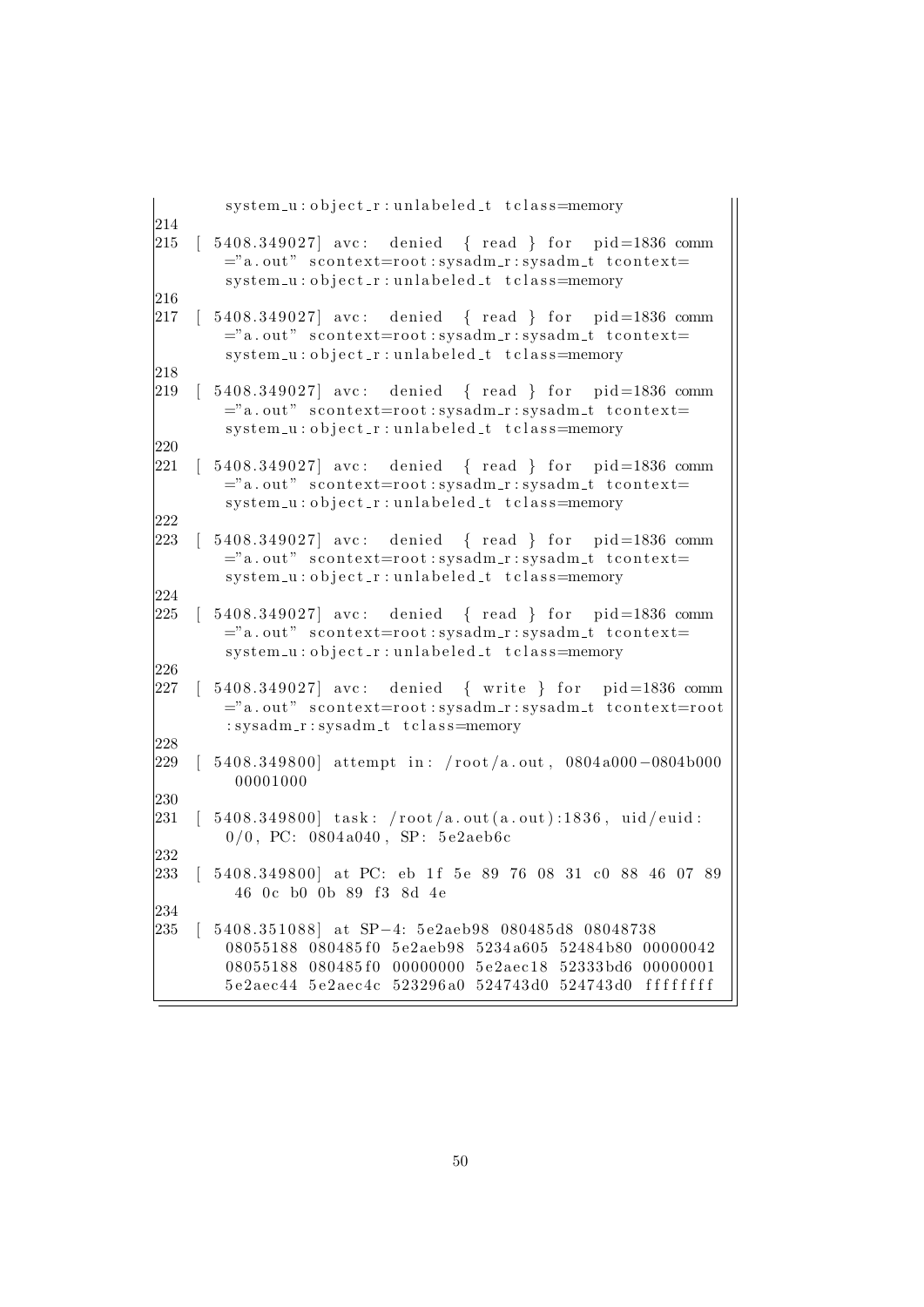|            | system_u:object_r:unlabeled_t tclass=memory                                                                                                                                                                                                             |
|------------|---------------------------------------------------------------------------------------------------------------------------------------------------------------------------------------------------------------------------------------------------------|
| 214<br>215 | $[5408.349027]$ avc: denied { read } for pid=1836 comm<br>="a.out" scontext=root:sysadm_r:sysadm_t tcontext=<br>system_u:object_r:unlabeled_t tclass=memory                                                                                             |
| 216<br>217 | 5408.349027] avc: denied { read } for pid=1836 comm<br>="a.out" scontext=root:sysadm_r:sysadm_t tcontext=<br>system_u:object_r:unlabeled_t tclass=memory                                                                                                |
| 218<br>219 | $\begin{bmatrix} 5408.349027 \end{bmatrix}$ ave: denied $\begin{bmatrix} 1 \end{bmatrix}$ read $\begin{bmatrix} 1 \end{bmatrix}$ for pid=1836 comm<br>="a.out" scontext=root:sysadm_r:sysadm_t tcontext=<br>system_u:object_r:unlabeled_t tclass=memory |
| 220<br>221 | 5408.349027 avc: denied { read } for pid=1836 comm<br>="a.out" scontext=root:sysadm_r:sysadm_t tcontext=<br>system_u:object_r:unlabeled_t tclass=memory                                                                                                 |
| 222<br>223 | 5408.349027 avc: denied { read } for pid=1836 comm<br>="a.out" scontext=root:sysadm_r:sysadm_t tcontext=<br>system_u:object_r:unlabeled_t tclass=memory                                                                                                 |
| 224<br>225 | 5408.349027 avc: denied { read } for pid=1836 comm<br>="a.out" scontext=root:sysadm_r:sysadm_t tcontext=<br>system_u:object_r:unlabeled_t tclass=memory                                                                                                 |
| 226<br>227 | 5408.349027 avc: denied { write } for pid=1836 comm<br>="a.out" scontext=root:sysadm_r:sysadm_t tcontext=root<br>: sysadm_r: sysadm_t tclass=memory                                                                                                     |
| 228<br>229 | 5408.349800 attempt in: $/root/a.out$ , 0804a000-0804b000<br>00001000                                                                                                                                                                                   |
| 230<br>231 | 5408.349800] task: /root/a.out(a.out):1836, uid/euid:<br>$0/0$ , PC: 0804a040, SP: 5e2aeb6c                                                                                                                                                             |
| 232<br>233 | 5408.349800] at PC: eb 1f 5e 89 76 08 31 c0 88 46 07 89<br>46 0c b0 0b 89 f3 8d 4e                                                                                                                                                                      |
| 234<br>235 | 5408.351088 at SP-4: 5e2aeb98 080485d8 08048738<br>08055188 080485f0 5e2aeb98 5234a605 52484b80 00000042<br>08055188 080485f0 00000000 5e2aec18 52333bd6 00000001<br>5e2aec44 5e2aec4c 523296a0 524743d0 524743d0 ffffffff                              |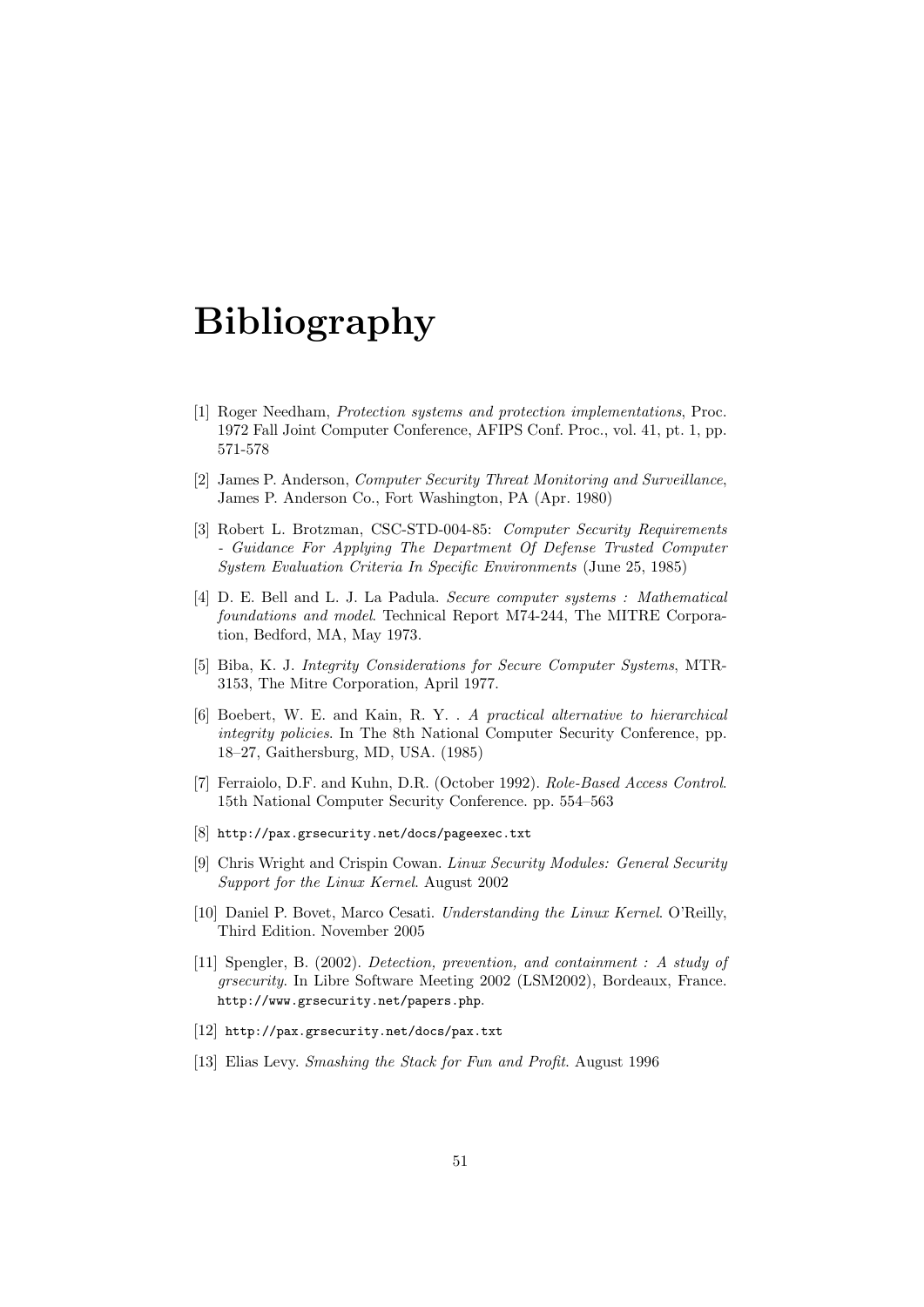# Bibliography

- [1] Roger Needham, Protection systems and protection implementations, Proc. 1972 Fall Joint Computer Conference, AFIPS Conf. Proc., vol. 41, pt. 1, pp. 571-578
- [2] James P. Anderson, Computer Security Threat Monitoring and Surveillance, James P. Anderson Co., Fort Washington, PA (Apr. 1980)
- [3] Robert L. Brotzman, CSC-STD-004-85: Computer Security Requirements - Guidance For Applying The Department Of Defense Trusted Computer System Evaluation Criteria In Specific Environments (June 25, 1985)
- [4] D. E. Bell and L. J. La Padula. Secure computer systems : Mathematical foundations and model. Technical Report M74-244, The MITRE Corporation, Bedford, MA, May 1973.
- [5] Biba, K. J. Integrity Considerations for Secure Computer Systems, MTR-3153, The Mitre Corporation, April 1977.
- [6] Boebert, W. E. and Kain, R. Y. . A practical alternative to hierarchical integrity policies. In The 8th National Computer Security Conference, pp. 18–27, Gaithersburg, MD, USA. (1985)
- [7] Ferraiolo, D.F. and Kuhn, D.R. (October 1992). Role-Based Access Control. 15th National Computer Security Conference. pp. 554–563
- [8] http://pax.grsecurity.net/docs/pageexec.txt
- [9] Chris Wright and Crispin Cowan. Linux Security Modules: General Security Support for the Linux Kernel. August 2002
- [10] Daniel P. Bovet, Marco Cesati. Understanding the Linux Kernel. O'Reilly, Third Edition. November 2005
- [11] Spengler, B. (2002). Detection, prevention, and containment : A study of grsecurity. In Libre Software Meeting 2002 (LSM2002), Bordeaux, France. http://www.grsecurity.net/papers.php.
- [12] http://pax.grsecurity.net/docs/pax.txt
- [13] Elias Levy. Smashing the Stack for Fun and Profit. August 1996